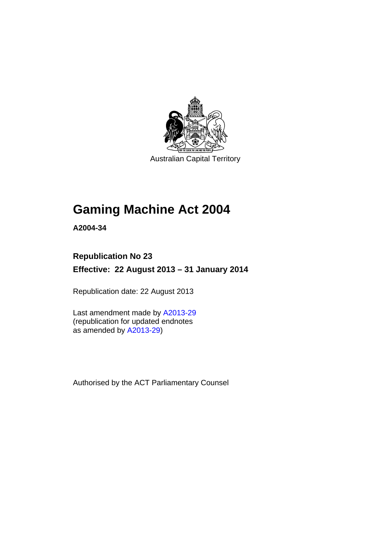

Australian Capital Territory

# **Gaming Machine Act 2004**

**A2004-34** 

# **Republication No 23**

**Effective: 22 August 2013 – 31 January 2014** 

Republication date: 22 August 2013

Last amendment made by [A2013-29](http://www.legislation.act.gov.au/a/2013-29) (republication for updated endnotes as amended by [A2013-29](http://www.legislation.act.gov.au/a/2013-29))

Authorised by the ACT Parliamentary Counsel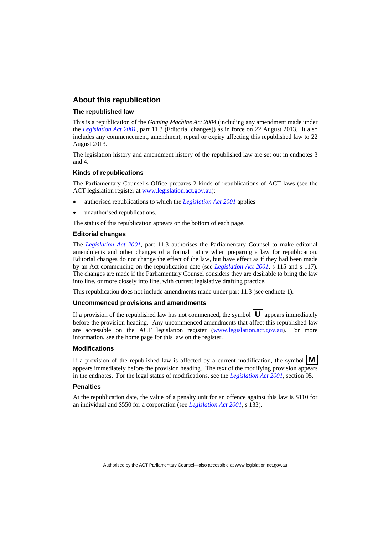### **About this republication**

### **The republished law**

This is a republication of the *Gaming Machine Act 2004* (including any amendment made under the *[Legislation Act 2001](http://www.legislation.act.gov.au/a/2001-14)*, part 11.3 (Editorial changes)) as in force on 22 August 2013*.* It also includes any commencement, amendment, repeal or expiry affecting this republished law to 22 August 2013.

The legislation history and amendment history of the republished law are set out in endnotes 3 and 4.

### **Kinds of republications**

The Parliamentary Counsel's Office prepares 2 kinds of republications of ACT laws (see the ACT legislation register at [www.legislation.act.gov.au](http://www.legislation.act.gov.au/)):

- authorised republications to which the *[Legislation Act 2001](http://www.legislation.act.gov.au/a/2001-14)* applies
- unauthorised republications.

The status of this republication appears on the bottom of each page.

#### **Editorial changes**

The *[Legislation Act 2001](http://www.legislation.act.gov.au/a/2001-14)*, part 11.3 authorises the Parliamentary Counsel to make editorial amendments and other changes of a formal nature when preparing a law for republication. Editorial changes do not change the effect of the law, but have effect as if they had been made by an Act commencing on the republication date (see *[Legislation Act 2001](http://www.legislation.act.gov.au/a/2001-14)*, s 115 and s 117). The changes are made if the Parliamentary Counsel considers they are desirable to bring the law into line, or more closely into line, with current legislative drafting practice.

This republication does not include amendments made under part 11.3 (see endnote 1).

#### **Uncommenced provisions and amendments**

If a provision of the republished law has not commenced, the symbol  $\mathbf{U}$  appears immediately before the provision heading. Any uncommenced amendments that affect this republished law are accessible on the ACT legislation register [\(www.legislation.act.gov.au\)](http://www.legislation.act.gov.au/). For more information, see the home page for this law on the register.

#### **Modifications**

If a provision of the republished law is affected by a current modification, the symbol  $\mathbf{M}$ appears immediately before the provision heading. The text of the modifying provision appears in the endnotes. For the legal status of modifications, see the *[Legislation Act 2001](http://www.legislation.act.gov.au/a/2001-14)*, section 95.

#### **Penalties**

At the republication date, the value of a penalty unit for an offence against this law is \$110 for an individual and \$550 for a corporation (see *[Legislation Act 2001](http://www.legislation.act.gov.au/a/2001-14)*, s 133).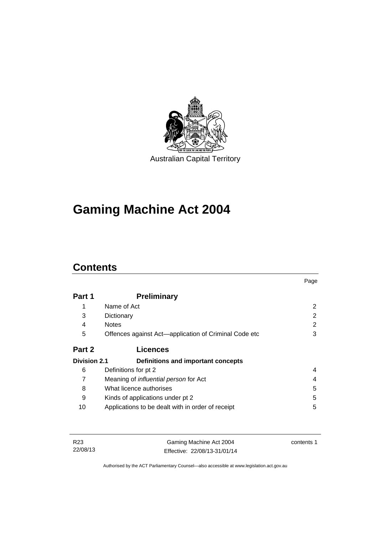

# **Gaming Machine Act 2004**

# **Contents**

|                     |                                                       | Page          |
|---------------------|-------------------------------------------------------|---------------|
| Part 1              | <b>Preliminary</b>                                    |               |
|                     | Name of Act                                           | 2             |
| 3                   | Dictionary                                            | $\mathcal{P}$ |
| 4                   | <b>Notes</b>                                          | 2             |
| 5                   | Offences against Act—application of Criminal Code etc | 3             |
| Part 2              | <b>Licences</b>                                       |               |
| <b>Division 2.1</b> | Definitions and important concepts                    |               |
| 6                   | Definitions for pt 2                                  | 4             |
| 7                   | Meaning of <i>influential person</i> for Act          | 4             |
| 8                   | What licence authorises                               | 5             |
| 9                   | Kinds of applications under pt 2                      | 5             |
| 10                  | Applications to be dealt with in order of receipt     | 5             |

| R23      | Gaming Machine Act 2004      | contents 1 |
|----------|------------------------------|------------|
| 22/08/13 | Effective: 22/08/13-31/01/14 |            |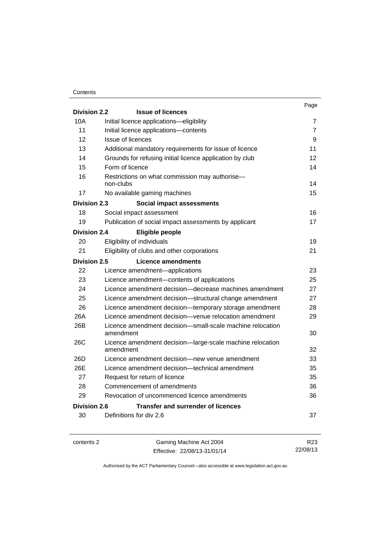### **Contents**

|                     |                                                                        | Page           |
|---------------------|------------------------------------------------------------------------|----------------|
| <b>Division 2.2</b> | <b>Issue of licences</b>                                               |                |
| 10A                 | Initial licence applications-eligibility                               | 7              |
| 11                  | Initial licence applications-contents                                  | $\overline{7}$ |
| 12                  | Issue of licences                                                      | 9              |
| 13                  | Additional mandatory requirements for issue of licence                 | 11             |
| 14                  | Grounds for refusing initial licence application by club               | 12             |
| 15                  | Form of licence                                                        | 14             |
| 16                  | Restrictions on what commission may authorise-<br>non-clubs            | 14             |
| 17                  | No available gaming machines                                           | 15             |
| <b>Division 2.3</b> | Social impact assessments                                              |                |
| 18                  | Social impact assessment                                               | 16             |
| 19                  | Publication of social impact assessments by applicant                  | 17             |
| <b>Division 2.4</b> | Eligible people                                                        |                |
| 20                  | Eligibility of individuals                                             | 19             |
| 21                  | Eligibility of clubs and other corporations                            | 21             |
| Division 2.5        | Licence amendments                                                     |                |
| 22                  | Licence amendment-applications                                         | 23             |
| 23                  | Licence amendment-contents of applications                             | 25             |
| 24                  | Licence amendment decision-decrease machines amendment                 | 27             |
| 25                  | Licence amendment decision-structural change amendment                 | 27             |
| 26                  | Licence amendment decision-temporary storage amendment                 | 28             |
| 26A                 | Licence amendment decision-venue relocation amendment                  | 29             |
| 26B                 | Licence amendment decision-small-scale machine relocation<br>amendment | 30             |
| 26C                 | Licence amendment decision-large-scale machine relocation              |                |
|                     | amendment                                                              | 32             |
| 26D                 | Licence amendment decision—new venue amendment                         | 33             |
| 26E                 | Licence amendment decision-technical amendment                         | 35             |
| 27                  | Request for return of licence                                          | 35             |
| 28                  | Commencement of amendments                                             | 36             |
| 29                  | Revocation of uncommenced licence amendments                           | 36             |
| Division 2.6        | <b>Transfer and surrender of licences</b>                              |                |
| 30                  | Definitions for div 2.6                                                | 37             |
|                     |                                                                        |                |

contents 2 Gaming Machine Act 2004 Effective: 22/08/13-31/01/14

R23 22/08/13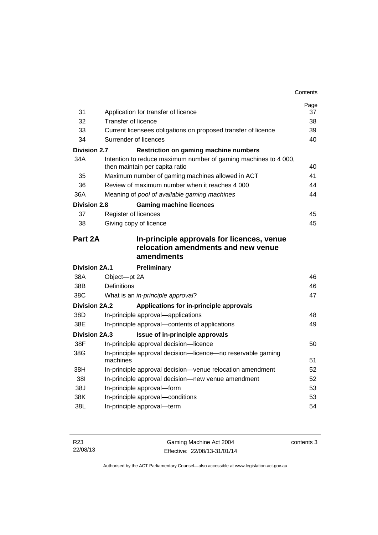|                      |                        |                                                                                                   | Page |
|----------------------|------------------------|---------------------------------------------------------------------------------------------------|------|
| 31                   |                        | Application for transfer of licence                                                               | 37   |
| 32                   | Transfer of licence    |                                                                                                   | 38   |
| 33                   |                        | Current licensees obligations on proposed transfer of licence                                     | 39   |
| 34                   | Surrender of licences  |                                                                                                   | 40   |
| <b>Division 2.7</b>  |                        | <b>Restriction on gaming machine numbers</b>                                                      |      |
| 34A                  |                        | Intention to reduce maximum number of gaming machines to 4 000,<br>then maintain per capita ratio | 40   |
| 35                   |                        | Maximum number of gaming machines allowed in ACT                                                  | 41   |
| 36                   |                        | Review of maximum number when it reaches 4 000                                                    | 44   |
| 36A                  |                        | Meaning of pool of available gaming machines                                                      | 44   |
| Division 2.8         |                        | <b>Gaming machine licences</b>                                                                    |      |
| 37                   | Register of licences   |                                                                                                   | 45   |
| 38                   | Giving copy of licence |                                                                                                   | 45   |
| Part 2A              |                        | In-principle approvals for licences, venue<br>relocation amendments and new venue<br>amendments   |      |
| <b>Division 2A.1</b> |                        | Preliminary                                                                                       |      |
| 38A                  | Object-pt 2A           |                                                                                                   | 46   |
| 38B                  | <b>Definitions</b>     |                                                                                                   | 46   |
| 38C                  |                        | What is an in-principle approval?                                                                 | 47   |
| <b>Division 2A.2</b> |                        | Applications for in-principle approvals                                                           |      |
| 38D                  |                        | In-principle approval-applications                                                                | 48   |
| 38E                  |                        | In-principle approval-contents of applications                                                    | 49   |
| <b>Division 2A.3</b> |                        |                                                                                                   |      |
| 38F                  |                        | Issue of in-principle approvals                                                                   |      |
| 38G                  |                        | In-principle approval decision-licence                                                            | 50   |
|                      | machines               | In-principle approval decision-licence-no reservable gaming                                       | 51   |
| 38H                  |                        | In-principle approval decision-venue relocation amendment                                         | 52   |
| 381                  |                        | In-principle approval decision-new venue amendment                                                | 52   |
| 38J                  |                        | In-principle approval-form                                                                        | 53   |
| 38K                  |                        | In-principle approval-conditions                                                                  | 53   |
| 38L                  |                        | In-principle approval-term                                                                        | 54   |

| R <sub>23</sub> | Gaming Machine Act 2004      | contents 3 |
|-----------------|------------------------------|------------|
| 22/08/13        | Effective: 22/08/13-31/01/14 |            |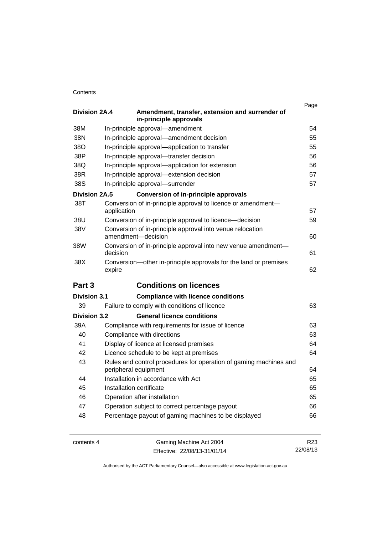### **Contents**

| <b>Division 2A.4</b> | Amendment, transfer, extension and surrender of<br>in-principle approvals                 | Page |
|----------------------|-------------------------------------------------------------------------------------------|------|
| 38M                  | In-principle approval-amendment                                                           | 54   |
| 38N                  | In-principle approval-amendment decision                                                  | 55   |
| 38O                  | In-principle approval-application to transfer                                             | 55   |
| 38P                  | In-principle approval-transfer decision                                                   | 56   |
| 38Q                  | In-principle approval-application for extension                                           | 56   |
| 38R                  | In-principle approval-extension decision                                                  | 57   |
| 38S                  | In-principle approval-surrender                                                           | 57   |
| <b>Division 2A.5</b> | <b>Conversion of in-principle approvals</b>                                               |      |
| 38T                  | Conversion of in-principle approval to licence or amendment-<br>application               | 57   |
| 38U                  | Conversion of in-principle approval to licence—decision                                   | 59   |
| 38V                  | Conversion of in-principle approval into venue relocation<br>amendment-decision           | 60   |
| 38W                  | Conversion of in-principle approval into new venue amendment-<br>decision                 | 61   |
| 38X                  | Conversion—other in-principle approvals for the land or premises<br>expire                | 62   |
| Part <sub>3</sub>    | <b>Conditions on licences</b>                                                             |      |
| <b>Division 3.1</b>  | <b>Compliance with licence conditions</b>                                                 |      |
| 39                   | Failure to comply with conditions of licence                                              | 63   |
| Division 3.2         | <b>General licence conditions</b>                                                         |      |
| 39A                  | Compliance with requirements for issue of licence                                         | 63   |
| 40                   | Compliance with directions                                                                | 63   |
| 41                   | Display of licence at licensed premises                                                   | 64   |
| 42                   | Licence schedule to be kept at premises                                                   | 64   |
| 43                   | Rules and control procedures for operation of gaming machines and<br>peripheral equipment | 64   |
| 44                   | Installation in accordance with Act                                                       | 65   |
| 45                   | Installation certificate                                                                  | 65   |
| 46                   | Operation after installation                                                              | 65   |
| 47                   | Operation subject to correct percentage payout                                            | 66   |
| 48                   | Percentage payout of gaming machines to be displayed                                      | 66   |

contents 4 Gaming Machine Act 2004 Effective: 22/08/13-31/01/14

R23 22/08/13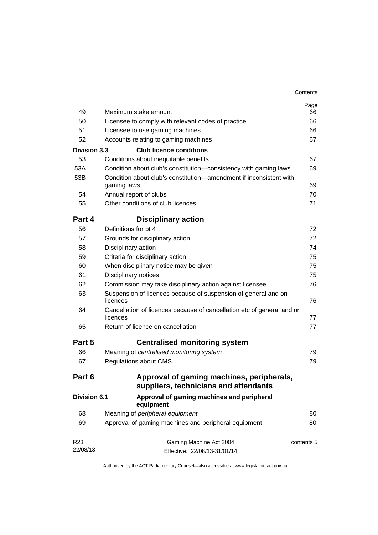| 49                  | Maximum stake amount                                                               | Page<br>66 |
|---------------------|------------------------------------------------------------------------------------|------------|
| 50                  | Licensee to comply with relevant codes of practice                                 | 66         |
| 51                  | Licensee to use gaming machines                                                    | 66         |
| 52                  | Accounts relating to gaming machines                                               | 67         |
| <b>Division 3.3</b> | <b>Club licence conditions</b>                                                     |            |
| 53                  | Conditions about inequitable benefits                                              | 67         |
| 53A                 | Condition about club's constitution-consistency with gaming laws                   | 69         |
| 53B                 | Condition about club's constitution—amendment if inconsistent with                 |            |
|                     | gaming laws                                                                        | 69<br>70   |
| 54<br>55            | Annual report of clubs<br>Other conditions of club licences                        | 71         |
|                     |                                                                                    |            |
| Part 4              | <b>Disciplinary action</b>                                                         |            |
| 56                  | Definitions for pt 4                                                               | 72         |
| 57                  | Grounds for disciplinary action                                                    | 72         |
| 58                  | Disciplinary action                                                                | 74         |
| 59                  | Criteria for disciplinary action                                                   | 75         |
| 60                  | When disciplinary notice may be given                                              | 75         |
| 61                  | Disciplinary notices                                                               | 75         |
| 62                  | Commission may take disciplinary action against licensee                           | 76         |
| 63                  | Suspension of licences because of suspension of general and on<br>licences         | 76         |
| 64                  | Cancellation of licences because of cancellation etc of general and on<br>licences | 77         |
| 65                  | Return of licence on cancellation                                                  | 77         |
| Part 5              | <b>Centralised monitoring system</b>                                               |            |
| 66                  | Meaning of centralised monitoring system                                           | 79         |
| 67                  | <b>Regulations about CMS</b>                                                       | 79         |
| Part 6              | Approval of gaming machines, peripherals,<br>suppliers, technicians and attendants |            |
| <b>Division 6.1</b> | Approval of gaming machines and peripheral<br>equipment                            |            |
| 68                  | Meaning of peripheral equipment                                                    | 80         |
| 69                  | Approval of gaming machines and peripheral equipment                               | 80         |
| R <sub>23</sub>     | Gaming Machine Act 2004                                                            | contents 5 |
| 22/08/13            | Effective: 22/08/13-31/01/14                                                       |            |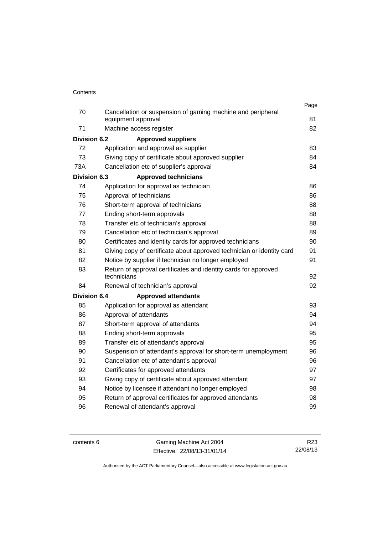|                     |                                                                                   | Page |
|---------------------|-----------------------------------------------------------------------------------|------|
| 70                  | Cancellation or suspension of gaming machine and peripheral<br>equipment approval | 81   |
| 71                  | Machine access register                                                           | 82   |
|                     |                                                                                   |      |
| <b>Division 6.2</b> | <b>Approved suppliers</b>                                                         |      |
| 72<br>73            | Application and approval as supplier                                              | 83   |
|                     | Giving copy of certificate about approved supplier                                | 84   |
| 73A                 | Cancellation etc of supplier's approval                                           | 84   |
| Division 6.3        | <b>Approved technicians</b>                                                       |      |
| 74                  | Application for approval as technician                                            | 86   |
| 75                  | Approval of technicians                                                           | 86   |
| 76                  | Short-term approval of technicians                                                | 88   |
| 77                  | Ending short-term approvals                                                       | 88   |
| 78                  | Transfer etc of technician's approval                                             | 88   |
| 79                  | Cancellation etc of technician's approval                                         | 89   |
| 80                  | Certificates and identity cards for approved technicians                          | 90   |
| 81                  | Giving copy of certificate about approved technician or identity card             | 91   |
| 82                  | Notice by supplier if technician no longer employed                               | 91   |
| 83                  | Return of approval certificates and identity cards for approved<br>technicians    | 92   |
| 84                  | Renewal of technician's approval                                                  | 92   |
| <b>Division 6.4</b> | <b>Approved attendants</b>                                                        |      |
| 85                  | Application for approval as attendant                                             | 93   |
| 86                  | Approval of attendants                                                            | 94   |
| 87                  | Short-term approval of attendants                                                 | 94   |
| 88                  | Ending short-term approvals                                                       | 95   |
| 89                  | Transfer etc of attendant's approval                                              | 95   |
| 90                  | Suspension of attendant's approval for short-term unemployment                    | 96   |
| 91                  | Cancellation etc of attendant's approval                                          | 96   |
| 92                  | Certificates for approved attendants                                              | 97   |
| 93                  | Giving copy of certificate about approved attendant                               | 97   |
| 94                  | Notice by licensee if attendant no longer employed                                | 98   |
| 95                  | Return of approval certificates for approved attendants                           | 98   |
| 96                  | Renewal of attendant's approval                                                   | 99   |
|                     |                                                                                   |      |

contents 6 Gaming Machine Act 2004 Effective: 22/08/13-31/01/14

R23 22/08/13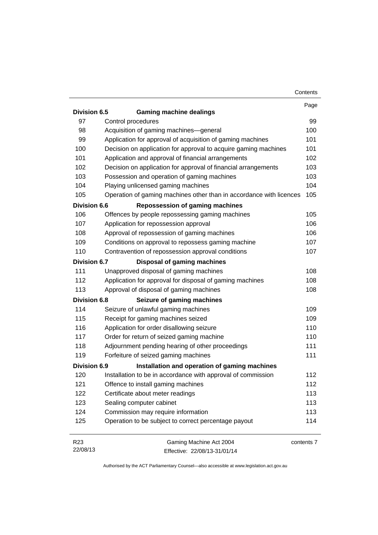|                     |                                                                     | Contents   |
|---------------------|---------------------------------------------------------------------|------------|
|                     |                                                                     | Page       |
| Division 6.5        | <b>Gaming machine dealings</b>                                      |            |
| 97                  | Control procedures                                                  | 99         |
| 98                  | Acquisition of gaming machines-general                              | 100        |
| 99                  | Application for approval of acquisition of gaming machines          | 101        |
| 100                 | Decision on application for approval to acquire gaming machines     | 101        |
| 101                 | Application and approval of financial arrangements                  | 102        |
| 102                 | Decision on application for approval of financial arrangements      | 103        |
| 103                 | Possession and operation of gaming machines                         | 103        |
| 104                 | Playing unlicensed gaming machines                                  | 104        |
| 105                 | Operation of gaming machines other than in accordance with licences | 105        |
| <b>Division 6.6</b> | <b>Repossession of gaming machines</b>                              |            |
| 106                 | Offences by people repossessing gaming machines                     | 105        |
| 107                 | Application for repossession approval                               | 106        |
| 108                 | Approval of repossession of gaming machines                         | 106        |
| 109                 | Conditions on approval to repossess gaming machine                  | 107        |
| 110                 | Contravention of repossession approval conditions                   | 107        |
| <b>Division 6.7</b> | Disposal of gaming machines                                         |            |
| 111                 | Unapproved disposal of gaming machines                              | 108        |
| 112                 | Application for approval for disposal of gaming machines            | 108        |
| 113                 | Approval of disposal of gaming machines                             | 108        |
| <b>Division 6.8</b> | Seizure of gaming machines                                          |            |
| 114                 | Seizure of unlawful gaming machines                                 | 109        |
| 115                 | Receipt for gaming machines seized                                  | 109        |
| 116                 | Application for order disallowing seizure                           | 110        |
| 117                 | Order for return of seized gaming machine                           | 110        |
| 118                 | Adjournment pending hearing of other proceedings                    | 111        |
| 119                 | Forfeiture of seized gaming machines                                | 111        |
| <b>Division 6.9</b> | Installation and operation of gaming machines                       |            |
| 120                 | Installation to be in accordance with approval of commission        | 112        |
| 121                 | Offence to install gaming machines                                  | 112        |
| 122                 | Certificate about meter readings                                    | 113        |
| 123                 | Sealing computer cabinet                                            | 113        |
| 124                 | Commission may require information                                  | 113        |
| 125                 | Operation to be subject to correct percentage payout                | 114        |
| R <sub>23</sub>     | Gaming Machine Act 2004                                             | contents 7 |

Effective: 22/08/13-31/01/14

22/08/13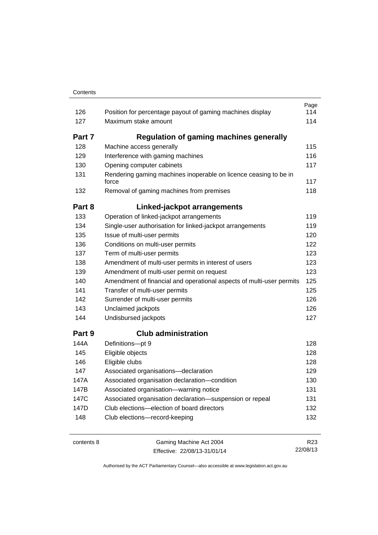|        |                                                                           | Page |
|--------|---------------------------------------------------------------------------|------|
| 126    | Position for percentage payout of gaming machines display                 | 114  |
| 127    | Maximum stake amount                                                      | 114  |
| Part 7 | <b>Regulation of gaming machines generally</b>                            |      |
| 128    | Machine access generally                                                  | 115  |
| 129    | Interference with gaming machines                                         | 116  |
| 130    | Opening computer cabinets                                                 | 117  |
| 131    | Rendering gaming machines inoperable on licence ceasing to be in<br>force | 117  |
| 132    | Removal of gaming machines from premises                                  | 118  |
| Part 8 | Linked-jackpot arrangements                                               |      |
| 133    | Operation of linked-jackpot arrangements                                  | 119  |
| 134    | Single-user authorisation for linked-jackpot arrangements                 | 119  |
| 135    | Issue of multi-user permits                                               | 120  |
| 136    | Conditions on multi-user permits                                          | 122  |
| 137    | Term of multi-user permits                                                | 123  |
| 138    | Amendment of multi-user permits in interest of users                      | 123  |
| 139    | Amendment of multi-user permit on request                                 | 123  |
| 140    | Amendment of financial and operational aspects of multi-user permits      | 125  |
| 141    | Transfer of multi-user permits                                            | 125  |
| 142    | Surrender of multi-user permits                                           | 126  |
| 143    | Unclaimed jackpots                                                        | 126  |
| 144    | Undisbursed jackpots                                                      | 127  |
| Part 9 | <b>Club administration</b>                                                |      |
| 144A   | Definitions-pt 9                                                          | 128  |
| 145    | Eligible objects                                                          | 128  |
| 146    | Eligible clubs                                                            | 128  |
| 147    | Associated organisations-declaration                                      | 129  |
| 147A   | Associated organisation declaration-condition                             | 130  |
| 147B   | Associated organisation-warning notice                                    | 131  |
| 147C   | Associated organisation declaration-suspension or repeal                  | 131  |
| 147D   | Club elections—election of board directors                                | 132  |
| 148    | Club elections-record-keeping                                             | 132  |
|        |                                                                           |      |

contents 8 Gaming Machine Act 2004 Effective: 22/08/13-31/01/14

R23 22/08/13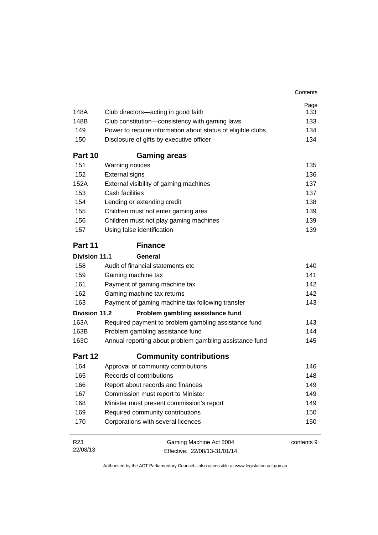|                      |                                                             | Contents   |
|----------------------|-------------------------------------------------------------|------------|
|                      |                                                             | Page       |
| 148A                 | Club directors-acting in good faith                         | 133        |
| 148B                 | Club constitution-consistency with gaming laws              | 133        |
| 149                  | Power to require information about status of eligible clubs | 134        |
| 150                  | Disclosure of gifts by executive officer                    | 134        |
| Part 10              | <b>Gaming areas</b>                                         |            |
| 151                  | Warning notices                                             | 135        |
| 152                  | <b>External signs</b>                                       | 136        |
| 152A                 | External visibility of gaming machines                      | 137        |
| 153                  | Cash facilities                                             | 137        |
| 154                  | Lending or extending credit                                 | 138        |
| 155                  | Children must not enter gaming area                         | 139        |
| 156                  | Children must not play gaming machines                      | 139        |
| 157                  | Using false identification                                  | 139        |
| Part 11              | <b>Finance</b>                                              |            |
| Division 11.1        | General                                                     |            |
| 158                  | Audit of financial statements etc                           | 140        |
| 159                  | Gaming machine tax                                          | 141        |
| 161                  | Payment of gaming machine tax                               | 142        |
| 162                  | Gaming machine tax returns                                  | 142        |
| 163                  | Payment of gaming machine tax following transfer            | 143        |
| <b>Division 11.2</b> | Problem gambling assistance fund                            |            |
| 163A                 | Required payment to problem gambling assistance fund        | 143        |
| 163B                 | Problem gambling assistance fund                            | 144        |
| 163C                 | Annual reporting about problem gambling assistance fund     | 145        |
| Part 12              | <b>Community contributions</b>                              |            |
| 164                  | Approval of community contributions                         | 146        |
| 165                  | Records of contributions                                    | 148        |
| 166                  | Report about records and finances                           | 149        |
| 167                  | Commission must report to Minister                          | 149        |
| 168                  | Minister must present commission's report                   | 149        |
| 169                  | Required community contributions                            | 150        |
| 170                  | Corporations with several licences                          | 150        |
| R <sub>23</sub>      | Gaming Machine Act 2004                                     | contents 9 |
| 22/08/13             | Effective: 22/08/13-31/01/14                                |            |

Effective: 22/08/13-31/01/14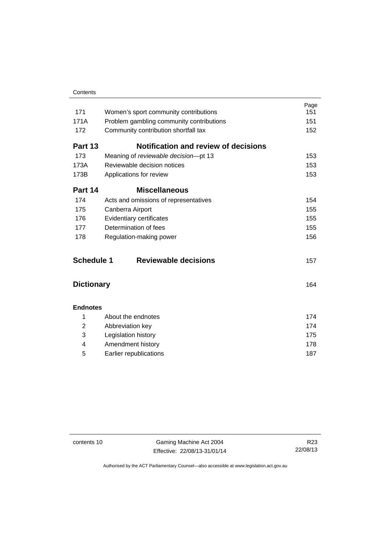| Contents |
|----------|
|          |

| 171               | Women's sport community contributions       | Page<br>151 |
|-------------------|---------------------------------------------|-------------|
| 171A              | Problem gambling community contributions    | 151         |
| 172               | Community contribution shortfall tax        | 152         |
| Part 13           | <b>Notification and review of decisions</b> |             |
| 173               | Meaning of reviewable decision-pt 13        | 153         |
| 173A              | Reviewable decision notices                 | 153         |
| 173B              | Applications for review                     | 153         |
| Part 14           | <b>Miscellaneous</b>                        |             |
| 174               | Acts and omissions of representatives       | 154         |
| 175               | Canberra Airport                            | 155         |
| 176               | Evidentiary certificates                    | 155         |
| 177               | Determination of fees                       | 155         |
| 178               | Regulation-making power                     | 156         |
| <b>Schedule 1</b> | <b>Reviewable decisions</b>                 | 157         |
| <b>Dictionary</b> |                                             | 164         |
| <b>Endnotes</b>   |                                             |             |
| 1                 | About the endnotes                          | 174         |
| $\overline{2}$    | Abbreviation key                            | 174         |
| 3                 | Legislation history                         | 175         |
| 4                 | Amendment history                           | 178         |
| 5                 | Earlier republications                      | 187         |

contents 10 Gaming Machine Act 2004 Effective: 22/08/13-31/01/14

R23 22/08/13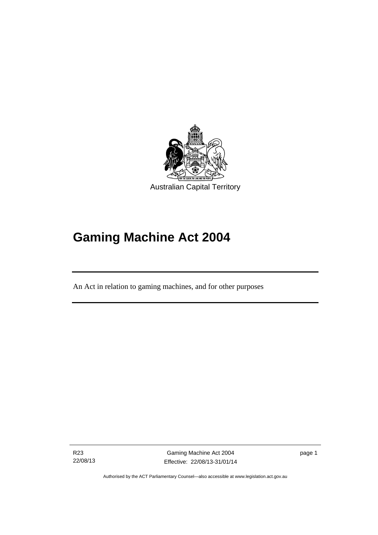

# **Gaming Machine Act 2004**

An Act in relation to gaming machines, and for other purposes

R23 22/08/13

Ī

Gaming Machine Act 2004 Effective: 22/08/13-31/01/14 page 1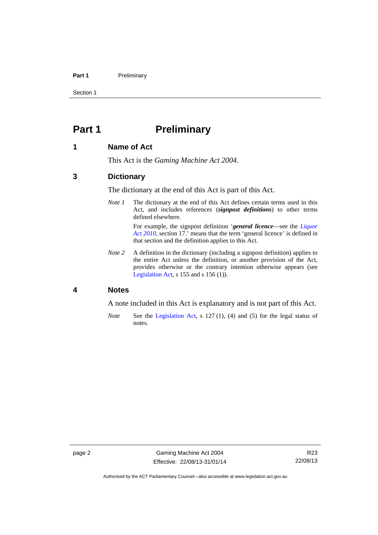### Part 1 **Preliminary**

Section 1

# <span id="page-13-0"></span>**Part 1** Preliminary

### <span id="page-13-1"></span>**1 Name of Act**

This Act is the *Gaming Machine Act 2004*.

### <span id="page-13-2"></span>**3 Dictionary**

The dictionary at the end of this Act is part of this Act.

*Note 1* The dictionary at the end of this Act defines certain terms used in this Act, and includes references (*signpost definitions*) to other terms defined elsewhere.

> For example, the signpost definition '*general licence*—see the *[Liquor](http://www.legislation.act.gov.au/a/2010-35)  [Act 2010](http://www.legislation.act.gov.au/a/2010-35)*, section 17.' means that the term 'general licence' is defined in that section and the definition applies to this Act.

*Note 2* A definition in the dictionary (including a signpost definition) applies to the entire Act unless the definition, or another provision of the Act, provides otherwise or the contrary intention otherwise appears (see [Legislation Act,](http://www.legislation.act.gov.au/a/2001-14) s 155 and s 156 (1)).

# <span id="page-13-3"></span>**4 Notes**

A note included in this Act is explanatory and is not part of this Act.

*Note* See the [Legislation Act,](http://www.legislation.act.gov.au/a/2001-14) s 127 (1), (4) and (5) for the legal status of notes.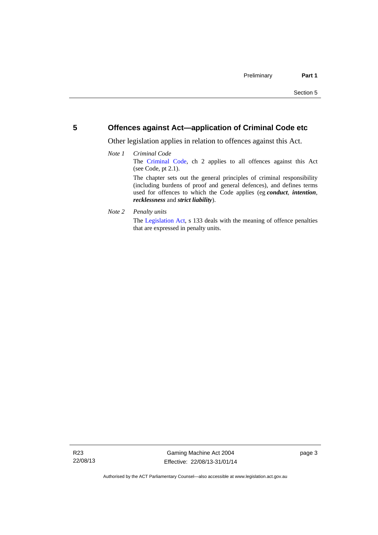# <span id="page-14-0"></span>**5 Offences against Act—application of Criminal Code etc**

Other legislation applies in relation to offences against this Act.

### *Note 1 Criminal Code* The [Criminal Code,](http://www.legislation.act.gov.au/a/2002-51) ch 2 applies to all offences against this Act (see Code, pt 2.1). The chapter sets out the general principles of criminal responsibility (including burdens of proof and general defences), and defines terms used for offences to which the Code applies (eg *conduct*, *intention*, *recklessness* and *strict liability*).

*Note 2 Penalty units* 

The [Legislation Act](http://www.legislation.act.gov.au/a/2001-14), s 133 deals with the meaning of offence penalties that are expressed in penalty units.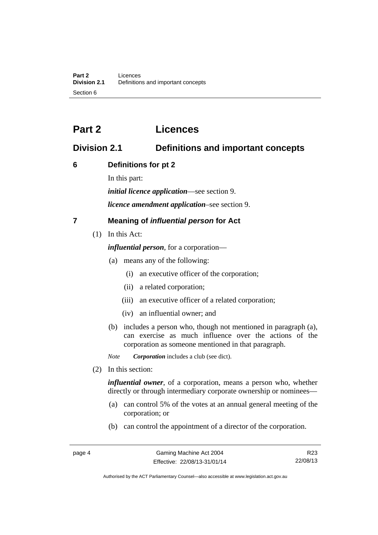# <span id="page-15-0"></span>**Part 2 Licences**

# <span id="page-15-1"></span>**Division 2.1 Definitions and important concepts**

# <span id="page-15-2"></span>**6 Definitions for pt 2**

In this part:

*initial licence application*—see section 9.

*licence amendment application*–see section 9.

# <span id="page-15-3"></span>**7 Meaning of** *influential person* **for Act**

(1) In this Act:

*influential person*, for a corporation—

- (a) means any of the following:
	- (i) an executive officer of the corporation;
	- (ii) a related corporation;
	- (iii) an executive officer of a related corporation;
	- (iv) an influential owner; and
- (b) includes a person who, though not mentioned in paragraph (a), can exercise as much influence over the actions of the corporation as someone mentioned in that paragraph.

*Note Corporation* includes a club (see dict).

(2) In this section:

*influential owner*, of a corporation, means a person who, whether directly or through intermediary corporate ownership or nominees—

- (a) can control 5% of the votes at an annual general meeting of the corporation; or
- (b) can control the appointment of a director of the corporation.

R23 22/08/13

Authorised by the ACT Parliamentary Counsel—also accessible at www.legislation.act.gov.au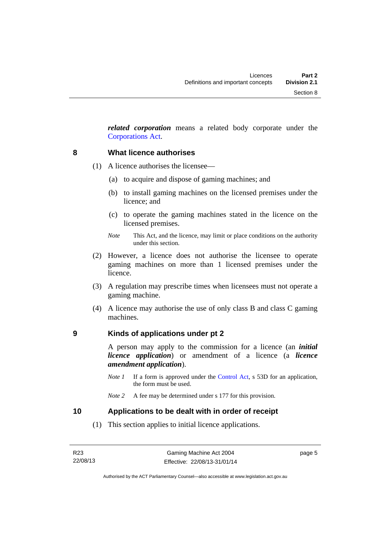*related corporation* means a related body corporate under the [Corporations Act](http://www.comlaw.gov.au/Series/C2004A00818).

### <span id="page-16-0"></span>**8 What licence authorises**

- (1) A licence authorises the licensee—
	- (a) to acquire and dispose of gaming machines; and
	- (b) to install gaming machines on the licensed premises under the licence; and
	- (c) to operate the gaming machines stated in the licence on the licensed premises.
	- *Note* This Act, and the licence, may limit or place conditions on the authority under this section.
- (2) However, a licence does not authorise the licensee to operate gaming machines on more than 1 licensed premises under the licence.
- (3) A regulation may prescribe times when licensees must not operate a gaming machine.
- (4) A licence may authorise the use of only class B and class C gaming machines.

# <span id="page-16-1"></span>**9 Kinds of applications under pt 2**

A person may apply to the commission for a licence (an *initial licence application*) or amendment of a licence (a *licence amendment application*).

*Note 1* If a form is approved under the [Control Act,](http://www.legislation.act.gov.au/a/1999-46) s 53D for an application, the form must be used.

# <span id="page-16-2"></span>**10 Applications to be dealt with in order of receipt**

(1) This section applies to initial licence applications.

page 5

*Note 2* A fee may be determined under s 177 for this provision.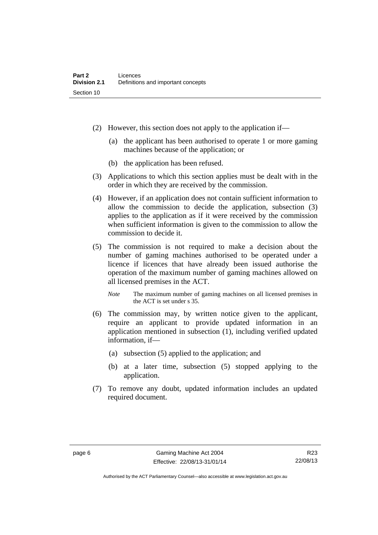- (2) However, this section does not apply to the application if—
	- (a) the applicant has been authorised to operate 1 or more gaming machines because of the application; or
	- (b) the application has been refused.
- (3) Applications to which this section applies must be dealt with in the order in which they are received by the commission.
- (4) However, if an application does not contain sufficient information to allow the commission to decide the application, subsection (3) applies to the application as if it were received by the commission when sufficient information is given to the commission to allow the commission to decide it.
- (5) The commission is not required to make a decision about the number of gaming machines authorised to be operated under a licence if licences that have already been issued authorise the operation of the maximum number of gaming machines allowed on all licensed premises in the ACT.
	- *Note* The maximum number of gaming machines on all licensed premises in the ACT is set under s 35.
- (6) The commission may, by written notice given to the applicant, require an applicant to provide updated information in an application mentioned in subsection (1), including verified updated information, if—
	- (a) subsection (5) applied to the application; and
	- (b) at a later time, subsection (5) stopped applying to the application.
- (7) To remove any doubt, updated information includes an updated required document.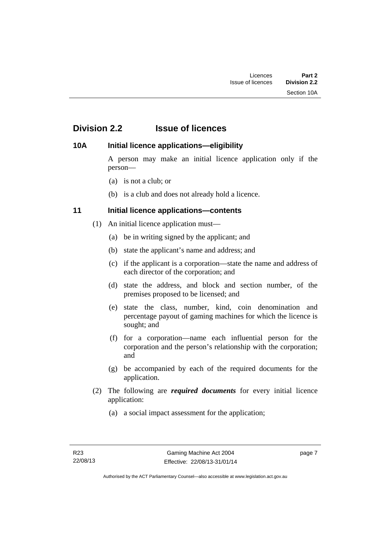# <span id="page-18-0"></span>**Division 2.2 Issue of licences**

# <span id="page-18-1"></span>**10A Initial licence applications—eligibility**

A person may make an initial licence application only if the person—

- (a) is not a club; or
- (b) is a club and does not already hold a licence.

# <span id="page-18-2"></span>**11 Initial licence applications—contents**

- (1) An initial licence application must—
	- (a) be in writing signed by the applicant; and
	- (b) state the applicant's name and address; and
	- (c) if the applicant is a corporation—state the name and address of each director of the corporation; and
	- (d) state the address, and block and section number, of the premises proposed to be licensed; and
	- (e) state the class, number, kind, coin denomination and percentage payout of gaming machines for which the licence is sought; and
	- (f) for a corporation—name each influential person for the corporation and the person's relationship with the corporation; and
	- (g) be accompanied by each of the required documents for the application.
- (2) The following are *required documents* for every initial licence application:
	- (a) a social impact assessment for the application;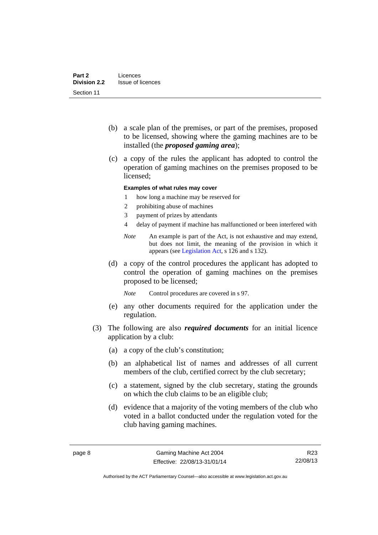- (b) a scale plan of the premises, or part of the premises, proposed to be licensed, showing where the gaming machines are to be installed (the *proposed gaming area*);
- (c) a copy of the rules the applicant has adopted to control the operation of gaming machines on the premises proposed to be licensed;

### **Examples of what rules may cover**

- 1 how long a machine may be reserved for
- 2 prohibiting abuse of machines
- 3 payment of prizes by attendants
- 4 delay of payment if machine has malfunctioned or been interfered with
- *Note* An example is part of the Act, is not exhaustive and may extend, but does not limit, the meaning of the provision in which it appears (see [Legislation Act,](http://www.legislation.act.gov.au/a/2001-14) s 126 and s 132).
- (d) a copy of the control procedures the applicant has adopted to control the operation of gaming machines on the premises proposed to be licensed;

*Note* Control procedures are covered in s 97.

- (e) any other documents required for the application under the regulation.
- (3) The following are also *required documents* for an initial licence application by a club:
	- (a) a copy of the club's constitution;
	- (b) an alphabetical list of names and addresses of all current members of the club, certified correct by the club secretary;
	- (c) a statement, signed by the club secretary, stating the grounds on which the club claims to be an eligible club;
	- (d) evidence that a majority of the voting members of the club who voted in a ballot conducted under the regulation voted for the club having gaming machines.

R23 22/08/13

Authorised by the ACT Parliamentary Counsel—also accessible at www.legislation.act.gov.au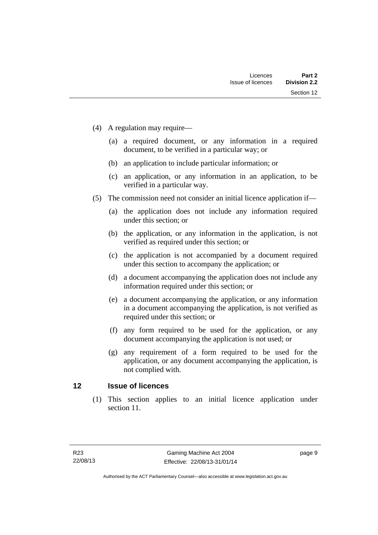- (4) A regulation may require—
	- (a) a required document, or any information in a required document, to be verified in a particular way; or
	- (b) an application to include particular information; or
	- (c) an application, or any information in an application, to be verified in a particular way.
- (5) The commission need not consider an initial licence application if—
	- (a) the application does not include any information required under this section; or
	- (b) the application, or any information in the application, is not verified as required under this section; or
	- (c) the application is not accompanied by a document required under this section to accompany the application; or
	- (d) a document accompanying the application does not include any information required under this section; or
	- (e) a document accompanying the application, or any information in a document accompanying the application, is not verified as required under this section; or
	- (f) any form required to be used for the application, or any document accompanying the application is not used; or
	- (g) any requirement of a form required to be used for the application, or any document accompanying the application, is not complied with.

# <span id="page-20-0"></span>**12 Issue of licences**

(1) This section applies to an initial licence application under section 11.

page 9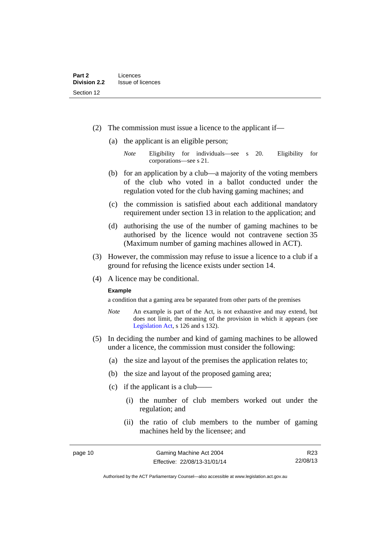- (2) The commission must issue a licence to the applicant if—
	- (a) the applicant is an eligible person;
		- *Note* Eligibility for individuals—see s 20. Eligibility for corporations—see s 21.
	- (b) for an application by a club—a majority of the voting members of the club who voted in a ballot conducted under the regulation voted for the club having gaming machines; and
	- (c) the commission is satisfied about each additional mandatory requirement under section 13 in relation to the application; and
	- (d) authorising the use of the number of gaming machines to be authorised by the licence would not contravene section 35 (Maximum number of gaming machines allowed in ACT).
- (3) However, the commission may refuse to issue a licence to a club if a ground for refusing the licence exists under section 14.
- (4) A licence may be conditional.

### **Example**

a condition that a gaming area be separated from other parts of the premises

- *Note* An example is part of the Act, is not exhaustive and may extend, but does not limit, the meaning of the provision in which it appears (see [Legislation Act,](http://www.legislation.act.gov.au/a/2001-14) s 126 and s 132).
- (5) In deciding the number and kind of gaming machines to be allowed under a licence, the commission must consider the following:
	- (a) the size and layout of the premises the application relates to;
	- (b) the size and layout of the proposed gaming area;
	- $(c)$  if the applicant is a club-
		- (i) the number of club members worked out under the regulation; and
		- (ii) the ratio of club members to the number of gaming machines held by the licensee; and

R23 22/08/13

Authorised by the ACT Parliamentary Counsel—also accessible at www.legislation.act.gov.au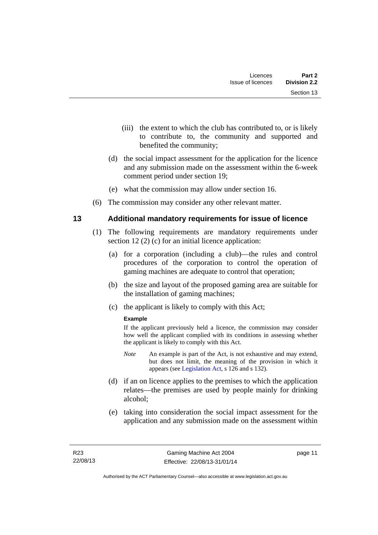- (iii) the extent to which the club has contributed to, or is likely to contribute to, the community and supported and benefited the community;
- (d) the social impact assessment for the application for the licence and any submission made on the assessment within the 6-week comment period under section 19;
- (e) what the commission may allow under section 16.
- (6) The commission may consider any other relevant matter.

# <span id="page-22-0"></span>**13 Additional mandatory requirements for issue of licence**

- (1) The following requirements are mandatory requirements under section 12 (2) (c) for an initial licence application:
	- (a) for a corporation (including a club)—the rules and control procedures of the corporation to control the operation of gaming machines are adequate to control that operation;
	- (b) the size and layout of the proposed gaming area are suitable for the installation of gaming machines;
	- (c) the applicant is likely to comply with this Act;

# **Example**

If the applicant previously held a licence, the commission may consider how well the applicant complied with its conditions in assessing whether the applicant is likely to comply with this Act.

- *Note* An example is part of the Act, is not exhaustive and may extend, but does not limit, the meaning of the provision in which it appears (see [Legislation Act,](http://www.legislation.act.gov.au/a/2001-14) s 126 and s 132).
- (d) if an on licence applies to the premises to which the application relates—the premises are used by people mainly for drinking alcohol;
- (e) taking into consideration the social impact assessment for the application and any submission made on the assessment within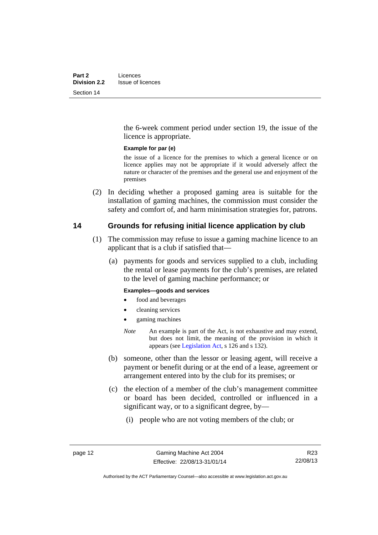the 6-week comment period under section 19, the issue of the licence is appropriate.

### **Example for par (e)**

the issue of a licence for the premises to which a general licence or on licence applies may not be appropriate if it would adversely affect the nature or character of the premises and the general use and enjoyment of the premises

 (2) In deciding whether a proposed gaming area is suitable for the installation of gaming machines, the commission must consider the safety and comfort of, and harm minimisation strategies for, patrons.

# <span id="page-23-0"></span>**14 Grounds for refusing initial licence application by club**

- (1) The commission may refuse to issue a gaming machine licence to an applicant that is a club if satisfied that—
	- (a) payments for goods and services supplied to a club, including the rental or lease payments for the club's premises, are related to the level of gaming machine performance; or

### **Examples—goods and services**

- food and beverages
- cleaning services
- gaming machines
- *Note* An example is part of the Act, is not exhaustive and may extend, but does not limit, the meaning of the provision in which it appears (see [Legislation Act,](http://www.legislation.act.gov.au/a/2001-14) s 126 and s 132).
- (b) someone, other than the lessor or leasing agent, will receive a payment or benefit during or at the end of a lease, agreement or arrangement entered into by the club for its premises; or
- (c) the election of a member of the club's management committee or board has been decided, controlled or influenced in a significant way, or to a significant degree, by—
	- (i) people who are not voting members of the club; or

Authorised by the ACT Parliamentary Counsel—also accessible at www.legislation.act.gov.au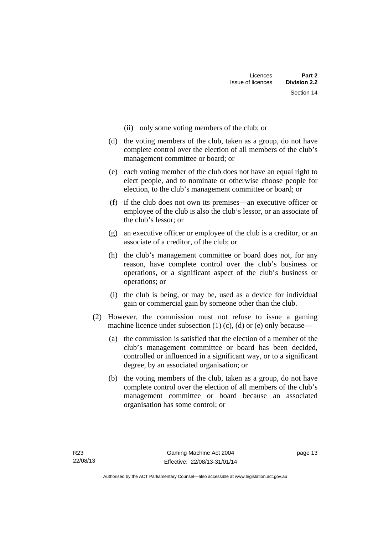- (ii) only some voting members of the club; or
- (d) the voting members of the club, taken as a group, do not have complete control over the election of all members of the club's management committee or board; or
- (e) each voting member of the club does not have an equal right to elect people, and to nominate or otherwise choose people for election, to the club's management committee or board; or
- (f) if the club does not own its premises—an executive officer or employee of the club is also the club's lessor, or an associate of the club's lessor; or
- (g) an executive officer or employee of the club is a creditor, or an associate of a creditor, of the club; or
- (h) the club's management committee or board does not, for any reason, have complete control over the club's business or operations, or a significant aspect of the club's business or operations; or
- (i) the club is being, or may be, used as a device for individual gain or commercial gain by someone other than the club.
- (2) However, the commission must not refuse to issue a gaming machine licence under subsection  $(1)$   $(c)$ ,  $(d)$  or  $(e)$  only because—
	- (a) the commission is satisfied that the election of a member of the club's management committee or board has been decided, controlled or influenced in a significant way, or to a significant degree, by an associated organisation; or
	- (b) the voting members of the club, taken as a group, do not have complete control over the election of all members of the club's management committee or board because an associated organisation has some control; or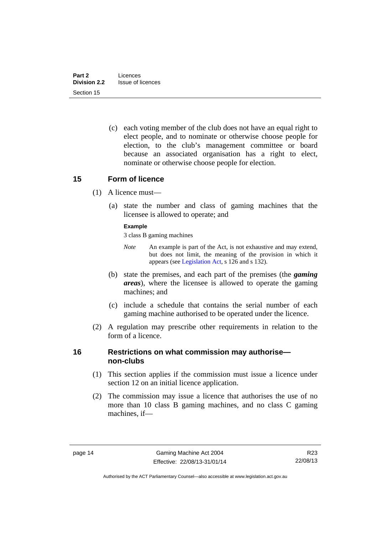(c) each voting member of the club does not have an equal right to elect people, and to nominate or otherwise choose people for election, to the club's management committee or board because an associated organisation has a right to elect, nominate or otherwise choose people for election.

# <span id="page-25-0"></span>**15 Form of licence**

- (1) A licence must—
	- (a) state the number and class of gaming machines that the licensee is allowed to operate; and

### **Example**

3 class B gaming machines

- *Note* An example is part of the Act, is not exhaustive and may extend, but does not limit, the meaning of the provision in which it appears (see [Legislation Act,](http://www.legislation.act.gov.au/a/2001-14) s 126 and s 132).
- (b) state the premises, and each part of the premises (the *gaming areas*), where the licensee is allowed to operate the gaming machines; and
- (c) include a schedule that contains the serial number of each gaming machine authorised to be operated under the licence.
- (2) A regulation may prescribe other requirements in relation to the form of a licence.

# <span id="page-25-1"></span>**16 Restrictions on what commission may authorise non-clubs**

- (1) This section applies if the commission must issue a licence under section 12 on an initial licence application.
- (2) The commission may issue a licence that authorises the use of no more than 10 class B gaming machines, and no class C gaming machines, if—

Authorised by the ACT Parliamentary Counsel—also accessible at www.legislation.act.gov.au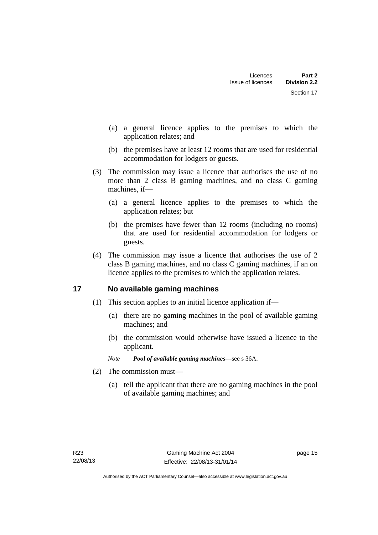- (a) a general licence applies to the premises to which the application relates; and
- (b) the premises have at least 12 rooms that are used for residential accommodation for lodgers or guests.
- (3) The commission may issue a licence that authorises the use of no more than 2 class B gaming machines, and no class C gaming machines, if—
	- (a) a general licence applies to the premises to which the application relates; but
	- (b) the premises have fewer than 12 rooms (including no rooms) that are used for residential accommodation for lodgers or guests.
- (4) The commission may issue a licence that authorises the use of 2 class B gaming machines, and no class C gaming machines, if an on licence applies to the premises to which the application relates.

# <span id="page-26-0"></span>**17 No available gaming machines**

- (1) This section applies to an initial licence application if—
	- (a) there are no gaming machines in the pool of available gaming machines; and
	- (b) the commission would otherwise have issued a licence to the applicant.
	- *Note Pool of available gaming machines*—see s 36A.
- (2) The commission must—
	- (a) tell the applicant that there are no gaming machines in the pool of available gaming machines; and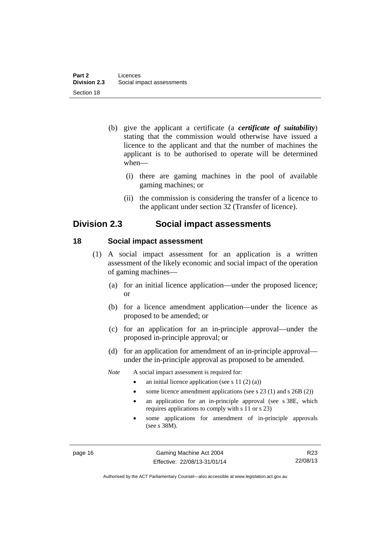- (b) give the applicant a certificate (a *certificate of suitability*) stating that the commission would otherwise have issued a licence to the applicant and that the number of machines the applicant is to be authorised to operate will be determined when—
	- (i) there are gaming machines in the pool of available gaming machines; or
	- (ii) the commission is considering the transfer of a licence to the applicant under section 32 (Transfer of licence).

# <span id="page-27-0"></span>**Division 2.3 Social impact assessments**

# <span id="page-27-1"></span>**18 Social impact assessment**

- (1) A social impact assessment for an application is a written assessment of the likely economic and social impact of the operation of gaming machines—
	- (a) for an initial licence application—under the proposed licence; or
	- (b) for a licence amendment application—under the licence as proposed to be amended; or
	- (c) for an application for an in-principle approval—under the proposed in-principle approval; or
	- (d) for an application for amendment of an in-principle approval under the in-principle approval as proposed to be amended.
	- *Note* A social impact assessment is required for:
		- an initial licence application (see s 11 (2) (a))
		- some licence amendment applications (see s 23 (1) and s 26B (2))
		- an application for an in-principle approval (see s 38E, which requires applications to comply with s 11 or s 23)
		- some applications for amendment of in-principle approvals (see s 38M).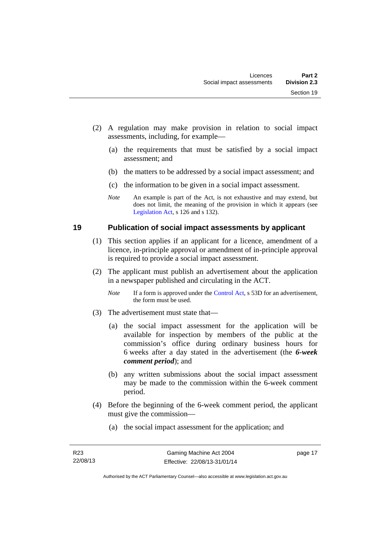- (2) A regulation may make provision in relation to social impact assessments, including, for example—
	- (a) the requirements that must be satisfied by a social impact assessment; and
	- (b) the matters to be addressed by a social impact assessment; and
	- (c) the information to be given in a social impact assessment.
	- *Note* An example is part of the Act, is not exhaustive and may extend, but does not limit, the meaning of the provision in which it appears (see [Legislation Act,](http://www.legislation.act.gov.au/a/2001-14) s 126 and s 132).

# <span id="page-28-0"></span>**19 Publication of social impact assessments by applicant**

- (1) This section applies if an applicant for a licence, amendment of a licence, in-principle approval or amendment of in-principle approval is required to provide a social impact assessment.
- (2) The applicant must publish an advertisement about the application in a newspaper published and circulating in the ACT.
	- *Note* If a form is approved under the [Control Act,](http://www.legislation.act.gov.au/a/1999-46) s 53D for an advertisement, the form must be used.
- (3) The advertisement must state that—
	- (a) the social impact assessment for the application will be available for inspection by members of the public at the commission's office during ordinary business hours for 6 weeks after a day stated in the advertisement (the *6-week comment period*); and
	- (b) any written submissions about the social impact assessment may be made to the commission within the 6-week comment period.
- (4) Before the beginning of the 6-week comment period, the applicant must give the commission—
	- (a) the social impact assessment for the application; and

page 17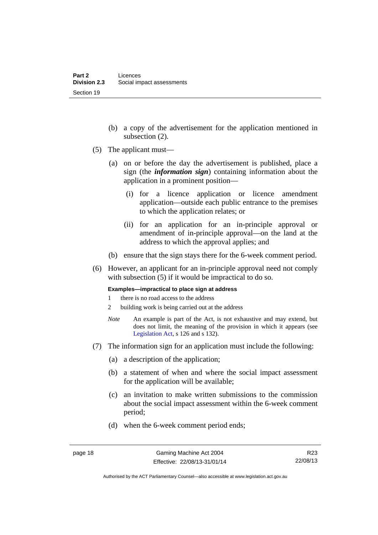- (b) a copy of the advertisement for the application mentioned in subsection (2).
- (5) The applicant must—
	- (a) on or before the day the advertisement is published, place a sign (the *information sign*) containing information about the application in a prominent position—
		- (i) for a licence application or licence amendment application—outside each public entrance to the premises to which the application relates; or
		- (ii) for an application for an in-principle approval or amendment of in-principle approval—on the land at the address to which the approval applies; and
	- (b) ensure that the sign stays there for the 6-week comment period.
- (6) However, an applicant for an in-principle approval need not comply with subsection (5) if it would be impractical to do so.

**Examples—impractical to place sign at address** 

- 1 there is no road access to the address
- 2 building work is being carried out at the address
- *Note* An example is part of the Act, is not exhaustive and may extend, but does not limit, the meaning of the provision in which it appears (see [Legislation Act,](http://www.legislation.act.gov.au/a/2001-14) s 126 and s 132).
- (7) The information sign for an application must include the following:
	- (a) a description of the application;
	- (b) a statement of when and where the social impact assessment for the application will be available;
	- (c) an invitation to make written submissions to the commission about the social impact assessment within the 6-week comment period;
	- (d) when the 6-week comment period ends;

Authorised by the ACT Parliamentary Counsel—also accessible at www.legislation.act.gov.au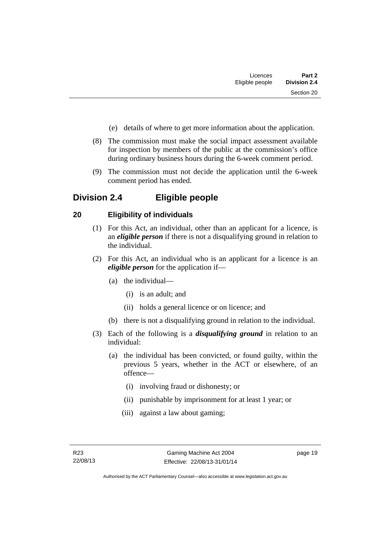- (e) details of where to get more information about the application.
- (8) The commission must make the social impact assessment available for inspection by members of the public at the commission's office during ordinary business hours during the 6-week comment period.
- (9) The commission must not decide the application until the 6-week comment period has ended.

# <span id="page-30-0"></span>**Division 2.4 Eligible people**

# <span id="page-30-1"></span>**20 Eligibility of individuals**

- (1) For this Act, an individual, other than an applicant for a licence, is an *eligible person* if there is not a disqualifying ground in relation to the individual.
- (2) For this Act, an individual who is an applicant for a licence is an *eligible person* for the application if—
	- (a) the individual—
		- (i) is an adult; and
		- (ii) holds a general licence or on licence; and
	- (b) there is not a disqualifying ground in relation to the individual.
- (3) Each of the following is a *disqualifying ground* in relation to an individual:
	- (a) the individual has been convicted, or found guilty, within the previous 5 years, whether in the ACT or elsewhere, of an offence—
		- (i) involving fraud or dishonesty; or
		- (ii) punishable by imprisonment for at least 1 year; or
		- (iii) against a law about gaming;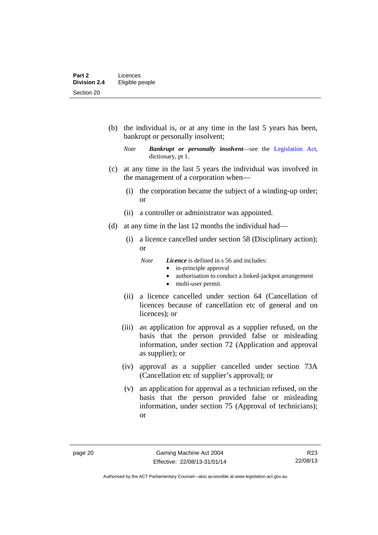(b) the individual is, or at any time in the last 5 years has been, bankrupt or personally insolvent;

- (c) at any time in the last 5 years the individual was involved in the management of a corporation when—
	- (i) the corporation became the subject of a winding-up order; or
	- (ii) a controller or administrator was appointed.
- (d) at any time in the last 12 months the individual had—
	- (i) a licence cancelled under section 58 (Disciplinary action); or
		- *Note Licence* is defined in s 56 and includes:
			- in-principle approval
			- authorisation to conduct a linked-jackpot arrangement
			- multi-user permit.
	- (ii) a licence cancelled under section 64 (Cancellation of licences because of cancellation etc of general and on licences); or
	- (iii) an application for approval as a supplier refused, on the basis that the person provided false or misleading information, under section 72 (Application and approval as supplier); or
	- (iv) approval as a supplier cancelled under section 73A (Cancellation etc of supplier's approval); or
	- (v) an application for approval as a technician refused, on the basis that the person provided false or misleading information, under section 75 (Approval of technicians); or

*Note Bankrupt or personally insolvent*—see the [Legislation Act,](http://www.legislation.act.gov.au/a/2001-14) dictionary, pt 1.

R23 22/08/13

Authorised by the ACT Parliamentary Counsel—also accessible at www.legislation.act.gov.au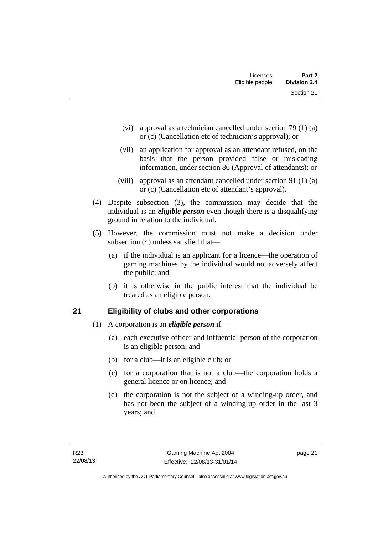| Licences        | Part 2              |
|-----------------|---------------------|
| Eligible people | <b>Division 2.4</b> |
|                 | Section 21          |

- (vi) approval as a technician cancelled under section 79 (1) (a) or (c) (Cancellation etc of technician's approval); or
- (vii) an application for approval as an attendant refused, on the basis that the person provided false or misleading information, under section 86 (Approval of attendants); or
- (viii) approval as an attendant cancelled under section 91 (1) (a) or (c) (Cancellation etc of attendant's approval).
- (4) Despite subsection (3), the commission may decide that the individual is an *eligible person* even though there is a disqualifying ground in relation to the individual.
- (5) However, the commission must not make a decision under subsection (4) unless satisfied that—
	- (a) if the individual is an applicant for a licence—the operation of gaming machines by the individual would not adversely affect the public; and
	- (b) it is otherwise in the public interest that the individual be treated as an eligible person.

# <span id="page-32-0"></span>**21 Eligibility of clubs and other corporations**

- (1) A corporation is an *eligible person* if—
	- (a) each executive officer and influential person of the corporation is an eligible person; and
	- (b) for a club—it is an eligible club; or
	- (c) for a corporation that is not a club—the corporation holds a general licence or on licence; and
	- (d) the corporation is not the subject of a winding-up order, and has not been the subject of a winding-up order in the last 3 years; and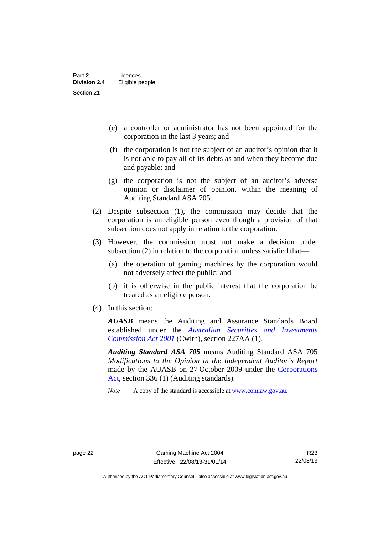- (e) a controller or administrator has not been appointed for the corporation in the last 3 years; and
- (f) the corporation is not the subject of an auditor's opinion that it is not able to pay all of its debts as and when they become due and payable; and
- (g) the corporation is not the subject of an auditor's adverse opinion or disclaimer of opinion, within the meaning of Auditing Standard ASA 705.
- (2) Despite subsection (1), the commission may decide that the corporation is an eligible person even though a provision of that subsection does not apply in relation to the corporation.
- (3) However, the commission must not make a decision under subsection (2) in relation to the corporation unless satisfied that—
	- (a) the operation of gaming machines by the corporation would not adversely affect the public; and
	- (b) it is otherwise in the public interest that the corporation be treated as an eligible person.
- (4) In this section:

*AUASB* means the Auditing and Assurance Standards Board established under the *[Australian Securities and Investments](http://www.comlaw.gov.au/Series/C2004A00819)  [Commission Act 2001](http://www.comlaw.gov.au/Series/C2004A00819)* (Cwlth), section 227AA (1).

*Auditing Standard ASA 705* means Auditing Standard ASA 705 *Modifications to the Opinion in the Independent Auditor's Report* made by the AUASB on 27 October 2009 under the [Corporations](http://www.comlaw.gov.au/Series/C2004A00818)  [Act](http://www.comlaw.gov.au/Series/C2004A00818), section 336 (1) (Auditing standards).

*Note* A copy of the standard is accessible at [www.comlaw.gov.au.](http://www.comlaw.gov.au/) 

Authorised by the ACT Parliamentary Counsel—also accessible at www.legislation.act.gov.au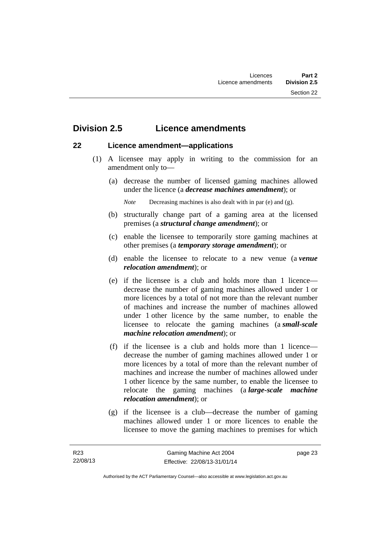# <span id="page-34-0"></span>**Division 2.5 Licence amendments**

# <span id="page-34-1"></span>**22 Licence amendment—applications**

- (1) A licensee may apply in writing to the commission for an amendment only to—
	- (a) decrease the number of licensed gaming machines allowed under the licence (a *decrease machines amendment*); or

*Note* Decreasing machines is also dealt with in par (e) and (g).

- (b) structurally change part of a gaming area at the licensed premises (a *structural change amendment*); or
- (c) enable the licensee to temporarily store gaming machines at other premises (a *temporary storage amendment*); or
- (d) enable the licensee to relocate to a new venue (a *venue relocation amendment*); or
- (e) if the licensee is a club and holds more than 1 licence decrease the number of gaming machines allowed under 1 or more licences by a total of not more than the relevant number of machines and increase the number of machines allowed under 1 other licence by the same number, to enable the licensee to relocate the gaming machines (a *small-scale machine relocation amendment*); or
- (f) if the licensee is a club and holds more than 1 licence decrease the number of gaming machines allowed under 1 or more licences by a total of more than the relevant number of machines and increase the number of machines allowed under 1 other licence by the same number, to enable the licensee to relocate the gaming machines (a *large-scale machine relocation amendment*); or
- (g) if the licensee is a club—decrease the number of gaming machines allowed under 1 or more licences to enable the licensee to move the gaming machines to premises for which

page 23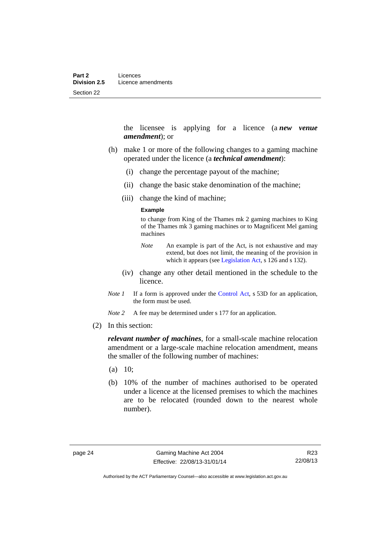the licensee is applying for a licence (a *new venue amendment*); or

- (h) make 1 or more of the following changes to a gaming machine operated under the licence (a *technical amendment*):
	- (i) change the percentage payout of the machine;
	- (ii) change the basic stake denomination of the machine;
	- (iii) change the kind of machine;

#### **Example**

to change from King of the Thames mk 2 gaming machines to King of the Thames mk 3 gaming machines or to Magnificent Mel gaming machines

- *Note* An example is part of the Act, is not exhaustive and may extend, but does not limit, the meaning of the provision in which it appears (see [Legislation Act,](http://www.legislation.act.gov.au/a/2001-14) s 126 and s 132).
- (iv) change any other detail mentioned in the schedule to the licence.
- *Note 1* If a form is approved under the [Control Act](http://www.legislation.act.gov.au/a/1999-46), s 53D for an application, the form must be used.

*Note* 2 A fee may be determined under s 177 for an application.

(2) In this section:

*relevant number of machines*, for a small-scale machine relocation amendment or a large-scale machine relocation amendment, means the smaller of the following number of machines:

- $(a)$  10;
- (b) 10% of the number of machines authorised to be operated under a licence at the licensed premises to which the machines are to be relocated (rounded down to the nearest whole number).

R23 22/08/13

Authorised by the ACT Parliamentary Counsel—also accessible at www.legislation.act.gov.au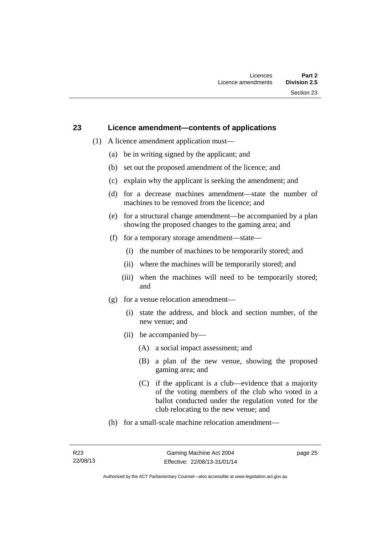#### **23 Licence amendment—contents of applications**

- (1) A licence amendment application must—
	- (a) be in writing signed by the applicant; and
	- (b) set out the proposed amendment of the licence; and
	- (c) explain why the applicant is seeking the amendment; and
	- (d) for a decrease machines amendment—state the number of machines to be removed from the licence; and
	- (e) for a structural change amendment—be accompanied by a plan showing the proposed changes to the gaming area; and
	- (f) for a temporary storage amendment—state—
		- (i) the number of machines to be temporarily stored; and
		- (ii) where the machines will be temporarily stored; and
		- (iii) when the machines will need to be temporarily stored; and
	- (g) for a venue relocation amendment—
		- (i) state the address, and block and section number, of the new venue; and
		- (ii) be accompanied by—
			- (A) a social impact assessment; and
			- (B) a plan of the new venue, showing the proposed gaming area; and
			- (C) if the applicant is a club—evidence that a majority of the voting members of the club who voted in a ballot conducted under the regulation voted for the club relocating to the new venue; and
	- (h) for a small-scale machine relocation amendment—

page 25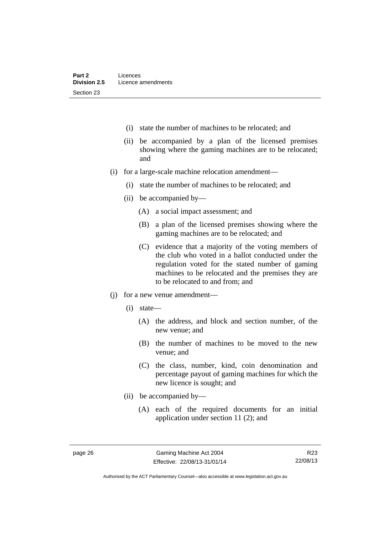- (i) state the number of machines to be relocated; and
- (ii) be accompanied by a plan of the licensed premises showing where the gaming machines are to be relocated; and
- (i) for a large-scale machine relocation amendment—
	- (i) state the number of machines to be relocated; and
	- (ii) be accompanied by—
		- (A) a social impact assessment; and
		- (B) a plan of the licensed premises showing where the gaming machines are to be relocated; and
		- (C) evidence that a majority of the voting members of the club who voted in a ballot conducted under the regulation voted for the stated number of gaming machines to be relocated and the premises they are to be relocated to and from; and
- (j) for a new venue amendment—
	- (i) state—
		- (A) the address, and block and section number, of the new venue; and
		- (B) the number of machines to be moved to the new venue; and
		- (C) the class, number, kind, coin denomination and percentage payout of gaming machines for which the new licence is sought; and
	- (ii) be accompanied by—
		- (A) each of the required documents for an initial application under section 11 (2); and

Authorised by the ACT Parliamentary Counsel—also accessible at www.legislation.act.gov.au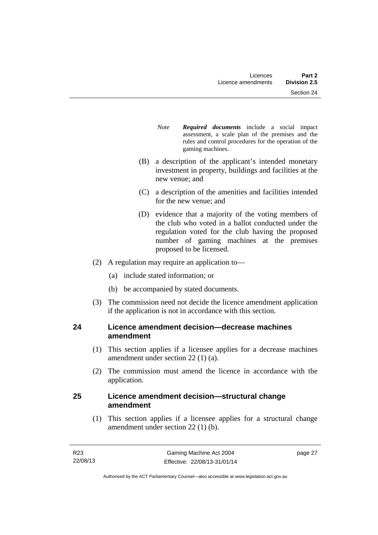- *Note Required documents* include a social impact assessment, a scale plan of the premises and the rules and control procedures for the operation of the gaming machines.
- (B) a description of the applicant's intended monetary investment in property, buildings and facilities at the new venue; and
- (C) a description of the amenities and facilities intended for the new venue; and
- (D) evidence that a majority of the voting members of the club who voted in a ballot conducted under the regulation voted for the club having the proposed number of gaming machines at the premises proposed to be licensed.
- (2) A regulation may require an application to—
	- (a) include stated information; or
	- (b) be accompanied by stated documents.
- (3) The commission need not decide the licence amendment application if the application is not in accordance with this section.

## **24 Licence amendment decision—decrease machines amendment**

- (1) This section applies if a licensee applies for a decrease machines amendment under section 22 (1) (a).
- (2) The commission must amend the licence in accordance with the application.

## **25 Licence amendment decision—structural change amendment**

(1) This section applies if a licensee applies for a structural change amendment under section 22 (1) (b).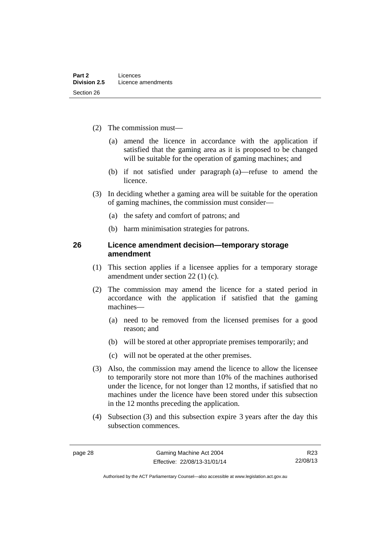- (2) The commission must—
	- (a) amend the licence in accordance with the application if satisfied that the gaming area as it is proposed to be changed will be suitable for the operation of gaming machines; and
	- (b) if not satisfied under paragraph (a)—refuse to amend the licence.
- (3) In deciding whether a gaming area will be suitable for the operation of gaming machines, the commission must consider—
	- (a) the safety and comfort of patrons; and
	- (b) harm minimisation strategies for patrons.

#### **26 Licence amendment decision—temporary storage amendment**

- (1) This section applies if a licensee applies for a temporary storage amendment under section 22 (1) (c).
- (2) The commission may amend the licence for a stated period in accordance with the application if satisfied that the gaming machines—
	- (a) need to be removed from the licensed premises for a good reason; and
	- (b) will be stored at other appropriate premises temporarily; and
	- (c) will not be operated at the other premises.
- (3) Also, the commission may amend the licence to allow the licensee to temporarily store not more than 10% of the machines authorised under the licence, for not longer than 12 months, if satisfied that no machines under the licence have been stored under this subsection in the 12 months preceding the application.
- (4) Subsection (3) and this subsection expire 3 years after the day this subsection commences.

R23 22/08/13

Authorised by the ACT Parliamentary Counsel—also accessible at www.legislation.act.gov.au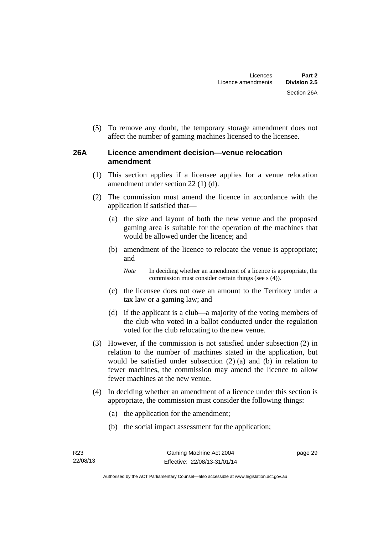(5) To remove any doubt, the temporary storage amendment does not affect the number of gaming machines licensed to the licensee.

### **26A Licence amendment decision—venue relocation amendment**

- (1) This section applies if a licensee applies for a venue relocation amendment under section 22 (1) (d).
- (2) The commission must amend the licence in accordance with the application if satisfied that—
	- (a) the size and layout of both the new venue and the proposed gaming area is suitable for the operation of the machines that would be allowed under the licence; and
	- (b) amendment of the licence to relocate the venue is appropriate; and

*Note* In deciding whether an amendment of a licence is appropriate, the commission must consider certain things (see s (4)).

- (c) the licensee does not owe an amount to the Territory under a tax law or a gaming law; and
- (d) if the applicant is a club—a majority of the voting members of the club who voted in a ballot conducted under the regulation voted for the club relocating to the new venue.
- (3) However, if the commission is not satisfied under subsection (2) in relation to the number of machines stated in the application, but would be satisfied under subsection (2) (a) and (b) in relation to fewer machines, the commission may amend the licence to allow fewer machines at the new venue.
- (4) In deciding whether an amendment of a licence under this section is appropriate, the commission must consider the following things:
	- (a) the application for the amendment;
	- (b) the social impact assessment for the application;

page 29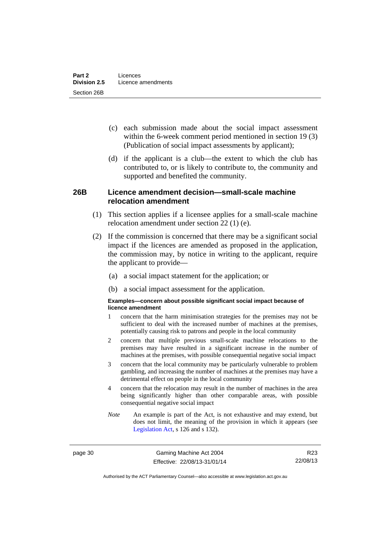- (c) each submission made about the social impact assessment within the 6-week comment period mentioned in section 19 (3) (Publication of social impact assessments by applicant);
- (d) if the applicant is a club—the extent to which the club has contributed to, or is likely to contribute to, the community and supported and benefited the community.

### **26B Licence amendment decision—small-scale machine relocation amendment**

- (1) This section applies if a licensee applies for a small-scale machine relocation amendment under section 22 (1) (e).
- (2) If the commission is concerned that there may be a significant social impact if the licences are amended as proposed in the application, the commission may, by notice in writing to the applicant, require the applicant to provide—
	- (a) a social impact statement for the application; or
	- (b) a social impact assessment for the application.

#### **Examples—concern about possible significant social impact because of licence amendment**

- 1 concern that the harm minimisation strategies for the premises may not be sufficient to deal with the increased number of machines at the premises, potentially causing risk to patrons and people in the local community
- 2 concern that multiple previous small-scale machine relocations to the premises may have resulted in a significant increase in the number of machines at the premises, with possible consequential negative social impact
- 3 concern that the local community may be particularly vulnerable to problem gambling, and increasing the number of machines at the premises may have a detrimental effect on people in the local community
- 4 concern that the relocation may result in the number of machines in the area being significantly higher than other comparable areas, with possible consequential negative social impact
- *Note* An example is part of the Act, is not exhaustive and may extend, but does not limit, the meaning of the provision in which it appears (see [Legislation Act,](http://www.legislation.act.gov.au/a/2001-14) s 126 and s 132).

page 30 Gaming Machine Act 2004 Effective: 22/08/13-31/01/14

R23 22/08/13

Authorised by the ACT Parliamentary Counsel—also accessible at www.legislation.act.gov.au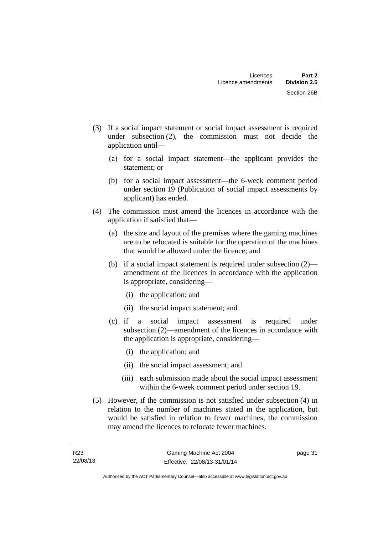- (3) If a social impact statement or social impact assessment is required under subsection (2), the commission must not decide the application until—
	- (a) for a social impact statement—the applicant provides the statement; or
	- (b) for a social impact assessment—the 6-week comment period under section 19 (Publication of social impact assessments by applicant) has ended.
- (4) The commission must amend the licences in accordance with the application if satisfied that—
	- (a) the size and layout of the premises where the gaming machines are to be relocated is suitable for the operation of the machines that would be allowed under the licence; and
	- (b) if a social impact statement is required under subsection (2) amendment of the licences in accordance with the application is appropriate, considering—
		- (i) the application; and
		- (ii) the social impact statement; and
	- (c) if a social impact assessment is required under subsection (2)—amendment of the licences in accordance with the application is appropriate, considering—
		- (i) the application; and
		- (ii) the social impact assessment; and
		- (iii) each submission made about the social impact assessment within the 6-week comment period under section 19.
- (5) However, if the commission is not satisfied under subsection (4) in relation to the number of machines stated in the application, but would be satisfied in relation to fewer machines, the commission may amend the licences to relocate fewer machines.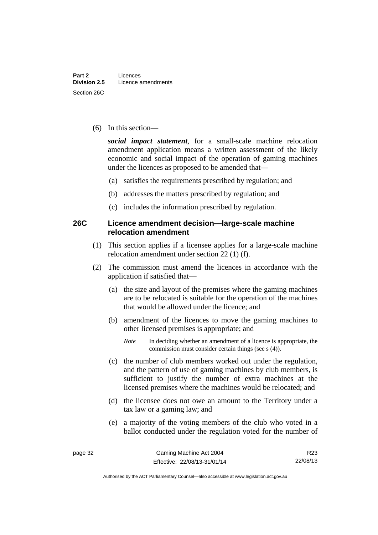(6) In this section—

*social impact statement*, for a small-scale machine relocation amendment application means a written assessment of the likely economic and social impact of the operation of gaming machines under the licences as proposed to be amended that—

- (a) satisfies the requirements prescribed by regulation; and
- (b) addresses the matters prescribed by regulation; and
- (c) includes the information prescribed by regulation.

#### **26C Licence amendment decision—large-scale machine relocation amendment**

- (1) This section applies if a licensee applies for a large-scale machine relocation amendment under section 22 (1) (f).
- (2) The commission must amend the licences in accordance with the application if satisfied that—
	- (a) the size and layout of the premises where the gaming machines are to be relocated is suitable for the operation of the machines that would be allowed under the licence; and
	- (b) amendment of the licences to move the gaming machines to other licensed premises is appropriate; and
		- *Note* In deciding whether an amendment of a licence is appropriate, the commission must consider certain things (see s (4)).
	- (c) the number of club members worked out under the regulation, and the pattern of use of gaming machines by club members, is sufficient to justify the number of extra machines at the licensed premises where the machines would be relocated; and
	- (d) the licensee does not owe an amount to the Territory under a tax law or a gaming law; and
	- (e) a majority of the voting members of the club who voted in a ballot conducted under the regulation voted for the number of

R23 22/08/13

Authorised by the ACT Parliamentary Counsel—also accessible at www.legislation.act.gov.au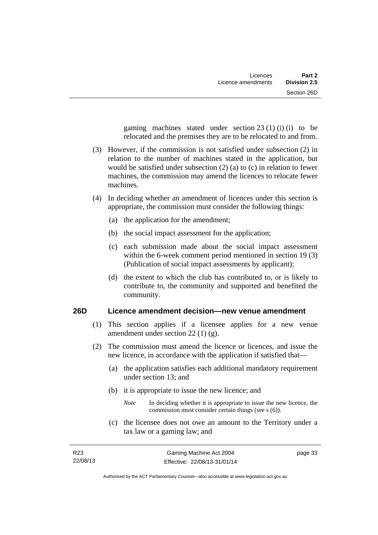gaming machines stated under section  $23(1)(i)$  (i) to be relocated and the premises they are to be relocated to and from.

- (3) However, if the commission is not satisfied under subsection (2) in relation to the number of machines stated in the application, but would be satisfied under subsection (2) (a) to (c) in relation to fewer machines, the commission may amend the licences to relocate fewer machines.
- (4) In deciding whether an amendment of licences under this section is appropriate, the commission must consider the following things:
	- (a) the application for the amendment;
	- (b) the social impact assessment for the application;
	- (c) each submission made about the social impact assessment within the 6-week comment period mentioned in section 19 (3) (Publication of social impact assessments by applicant);
	- (d) the extent to which the club has contributed to, or is likely to contribute to, the community and supported and benefited the community.

### **26D Licence amendment decision—new venue amendment**

- (1) This section applies if a licensee applies for a new venue amendment under section 22 (1) (g).
- (2) The commission must amend the licence or licences, and issue the new licence, in accordance with the application if satisfied that—
	- (a) the application satisfies each additional mandatory requirement under section 13; and
	- (b) it is appropriate to issue the new licence; and
		- *Note* In deciding whether it is appropriate to issue the new licence, the commission must consider certain things (see s (6)).
	- (c) the licensee does not owe an amount to the Territory under a tax law or a gaming law; and

page 33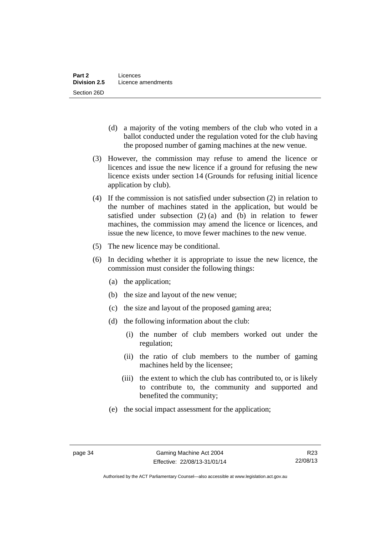- (d) a majority of the voting members of the club who voted in a ballot conducted under the regulation voted for the club having the proposed number of gaming machines at the new venue.
- (3) However, the commission may refuse to amend the licence or licences and issue the new licence if a ground for refusing the new licence exists under section 14 (Grounds for refusing initial licence application by club).
- (4) If the commission is not satisfied under subsection (2) in relation to the number of machines stated in the application, but would be satisfied under subsection (2) (a) and (b) in relation to fewer machines, the commission may amend the licence or licences, and issue the new licence, to move fewer machines to the new venue.
- (5) The new licence may be conditional.
- (6) In deciding whether it is appropriate to issue the new licence, the commission must consider the following things:
	- (a) the application;
	- (b) the size and layout of the new venue;
	- (c) the size and layout of the proposed gaming area;
	- (d) the following information about the club:
		- (i) the number of club members worked out under the regulation;
		- (ii) the ratio of club members to the number of gaming machines held by the licensee;
		- (iii) the extent to which the club has contributed to, or is likely to contribute to, the community and supported and benefited the community;
	- (e) the social impact assessment for the application;

Authorised by the ACT Parliamentary Counsel—also accessible at www.legislation.act.gov.au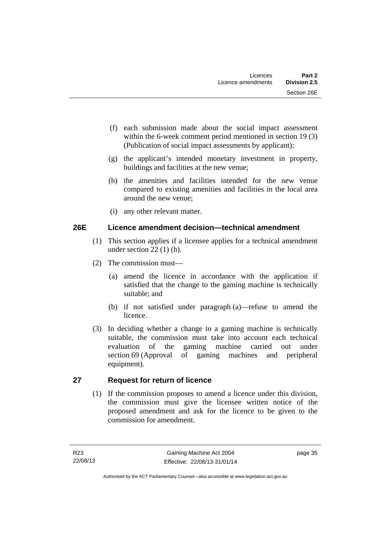- (f) each submission made about the social impact assessment within the 6-week comment period mentioned in section 19 (3) (Publication of social impact assessments by applicant);
- (g) the applicant's intended monetary investment in property, buildings and facilities at the new venue;
- (h) the amenities and facilities intended for the new venue compared to existing amenities and facilities in the local area around the new venue;
- (i) any other relevant matter.

## **26E Licence amendment decision—technical amendment**

- (1) This section applies if a licensee applies for a technical amendment under section 22 (1) (h).
- (2) The commission must—
	- (a) amend the licence in accordance with the application if satisfied that the change to the gaming machine is technically suitable; and
	- (b) if not satisfied under paragraph (a)—refuse to amend the licence.
- (3) In deciding whether a change to a gaming machine is technically suitable, the commission must take into account each technical evaluation of the gaming machine carried out under section 69 (Approval of gaming machines and peripheral equipment).

# **27 Request for return of licence**

(1) If the commission proposes to amend a licence under this division, the commission must give the licensee written notice of the proposed amendment and ask for the licence to be given to the commission for amendment.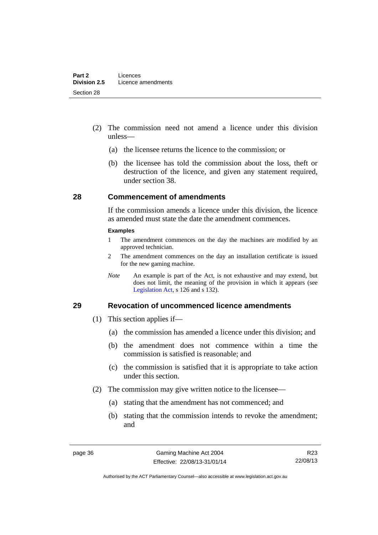- (2) The commission need not amend a licence under this division unless—
	- (a) the licensee returns the licence to the commission; or
	- (b) the licensee has told the commission about the loss, theft or destruction of the licence, and given any statement required, under section 38.

#### **28 Commencement of amendments**

If the commission amends a licence under this division, the licence as amended must state the date the amendment commences.

#### **Examples**

- 1 The amendment commences on the day the machines are modified by an approved technician.
- 2 The amendment commences on the day an installation certificate is issued for the new gaming machine.
- *Note* An example is part of the Act, is not exhaustive and may extend, but does not limit, the meaning of the provision in which it appears (see [Legislation Act,](http://www.legislation.act.gov.au/a/2001-14) s 126 and s 132).

#### **29 Revocation of uncommenced licence amendments**

- (1) This section applies if—
	- (a) the commission has amended a licence under this division; and
	- (b) the amendment does not commence within a time the commission is satisfied is reasonable; and
	- (c) the commission is satisfied that it is appropriate to take action under this section.
- (2) The commission may give written notice to the licensee—
	- (a) stating that the amendment has not commenced; and
	- (b) stating that the commission intends to revoke the amendment; and

R23 22/08/13

Authorised by the ACT Parliamentary Counsel—also accessible at www.legislation.act.gov.au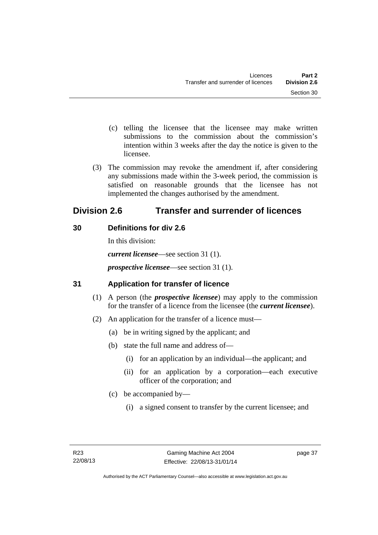- (c) telling the licensee that the licensee may make written submissions to the commission about the commission's intention within 3 weeks after the day the notice is given to the licensee.
- (3) The commission may revoke the amendment if, after considering any submissions made within the 3-week period, the commission is satisfied on reasonable grounds that the licensee has not implemented the changes authorised by the amendment.

# **Division 2.6 Transfer and surrender of licences**

# **30 Definitions for div 2.6**

In this division: *current licensee*—see section 31 (1). *prospective licensee*—see section 31 (1).

# **31 Application for transfer of licence**

- (1) A person (the *prospective licensee*) may apply to the commission for the transfer of a licence from the licensee (the *current licensee*).
- (2) An application for the transfer of a licence must—
	- (a) be in writing signed by the applicant; and
	- (b) state the full name and address of—
		- (i) for an application by an individual—the applicant; and
		- (ii) for an application by a corporation—each executive officer of the corporation; and
	- (c) be accompanied by—
		- (i) a signed consent to transfer by the current licensee; and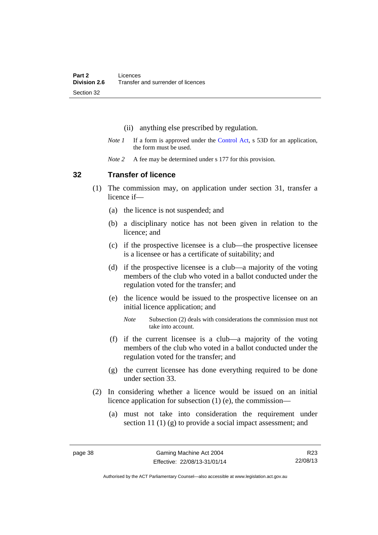- (ii) anything else prescribed by regulation.
- *Note 1* If a form is approved under the [Control Act,](http://www.legislation.act.gov.au/a/1999-46) s 53D for an application, the form must be used.
- *Note* 2 A fee may be determined under s 177 for this provision.

#### **32 Transfer of licence**

- (1) The commission may, on application under section 31, transfer a licence if—
	- (a) the licence is not suspended; and
	- (b) a disciplinary notice has not been given in relation to the licence; and
	- (c) if the prospective licensee is a club—the prospective licensee is a licensee or has a certificate of suitability; and
	- (d) if the prospective licensee is a club—a majority of the voting members of the club who voted in a ballot conducted under the regulation voted for the transfer; and
	- (e) the licence would be issued to the prospective licensee on an initial licence application; and
		- *Note* Subsection (2) deals with considerations the commission must not take into account.
	- (f) if the current licensee is a club—a majority of the voting members of the club who voted in a ballot conducted under the regulation voted for the transfer; and
	- (g) the current licensee has done everything required to be done under section 33.
- (2) In considering whether a licence would be issued on an initial licence application for subsection (1) (e), the commission—
	- (a) must not take into consideration the requirement under section 11 (1) (g) to provide a social impact assessment; and

Authorised by the ACT Parliamentary Counsel—also accessible at www.legislation.act.gov.au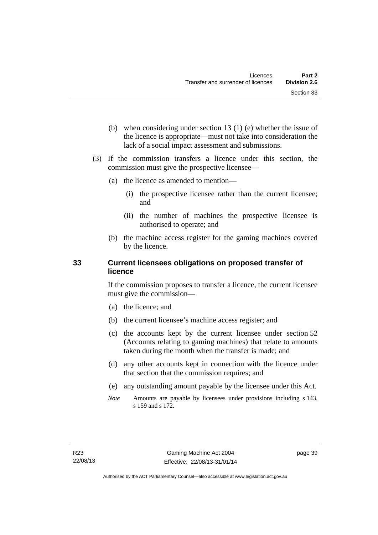- (b) when considering under section 13 (1) (e) whether the issue of the licence is appropriate—must not take into consideration the lack of a social impact assessment and submissions.
- (3) If the commission transfers a licence under this section, the commission must give the prospective licensee—
	- (a) the licence as amended to mention—
		- (i) the prospective licensee rather than the current licensee; and
		- (ii) the number of machines the prospective licensee is authorised to operate; and
	- (b) the machine access register for the gaming machines covered by the licence.

### **33 Current licensees obligations on proposed transfer of licence**

If the commission proposes to transfer a licence, the current licensee must give the commission—

- (a) the licence; and
- (b) the current licensee's machine access register; and
- (c) the accounts kept by the current licensee under section 52 (Accounts relating to gaming machines) that relate to amounts taken during the month when the transfer is made; and
- (d) any other accounts kept in connection with the licence under that section that the commission requires; and
- (e) any outstanding amount payable by the licensee under this Act.
- *Note* Amounts are payable by licensees under provisions including s 143, s 159 and s 172.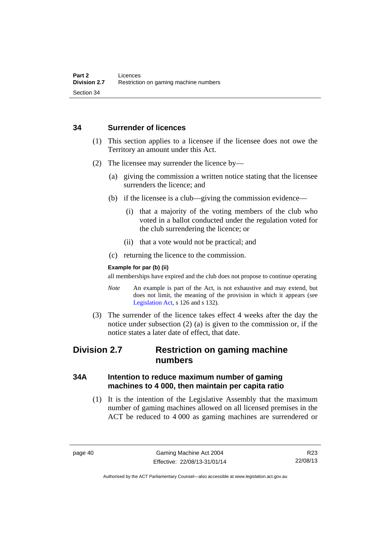#### **34 Surrender of licences**

- (1) This section applies to a licensee if the licensee does not owe the Territory an amount under this Act.
- (2) The licensee may surrender the licence by—
	- (a) giving the commission a written notice stating that the licensee surrenders the licence; and
	- (b) if the licensee is a club—giving the commission evidence—
		- (i) that a majority of the voting members of the club who voted in a ballot conducted under the regulation voted for the club surrendering the licence; or
		- (ii) that a vote would not be practical; and
	- (c) returning the licence to the commission.

#### **Example for par (b) (ii)**

all memberships have expired and the club does not propose to continue operating

- *Note* An example is part of the Act, is not exhaustive and may extend, but does not limit, the meaning of the provision in which it appears (see [Legislation Act,](http://www.legislation.act.gov.au/a/2001-14) s 126 and s 132).
- (3) The surrender of the licence takes effect 4 weeks after the day the notice under subsection (2) (a) is given to the commission or, if the notice states a later date of effect, that date.

# **Division 2.7 Restriction on gaming machine numbers**

## **34A Intention to reduce maximum number of gaming machines to 4 000, then maintain per capita ratio**

 (1) It is the intention of the Legislative Assembly that the maximum number of gaming machines allowed on all licensed premises in the ACT be reduced to 4 000 as gaming machines are surrendered or

Authorised by the ACT Parliamentary Counsel—also accessible at www.legislation.act.gov.au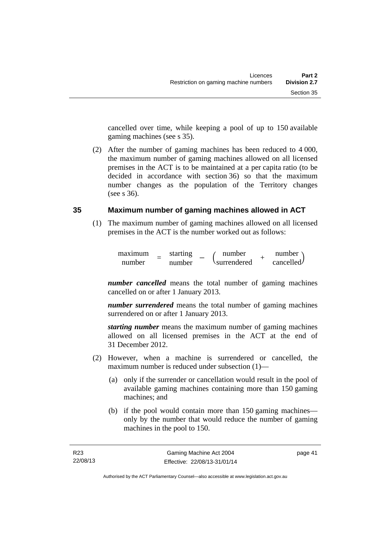cancelled over time, while keeping a pool of up to 150 available gaming machines (see s 35).

 (2) After the number of gaming machines has been reduced to 4 000, the maximum number of gaming machines allowed on all licensed premises in the ACT is to be maintained at a per capita ratio (to be decided in accordance with section 36) so that the maximum number changes as the population of the Territory changes (see s 36).

## **35 Maximum number of gaming machines allowed in ACT**

 (1) The maximum number of gaming machines allowed on all licensed premises in the ACT is the number worked out as follows:

$$
\begin{array}{cccc}\n\text{maximum} & = & \text{starting} & - & \text{(number} & + & \text{number} \\
\text{number} & = & \text{number} & & \text{surrendered} & + & \text{cancelled}\n\end{array}
$$

*number cancelled* means the total number of gaming machines cancelled on or after 1 January 2013.

*number surrendered* means the total number of gaming machines surrendered on or after 1 January 2013.

*starting number* means the maximum number of gaming machines allowed on all licensed premises in the ACT at the end of 31 December 2012.

- (2) However, when a machine is surrendered or cancelled, the maximum number is reduced under subsection (1)—
	- (a) only if the surrender or cancellation would result in the pool of available gaming machines containing more than 150 gaming machines; and
	- (b) if the pool would contain more than 150 gaming machines only by the number that would reduce the number of gaming machines in the pool to 150.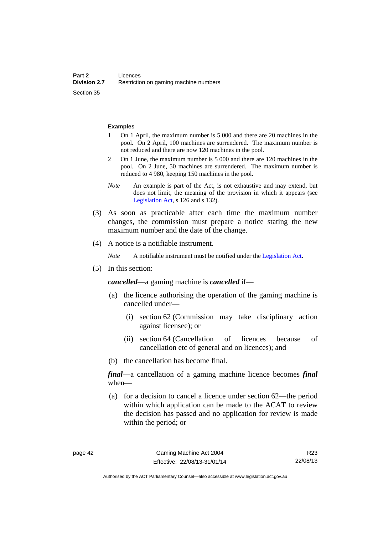#### **Examples**

- 1 On 1 April, the maximum number is 5 000 and there are 20 machines in the pool. On 2 April, 100 machines are surrendered. The maximum number is not reduced and there are now 120 machines in the pool.
- 2 On 1 June, the maximum number is 5 000 and there are 120 machines in the pool. On 2 June, 50 machines are surrendered. The maximum number is reduced to 4 980, keeping 150 machines in the pool.
- *Note* An example is part of the Act, is not exhaustive and may extend, but does not limit, the meaning of the provision in which it appears (see [Legislation Act,](http://www.legislation.act.gov.au/a/2001-14) s 126 and s 132).
- (3) As soon as practicable after each time the maximum number changes, the commission must prepare a notice stating the new maximum number and the date of the change.
- (4) A notice is a notifiable instrument.

*Note* A notifiable instrument must be notified under the [Legislation Act](http://www.legislation.act.gov.au/a/2001-14).

(5) In this section:

*cancelled*—a gaming machine is *cancelled* if—

- (a) the licence authorising the operation of the gaming machine is cancelled under—
	- (i) section 62 (Commission may take disciplinary action against licensee); or
	- (ii) section 64 (Cancellation of licences because of cancellation etc of general and on licences); and
- (b) the cancellation has become final.

*final*—a cancellation of a gaming machine licence becomes *final* when—

 (a) for a decision to cancel a licence under section 62—the period within which application can be made to the ACAT to review the decision has passed and no application for review is made within the period; or

R23 22/08/13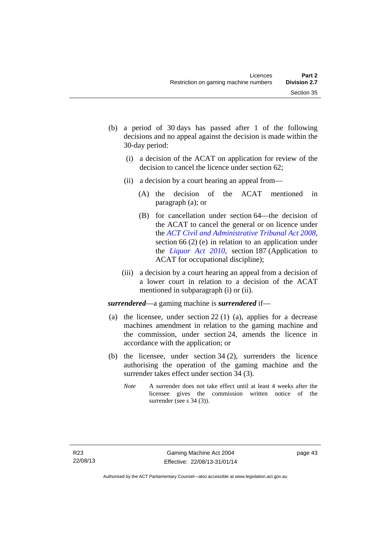- (b) a period of 30 days has passed after 1 of the following decisions and no appeal against the decision is made within the 30-day period:
	- (i) a decision of the ACAT on application for review of the decision to cancel the licence under section 62;
	- (ii) a decision by a court hearing an appeal from—
		- (A) the decision of the ACAT mentioned in paragraph (a); or
		- (B) for cancellation under section 64—the decision of the ACAT to cancel the general or on licence under the *[ACT Civil and Administrative Tribunal Act 2008](http://www.legislation.act.gov.au/a/2008-35)*, section 66 (2) (e) in relation to an application under the *[Liquor Act 2010](http://www.legislation.act.gov.au/a/2010-35)*, section 187 (Application to ACAT for occupational discipline);
	- (iii) a decision by a court hearing an appeal from a decision of a lower court in relation to a decision of the ACAT mentioned in subparagraph (i) or (ii).

*surrendered*—a gaming machine is *surrendered* if—

- (a) the licensee, under section 22 (1) (a), applies for a decrease machines amendment in relation to the gaming machine and the commission, under section 24, amends the licence in accordance with the application; or
- (b) the licensee, under section 34 (2), surrenders the licence authorising the operation of the gaming machine and the surrender takes effect under section 34 (3).
	- *Note* A surrender does not take effect until at least 4 weeks after the licensee gives the commission written notice of the surrender (see s 34 (3)).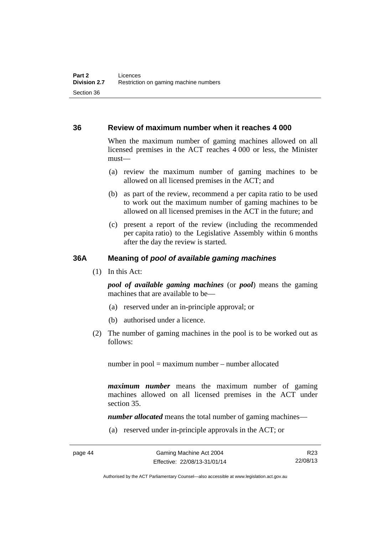#### **36 Review of maximum number when it reaches 4 000**

When the maximum number of gaming machines allowed on all licensed premises in the ACT reaches 4 000 or less, the Minister must—

- (a) review the maximum number of gaming machines to be allowed on all licensed premises in the ACT; and
- (b) as part of the review, recommend a per capita ratio to be used to work out the maximum number of gaming machines to be allowed on all licensed premises in the ACT in the future; and
- (c) present a report of the review (including the recommended per capita ratio) to the Legislative Assembly within 6 months after the day the review is started.

#### **36A Meaning of** *pool of available gaming machines*

(1) In this Act:

*pool of available gaming machines* (or *pool*) means the gaming machines that are available to be—

- (a) reserved under an in-principle approval; or
- (b) authorised under a licence.
- (2) The number of gaming machines in the pool is to be worked out as follows:

number in pool = maximum number – number allocated

*maximum number* means the maximum number of gaming machines allowed on all licensed premises in the ACT under section 35.

*number allocated* means the total number of gaming machines—

(a) reserved under in-principle approvals in the ACT; or

R23 22/08/13

Authorised by the ACT Parliamentary Counsel—also accessible at www.legislation.act.gov.au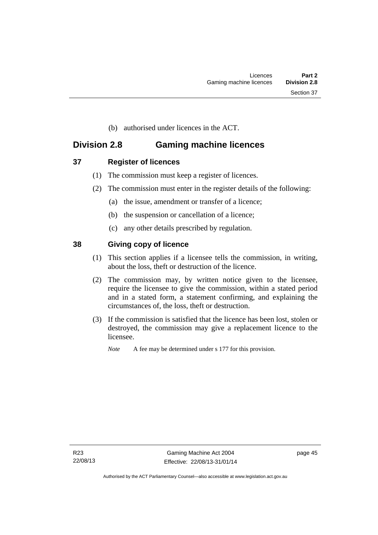(b) authorised under licences in the ACT.

# **Division 2.8 Gaming machine licences**

- **37 Register of licences** 
	- (1) The commission must keep a register of licences.
	- (2) The commission must enter in the register details of the following:
		- (a) the issue, amendment or transfer of a licence;
		- (b) the suspension or cancellation of a licence;
		- (c) any other details prescribed by regulation.

## **38 Giving copy of licence**

- (1) This section applies if a licensee tells the commission, in writing, about the loss, theft or destruction of the licence.
- (2) The commission may, by written notice given to the licensee, require the licensee to give the commission, within a stated period and in a stated form, a statement confirming, and explaining the circumstances of, the loss, theft or destruction.
- (3) If the commission is satisfied that the licence has been lost, stolen or destroyed, the commission may give a replacement licence to the licensee.

*Note* A fee may be determined under s 177 for this provision.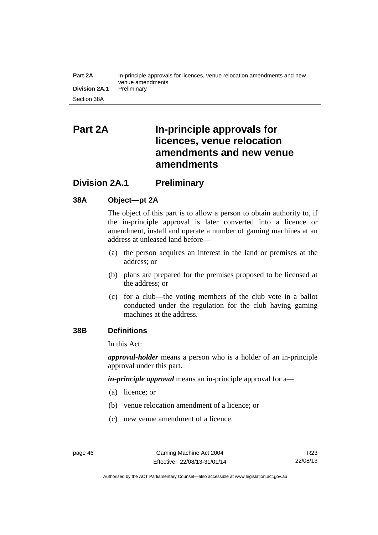#### **Part 2A** In-principle approvals for licences, venue relocation amendments and new venue amendments **Division 2A.1** Preliminary Section 38A

# **Part 2A In-principle approvals for licences, venue relocation amendments and new venue amendments**

# **Division 2A.1 Preliminary**

## **38A Object—pt 2A**

The object of this part is to allow a person to obtain authority to, if the in-principle approval is later converted into a licence or amendment, install and operate a number of gaming machines at an address at unleased land before—

- (a) the person acquires an interest in the land or premises at the address; or
- (b) plans are prepared for the premises proposed to be licensed at the address; or
- (c) for a club—the voting members of the club vote in a ballot conducted under the regulation for the club having gaming machines at the address.

## **38B Definitions**

In this Act:

*approval-holder* means a person who is a holder of an in-principle approval under this part.

*in-principle approval* means an in-principle approval for a—

- (a) licence; or
- (b) venue relocation amendment of a licence; or
- (c) new venue amendment of a licence.

Authorised by the ACT Parliamentary Counsel—also accessible at www.legislation.act.gov.au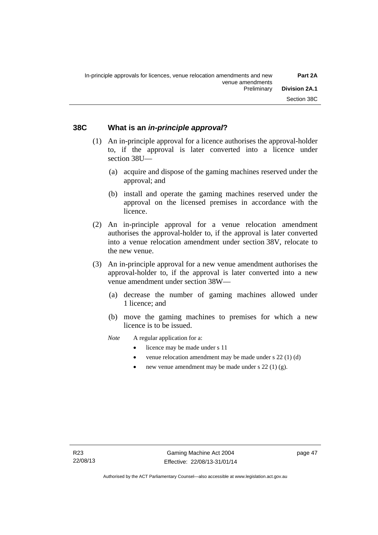#### **38C What is an** *in-principle approval***?**

- (1) An in-principle approval for a licence authorises the approval-holder to, if the approval is later converted into a licence under section 38U—
	- (a) acquire and dispose of the gaming machines reserved under the approval; and
	- (b) install and operate the gaming machines reserved under the approval on the licensed premises in accordance with the licence.
- (2) An in-principle approval for a venue relocation amendment authorises the approval-holder to, if the approval is later converted into a venue relocation amendment under section 38V, relocate to the new venue.
- (3) An in-principle approval for a new venue amendment authorises the approval-holder to, if the approval is later converted into a new venue amendment under section 38W—
	- (a) decrease the number of gaming machines allowed under 1 licence; and
	- (b) move the gaming machines to premises for which a new licence is to be issued.
	- *Note* A regular application for a:
		- licence may be made under s 11
		- venue relocation amendment may be made under s 22 (1) (d)
		- new venue amendment may be made under s 22 (1) (g).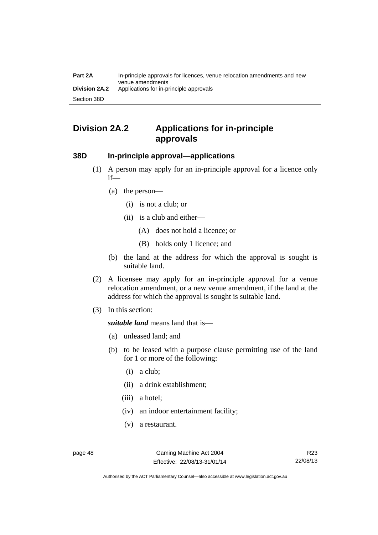# **Division 2A.2 Applications for in-principle approvals**

#### **38D In-principle approval—applications**

- (1) A person may apply for an in-principle approval for a licence only if—
	- (a) the person—
		- (i) is not a club; or
		- (ii) is a club and either—
			- (A) does not hold a licence; or
			- (B) holds only 1 licence; and
	- (b) the land at the address for which the approval is sought is suitable land.
- (2) A licensee may apply for an in-principle approval for a venue relocation amendment, or a new venue amendment, if the land at the address for which the approval is sought is suitable land.
- (3) In this section:

*suitable land* means land that is—

- (a) unleased land; and
- (b) to be leased with a purpose clause permitting use of the land for 1 or more of the following:
	- (i) a club;
	- (ii) a drink establishment;
	- (iii) a hotel;
	- (iv) an indoor entertainment facility;
	- (v) a restaurant.

Authorised by the ACT Parliamentary Counsel—also accessible at www.legislation.act.gov.au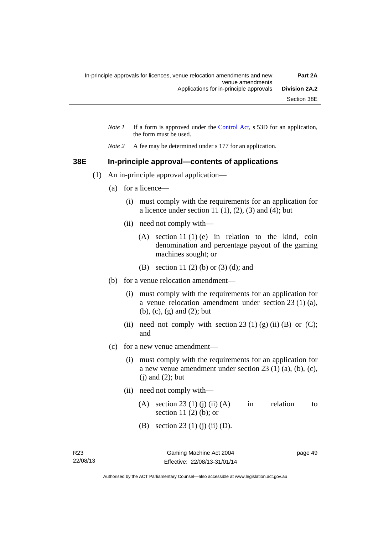- *Note 1* If a form is approved under the [Control Act](http://www.legislation.act.gov.au/a/1999-46), s 53D for an application, the form must be used.
- *Note 2* A fee may be determined under s 177 for an application.

#### **38E In-principle approval—contents of applications**

- (1) An in-principle approval application—
	- (a) for a licence—
		- (i) must comply with the requirements for an application for a licence under section 11 $(1)$ ,  $(2)$ ,  $(3)$  and  $(4)$ ; but
		- (ii) need not comply with—
			- (A) section 11 (1) (e) in relation to the kind, coin denomination and percentage payout of the gaming machines sought; or
			- (B) section 11 (2) (b) or (3) (d); and
	- (b) for a venue relocation amendment—
		- (i) must comply with the requirements for an application for a venue relocation amendment under section 23 (1) (a), (b), (c), (g) and (2); but
		- (ii) need not comply with section 23 (1) (g) (ii) (B) or (C); and
	- (c) for a new venue amendment—
		- (i) must comply with the requirements for an application for a new venue amendment under section 23 (1) (a), (b), (c),  $(i)$  and  $(2)$ ; but
		- (ii) need not comply with—
			- (A) section 23 (1) (j) (ii) (A) in relation to section 11 $(2)$  $(b)$ ; or
			- (B) section 23 (1) (j) (ii) (D).

page 49

Authorised by the ACT Parliamentary Counsel—also accessible at www.legislation.act.gov.au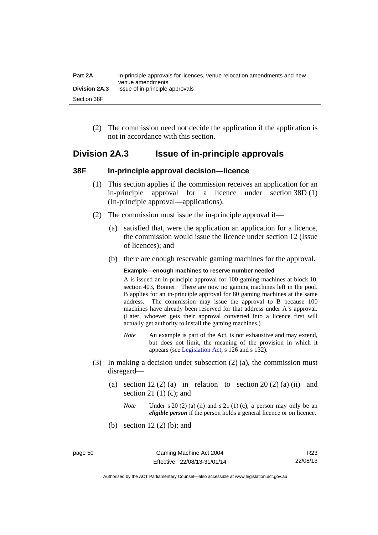| Part 2A       | In-principle approvals for licences, venue relocation amendments and new<br>venue amendments |
|---------------|----------------------------------------------------------------------------------------------|
| Division 2A.3 | Issue of in-principle approvals                                                              |
| Section 38F   |                                                                                              |

 (2) The commission need not decide the application if the application is not in accordance with this section.

## **Division 2A.3 Issue of in-principle approvals**

#### **38F In-principle approval decision—licence**

- (1) This section applies if the commission receives an application for an in-principle approval for a licence under section 38D (1) (In-principle approval—applications).
- (2) The commission must issue the in-principle approval if—
	- (a) satisfied that, were the application an application for a licence, the commission would issue the licence under section 12 (Issue of licences); and
	- (b) there are enough reservable gaming machines for the approval.

#### **Example—enough machines to reserve number needed**

A is issued an in-principle approval for 100 gaming machines at block 10, section 403, Bonner. There are now no gaming machines left in the pool. B applies for an in-principle approval for 80 gaming machines at the same address. The commission may issue the approval to B because 100 machines have already been reserved for that address under A's approval. (Later, whoever gets their approval converted into a licence first will actually get authority to install the gaming machines.)

- *Note* An example is part of the Act, is not exhaustive and may extend, but does not limit, the meaning of the provision in which it appears (see [Legislation Act,](http://www.legislation.act.gov.au/a/2001-14) s 126 and s 132).
- (3) In making a decision under subsection (2) (a), the commission must disregard—
	- (a) section  $12(2)(a)$  in relation to section  $20(2)(a)$  (ii) and section 21 $(1)$  $(c)$ ; and
		- *Note* Under s 20 (2) (a) (ii) and s 21 (1) (c), a person may only be an *eligible person* if the person holds a general licence or on licence.
	- (b) section 12 (2) (b); and

R23 22/08/13

Authorised by the ACT Parliamentary Counsel—also accessible at www.legislation.act.gov.au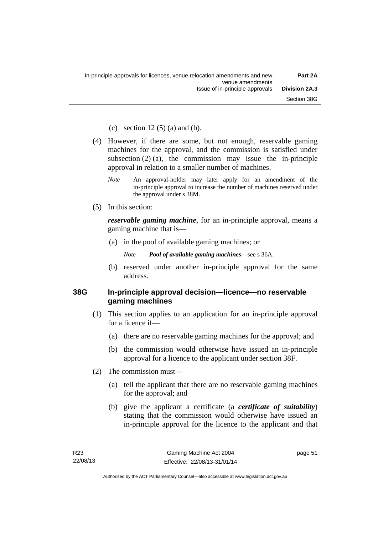(c) section  $12(5)$  (a) and (b).

- (4) However, if there are some, but not enough, reservable gaming machines for the approval, and the commission is satisfied under subsection  $(2)$  (a), the commission may issue the in-principle approval in relation to a smaller number of machines.
	- *Note* An approval-holder may later apply for an amendment of the in-principle approval to increase the number of machines reserved under the approval under s 38M.
- (5) In this section:

*reservable gaming machine*, for an in-principle approval, means a gaming machine that is—

- (a) in the pool of available gaming machines; or
	- *Note Pool of available gaming machines*—see s 36A.
- (b) reserved under another in-principle approval for the same address.

#### **38G In-principle approval decision—licence—no reservable gaming machines**

- (1) This section applies to an application for an in-principle approval for a licence if—
	- (a) there are no reservable gaming machines for the approval; and
	- (b) the commission would otherwise have issued an in-principle approval for a licence to the applicant under section 38F.
- (2) The commission must—
	- (a) tell the applicant that there are no reservable gaming machines for the approval; and
	- (b) give the applicant a certificate (a *certificate of suitability*) stating that the commission would otherwise have issued an in-principle approval for the licence to the applicant and that

page 51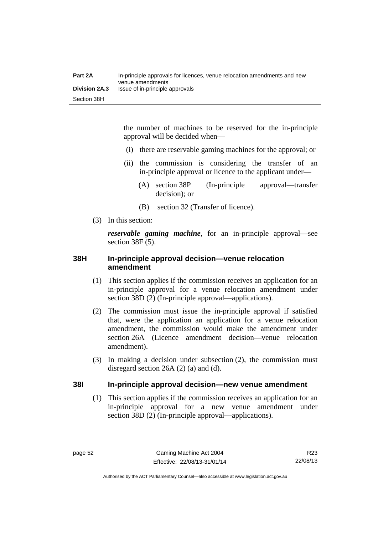the number of machines to be reserved for the in-principle approval will be decided when—

- (i) there are reservable gaming machines for the approval; or
- (ii) the commission is considering the transfer of an in-principle approval or licence to the applicant under—
	- (A) section 38P (In-principle approval—transfer decision); or
	- (B) section 32 (Transfer of licence).
- (3) In this section:

*reservable gaming machine*, for an in-principle approval—see section 38F (5).

#### **38H In-principle approval decision—venue relocation amendment**

- (1) This section applies if the commission receives an application for an in-principle approval for a venue relocation amendment under section 38D (2) (In-principle approval—applications).
- (2) The commission must issue the in-principle approval if satisfied that, were the application an application for a venue relocation amendment, the commission would make the amendment under section 26A (Licence amendment decision—venue relocation amendment).
- (3) In making a decision under subsection (2), the commission must disregard section 26A (2) (a) and (d).

#### **38I In-principle approval decision—new venue amendment**

(1) This section applies if the commission receives an application for an in-principle approval for a new venue amendment under section 38D (2) (In-principle approval—applications).

Authorised by the ACT Parliamentary Counsel—also accessible at www.legislation.act.gov.au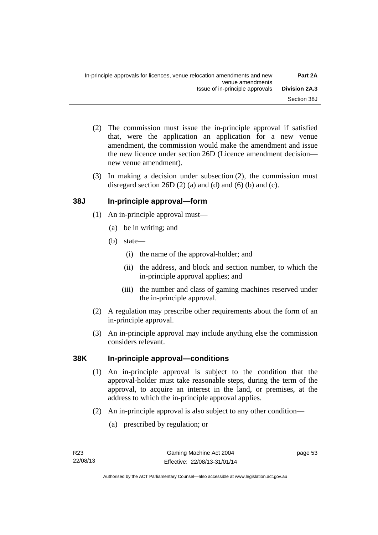- (2) The commission must issue the in-principle approval if satisfied that, were the application an application for a new venue amendment, the commission would make the amendment and issue the new licence under section 26D (Licence amendment decision new venue amendment).
- (3) In making a decision under subsection (2), the commission must disregard section 26D  $(2)$  (a) and  $(d)$  and  $(6)$  (b) and  $(c)$ .

## **38J In-principle approval—form**

- (1) An in-principle approval must—
	- (a) be in writing; and
	- (b) state—
		- (i) the name of the approval-holder; and
		- (ii) the address, and block and section number, to which the in-principle approval applies; and
		- (iii) the number and class of gaming machines reserved under the in-principle approval.
- (2) A regulation may prescribe other requirements about the form of an in-principle approval.
- (3) An in-principle approval may include anything else the commission considers relevant.

## **38K In-principle approval—conditions**

- (1) An in-principle approval is subject to the condition that the approval-holder must take reasonable steps, during the term of the approval, to acquire an interest in the land, or premises, at the address to which the in-principle approval applies.
- (2) An in-principle approval is also subject to any other condition—
	- (a) prescribed by regulation; or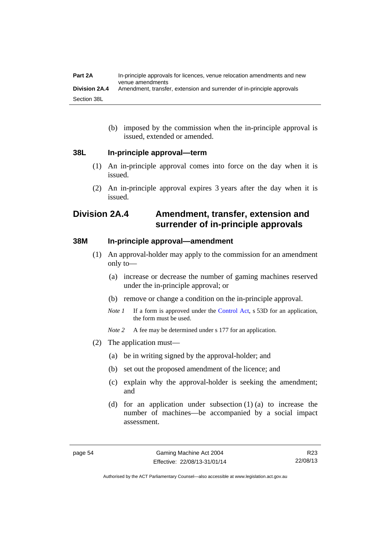(b) imposed by the commission when the in-principle approval is issued, extended or amended.

#### **38L In-principle approval—term**

- (1) An in-principle approval comes into force on the day when it is issued.
- (2) An in-principle approval expires 3 years after the day when it is issued.

# **Division 2A.4 Amendment, transfer, extension and surrender of in-principle approvals**

#### **38M In-principle approval—amendment**

- (1) An approval-holder may apply to the commission for an amendment only to—
	- (a) increase or decrease the number of gaming machines reserved under the in-principle approval; or
	- (b) remove or change a condition on the in-principle approval.
	- *Note 1* If a form is approved under the [Control Act](http://www.legislation.act.gov.au/a/1999-46), s 53D for an application, the form must be used.
	- *Note* 2 A fee may be determined under s 177 for an application.
- (2) The application must—
	- (a) be in writing signed by the approval-holder; and
	- (b) set out the proposed amendment of the licence; and
	- (c) explain why the approval-holder is seeking the amendment; and
	- (d) for an application under subsection (1) (a) to increase the number of machines—be accompanied by a social impact assessment.

R23 22/08/13

Authorised by the ACT Parliamentary Counsel—also accessible at www.legislation.act.gov.au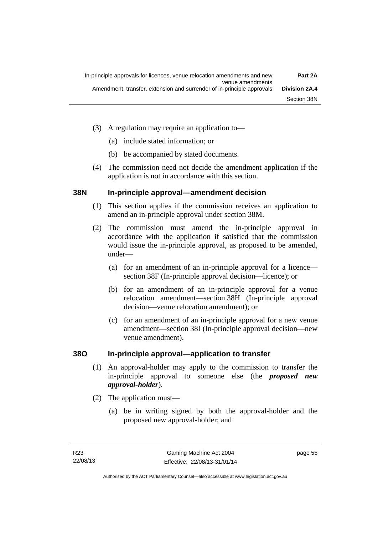- (3) A regulation may require an application to—
	- (a) include stated information; or
	- (b) be accompanied by stated documents.
- (4) The commission need not decide the amendment application if the application is not in accordance with this section.

#### **38N In-principle approval—amendment decision**

- (1) This section applies if the commission receives an application to amend an in-principle approval under section 38M.
- (2) The commission must amend the in-principle approval in accordance with the application if satisfied that the commission would issue the in-principle approval, as proposed to be amended, under—
	- (a) for an amendment of an in-principle approval for a licence section 38F (In-principle approval decision—licence); or
	- (b) for an amendment of an in-principle approval for a venue relocation amendment—section 38H (In-principle approval decision—venue relocation amendment); or
	- (c) for an amendment of an in-principle approval for a new venue amendment—section 38I (In-principle approval decision—new venue amendment).

## **38O In-principle approval—application to transfer**

- (1) An approval-holder may apply to the commission to transfer the in-principle approval to someone else (the *proposed new approval-holder*).
- (2) The application must—
	- (a) be in writing signed by both the approval-holder and the proposed new approval-holder; and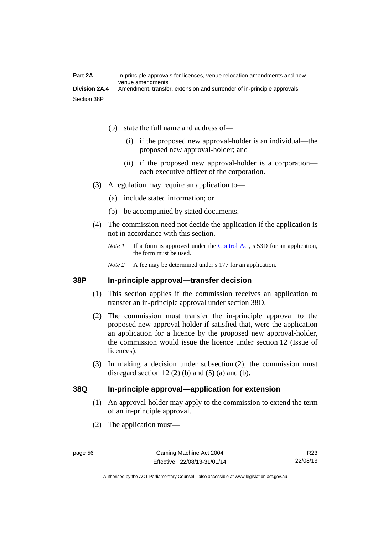- (b) state the full name and address of—
	- (i) if the proposed new approval-holder is an individual—the proposed new approval-holder; and
	- (ii) if the proposed new approval-holder is a corporation each executive officer of the corporation.
- (3) A regulation may require an application to—
	- (a) include stated information; or
	- (b) be accompanied by stated documents.
- (4) The commission need not decide the application if the application is not in accordance with this section.
	- *Note 1* If a form is approved under the [Control Act](http://www.legislation.act.gov.au/a/1999-46), s 53D for an application, the form must be used.
	- *Note* 2 A fee may be determined under s 177 for an application.

#### **38P In-principle approval—transfer decision**

- (1) This section applies if the commission receives an application to transfer an in-principle approval under section 38O.
- (2) The commission must transfer the in-principle approval to the proposed new approval-holder if satisfied that, were the application an application for a licence by the proposed new approval-holder, the commission would issue the licence under section 12 (Issue of licences).
- (3) In making a decision under subsection (2), the commission must disregard section 12 (2) (b) and (5) (a) and (b).

#### **38Q In-principle approval—application for extension**

- (1) An approval-holder may apply to the commission to extend the term of an in-principle approval.
- (2) The application must—

Authorised by the ACT Parliamentary Counsel—also accessible at www.legislation.act.gov.au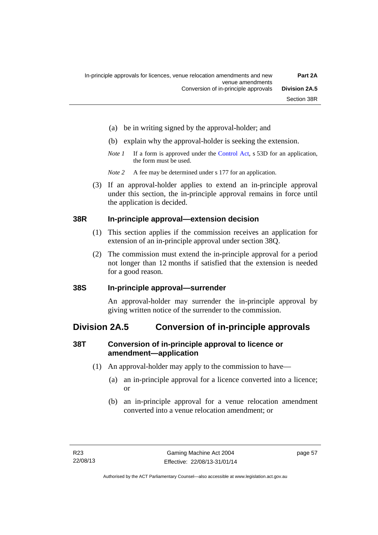- (a) be in writing signed by the approval-holder; and
- (b) explain why the approval-holder is seeking the extension.
- *Note 1* If a form is approved under the [Control Act](http://www.legislation.act.gov.au/a/1999-46), s 53D for an application, the form must be used.
- *Note 2* A fee may be determined under s 177 for an application.
- (3) If an approval-holder applies to extend an in-principle approval under this section, the in-principle approval remains in force until the application is decided.

#### **38R In-principle approval—extension decision**

- (1) This section applies if the commission receives an application for extension of an in-principle approval under section 38Q.
- (2) The commission must extend the in-principle approval for a period not longer than 12 months if satisfied that the extension is needed for a good reason.

#### **38S In-principle approval—surrender**

An approval-holder may surrender the in-principle approval by giving written notice of the surrender to the commission.

# **Division 2A.5 Conversion of in-principle approvals**

## **38T Conversion of in-principle approval to licence or amendment—application**

- (1) An approval-holder may apply to the commission to have—
	- (a) an in-principle approval for a licence converted into a licence; or
	- (b) an in-principle approval for a venue relocation amendment converted into a venue relocation amendment; or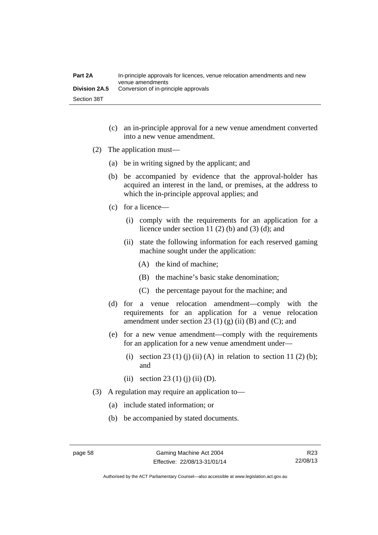| Part 2A              | In-principle approvals for licences, venue relocation amendments and new<br>venue amendments |
|----------------------|----------------------------------------------------------------------------------------------|
| <b>Division 2A.5</b> | Conversion of in-principle approvals                                                         |
| Section 38T          |                                                                                              |

- (c) an in-principle approval for a new venue amendment converted into a new venue amendment.
- (2) The application must—
	- (a) be in writing signed by the applicant; and
	- (b) be accompanied by evidence that the approval-holder has acquired an interest in the land, or premises, at the address to which the in-principle approval applies; and
	- (c) for a licence—
		- (i) comply with the requirements for an application for a licence under section 11 $(2)$  $(b)$  and  $(3)$  $(d)$ ; and
		- (ii) state the following information for each reserved gaming machine sought under the application:
			- (A) the kind of machine;
			- (B) the machine's basic stake denomination;
			- (C) the percentage payout for the machine; and
	- (d) for a venue relocation amendment—comply with the requirements for an application for a venue relocation amendment under section 23 (1) (g) (ii) (B) and (C); and
	- (e) for a new venue amendment—comply with the requirements for an application for a new venue amendment under—
		- (i) section 23 (1) (j) (ii) (A) in relation to section 11 (2) (b); and
		- (ii) section 23 (1) (j) (ii) (D).
- (3) A regulation may require an application to—
	- (a) include stated information; or
	- (b) be accompanied by stated documents.

R23 22/08/13

Authorised by the ACT Parliamentary Counsel—also accessible at www.legislation.act.gov.au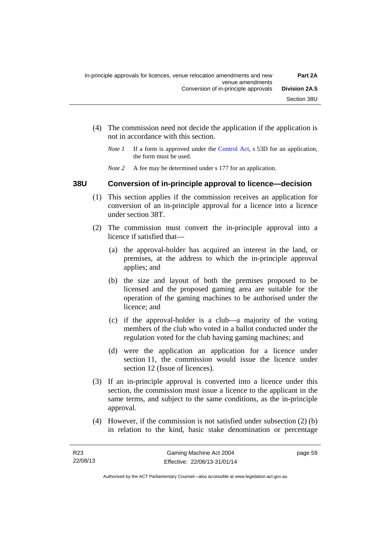- (4) The commission need not decide the application if the application is not in accordance with this section.
	- *Note 1* If a form is approved under the [Control Act](http://www.legislation.act.gov.au/a/1999-46), s 53D for an application, the form must be used.
	- *Note* 2 A fee may be determined under s 177 for an application.

#### **38U Conversion of in-principle approval to licence—decision**

- (1) This section applies if the commission receives an application for conversion of an in-principle approval for a licence into a licence under section 38T.
- (2) The commission must convert the in-principle approval into a licence if satisfied that—
	- (a) the approval-holder has acquired an interest in the land, or premises, at the address to which the in-principle approval applies; and
	- (b) the size and layout of both the premises proposed to be licensed and the proposed gaming area are suitable for the operation of the gaming machines to be authorised under the licence; and
	- (c) if the approval-holder is a club—a majority of the voting members of the club who voted in a ballot conducted under the regulation voted for the club having gaming machines; and
	- (d) were the application an application for a licence under section 11, the commission would issue the licence under section 12 (Issue of licences).
- (3) If an in-principle approval is converted into a licence under this section, the commission must issue a licence to the applicant in the same terms, and subject to the same conditions, as the in-principle approval.
- (4) However, if the commission is not satisfied under subsection (2) (b) in relation to the kind, basic stake denomination or percentage

page 59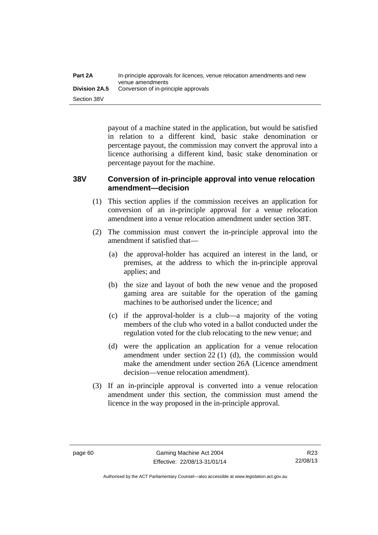payout of a machine stated in the application, but would be satisfied in relation to a different kind, basic stake denomination or percentage payout, the commission may convert the approval into a licence authorising a different kind, basic stake denomination or percentage payout for the machine.

#### **38V Conversion of in-principle approval into venue relocation amendment—decision**

- (1) This section applies if the commission receives an application for conversion of an in-principle approval for a venue relocation amendment into a venue relocation amendment under section 38T.
- (2) The commission must convert the in-principle approval into the amendment if satisfied that—
	- (a) the approval-holder has acquired an interest in the land, or premises, at the address to which the in-principle approval applies; and
	- (b) the size and layout of both the new venue and the proposed gaming area are suitable for the operation of the gaming machines to be authorised under the licence; and
	- (c) if the approval-holder is a club—a majority of the voting members of the club who voted in a ballot conducted under the regulation voted for the club relocating to the new venue; and
	- (d) were the application an application for a venue relocation amendment under section 22 (1) (d), the commission would make the amendment under section 26A (Licence amendment decision—venue relocation amendment).
- (3) If an in-principle approval is converted into a venue relocation amendment under this section, the commission must amend the licence in the way proposed in the in-principle approval.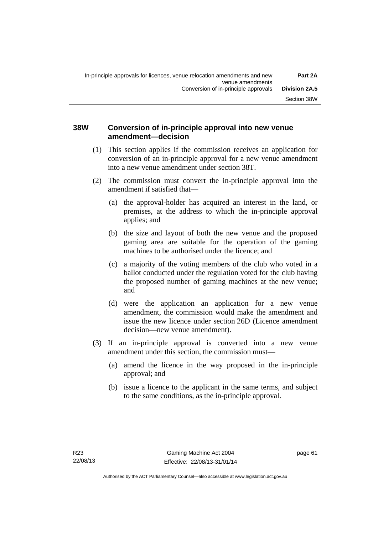# **38W Conversion of in-principle approval into new venue amendment—decision**

- (1) This section applies if the commission receives an application for conversion of an in-principle approval for a new venue amendment into a new venue amendment under section 38T.
- (2) The commission must convert the in-principle approval into the amendment if satisfied that—
	- (a) the approval-holder has acquired an interest in the land, or premises, at the address to which the in-principle approval applies; and
	- (b) the size and layout of both the new venue and the proposed gaming area are suitable for the operation of the gaming machines to be authorised under the licence; and
	- (c) a majority of the voting members of the club who voted in a ballot conducted under the regulation voted for the club having the proposed number of gaming machines at the new venue; and
	- (d) were the application an application for a new venue amendment, the commission would make the amendment and issue the new licence under section 26D (Licence amendment decision—new venue amendment).
- (3) If an in-principle approval is converted into a new venue amendment under this section, the commission must—
	- (a) amend the licence in the way proposed in the in-principle approval; and
	- (b) issue a licence to the applicant in the same terms, and subject to the same conditions, as the in-principle approval.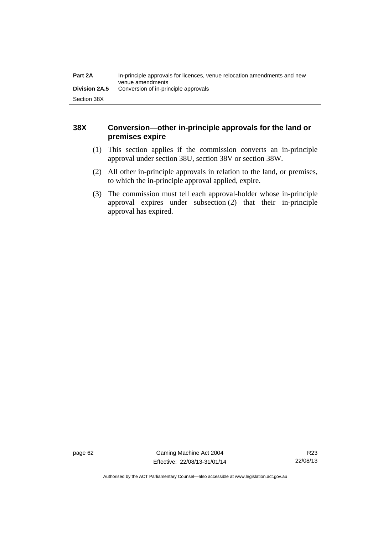| Part 2A              | In-principle approvals for licences, venue relocation amendments and new<br>venue amendments |
|----------------------|----------------------------------------------------------------------------------------------|
| <b>Division 2A.5</b> | Conversion of in-principle approvals                                                         |
| Section 38X          |                                                                                              |

# **38X Conversion—other in-principle approvals for the land or premises expire**

- (1) This section applies if the commission converts an in-principle approval under section 38U, section 38V or section 38W.
- (2) All other in-principle approvals in relation to the land, or premises, to which the in-principle approval applied, expire.
- (3) The commission must tell each approval-holder whose in-principle approval expires under subsection (2) that their in-principle approval has expired.

page 62 Gaming Machine Act 2004 Effective: 22/08/13-31/01/14

Authorised by the ACT Parliamentary Counsel—also accessible at www.legislation.act.gov.au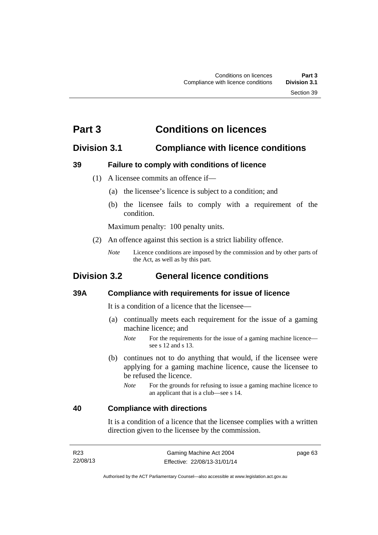# **Part 3 Conditions on licences**

# **Division 3.1 Compliance with licence conditions**

# **39 Failure to comply with conditions of licence**

- (1) A licensee commits an offence if—
	- (a) the licensee's licence is subject to a condition; and
	- (b) the licensee fails to comply with a requirement of the condition.

Maximum penalty: 100 penalty units.

- (2) An offence against this section is a strict liability offence.
	- *Note* Licence conditions are imposed by the commission and by other parts of the Act, as well as by this part.

# **Division 3.2 General licence conditions**

# **39A Compliance with requirements for issue of licence**

It is a condition of a licence that the licensee—

- (a) continually meets each requirement for the issue of a gaming machine licence; and
	- *Note* For the requirements for the issue of a gaming machine licence see s 12 and s 13.
- (b) continues not to do anything that would, if the licensee were applying for a gaming machine licence, cause the licensee to be refused the licence.
	- *Note* For the grounds for refusing to issue a gaming machine licence to an applicant that is a club—see s 14.

# **40 Compliance with directions**

It is a condition of a licence that the licensee complies with a written direction given to the licensee by the commission.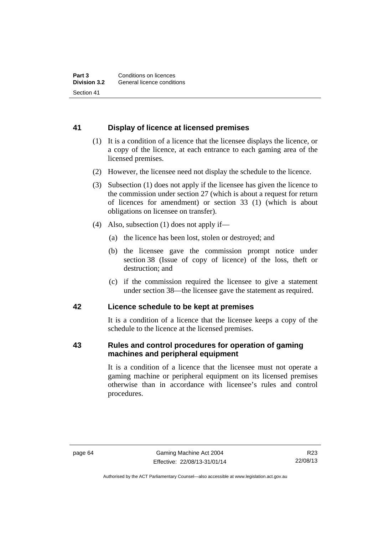# **41 Display of licence at licensed premises**

- (1) It is a condition of a licence that the licensee displays the licence, or a copy of the licence, at each entrance to each gaming area of the licensed premises.
- (2) However, the licensee need not display the schedule to the licence.
- (3) Subsection (1) does not apply if the licensee has given the licence to the commission under section 27 (which is about a request for return of licences for amendment) or section 33 (1) (which is about obligations on licensee on transfer).
- (4) Also, subsection (1) does not apply if—
	- (a) the licence has been lost, stolen or destroyed; and
	- (b) the licensee gave the commission prompt notice under section 38 (Issue of copy of licence) of the loss, theft or destruction; and
	- (c) if the commission required the licensee to give a statement under section 38—the licensee gave the statement as required.

# **42 Licence schedule to be kept at premises**

It is a condition of a licence that the licensee keeps a copy of the schedule to the licence at the licensed premises.

# **43 Rules and control procedures for operation of gaming machines and peripheral equipment**

It is a condition of a licence that the licensee must not operate a gaming machine or peripheral equipment on its licensed premises otherwise than in accordance with licensee's rules and control procedures.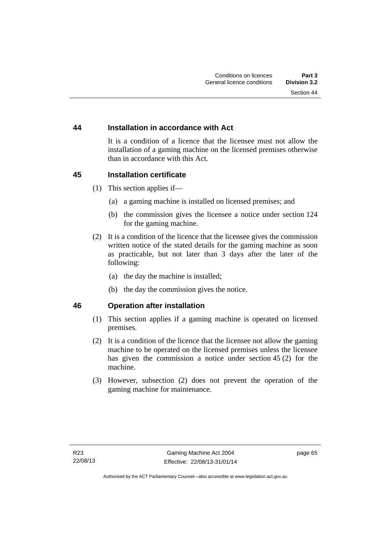# **44 Installation in accordance with Act**

It is a condition of a licence that the licensee must not allow the installation of a gaming machine on the licensed premises otherwise than in accordance with this Act.

# **45 Installation certificate**

- (1) This section applies if—
	- (a) a gaming machine is installed on licensed premises; and
	- (b) the commission gives the licensee a notice under section 124 for the gaming machine.
- (2) It is a condition of the licence that the licensee gives the commission written notice of the stated details for the gaming machine as soon as practicable, but not later than 3 days after the later of the following:
	- (a) the day the machine is installed;
	- (b) the day the commission gives the notice.

# **46 Operation after installation**

- (1) This section applies if a gaming machine is operated on licensed premises.
- (2) It is a condition of the licence that the licensee not allow the gaming machine to be operated on the licensed premises unless the licensee has given the commission a notice under section 45 (2) for the machine.
- (3) However, subsection (2) does not prevent the operation of the gaming machine for maintenance.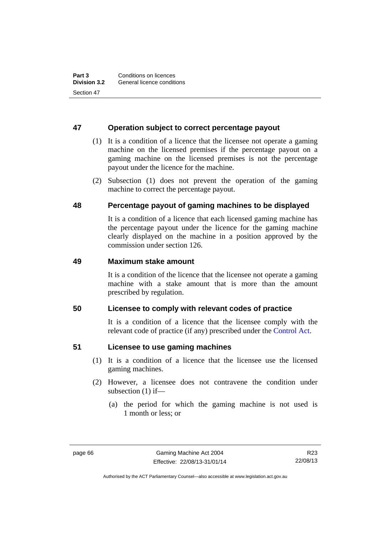# **47 Operation subject to correct percentage payout**

- (1) It is a condition of a licence that the licensee not operate a gaming machine on the licensed premises if the percentage payout on a gaming machine on the licensed premises is not the percentage payout under the licence for the machine.
- (2) Subsection (1) does not prevent the operation of the gaming machine to correct the percentage payout.

# **48 Percentage payout of gaming machines to be displayed**

It is a condition of a licence that each licensed gaming machine has the percentage payout under the licence for the gaming machine clearly displayed on the machine in a position approved by the commission under section 126.

# **49 Maximum stake amount**

It is a condition of the licence that the licensee not operate a gaming machine with a stake amount that is more than the amount prescribed by regulation.

# **50 Licensee to comply with relevant codes of practice**

It is a condition of a licence that the licensee comply with the relevant code of practice (if any) prescribed under the [Control Act.](http://www.legislation.act.gov.au/a/1999-46)

# **51 Licensee to use gaming machines**

- (1) It is a condition of a licence that the licensee use the licensed gaming machines.
- (2) However, a licensee does not contravene the condition under subsection (1) if—
	- (a) the period for which the gaming machine is not used is 1 month or less; or

R23 22/08/13

Authorised by the ACT Parliamentary Counsel—also accessible at www.legislation.act.gov.au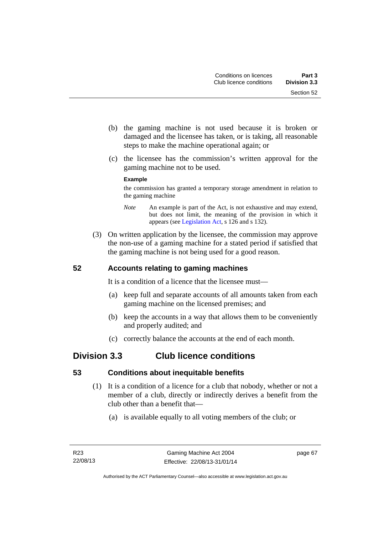- (b) the gaming machine is not used because it is broken or damaged and the licensee has taken, or is taking, all reasonable steps to make the machine operational again; or
- (c) the licensee has the commission's written approval for the gaming machine not to be used.

### **Example**

the commission has granted a temporary storage amendment in relation to the gaming machine

- *Note* An example is part of the Act, is not exhaustive and may extend, but does not limit, the meaning of the provision in which it appears (see [Legislation Act,](http://www.legislation.act.gov.au/a/2001-14) s 126 and s 132).
- (3) On written application by the licensee, the commission may approve the non-use of a gaming machine for a stated period if satisfied that the gaming machine is not being used for a good reason.

# **52 Accounts relating to gaming machines**

It is a condition of a licence that the licensee must—

- (a) keep full and separate accounts of all amounts taken from each gaming machine on the licensed premises; and
- (b) keep the accounts in a way that allows them to be conveniently and properly audited; and
- (c) correctly balance the accounts at the end of each month.

# **Division 3.3 Club licence conditions**

# **53 Conditions about inequitable benefits**

- (1) It is a condition of a licence for a club that nobody, whether or not a member of a club, directly or indirectly derives a benefit from the club other than a benefit that—
	- (a) is available equally to all voting members of the club; or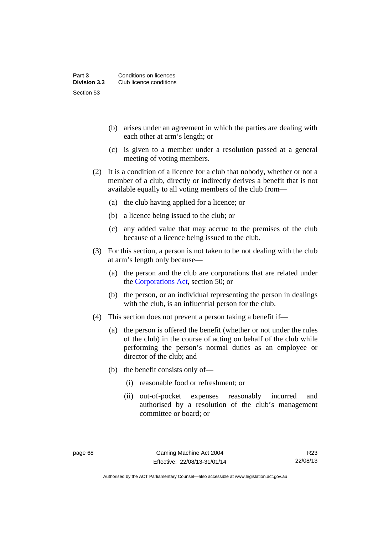- (b) arises under an agreement in which the parties are dealing with each other at arm's length; or
- (c) is given to a member under a resolution passed at a general meeting of voting members.
- (2) It is a condition of a licence for a club that nobody, whether or not a member of a club, directly or indirectly derives a benefit that is not available equally to all voting members of the club from—
	- (a) the club having applied for a licence; or
	- (b) a licence being issued to the club; or
	- (c) any added value that may accrue to the premises of the club because of a licence being issued to the club.
- (3) For this section, a person is not taken to be not dealing with the club at arm's length only because—
	- (a) the person and the club are corporations that are related under the [Corporations Act,](http://www.comlaw.gov.au/Series/C2004A00818) section 50; or
	- (b) the person, or an individual representing the person in dealings with the club, is an influential person for the club.
- (4) This section does not prevent a person taking a benefit if—
	- (a) the person is offered the benefit (whether or not under the rules of the club) in the course of acting on behalf of the club while performing the person's normal duties as an employee or director of the club; and
	- (b) the benefit consists only of—
		- (i) reasonable food or refreshment; or
		- (ii) out-of-pocket expenses reasonably incurred and authorised by a resolution of the club's management committee or board; or

R23 22/08/13

Authorised by the ACT Parliamentary Counsel—also accessible at www.legislation.act.gov.au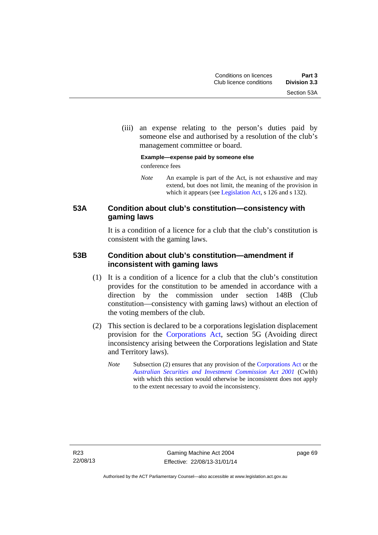(iii) an expense relating to the person's duties paid by someone else and authorised by a resolution of the club's management committee or board.

### **Example—expense paid by someone else**  conference fees

*Note* An example is part of the Act, is not exhaustive and may extend, but does not limit, the meaning of the provision in which it appears (see [Legislation Act,](http://www.legislation.act.gov.au/a/2001-14) s 126 and s 132).

# **53A Condition about club's constitution—consistency with gaming laws**

It is a condition of a licence for a club that the club's constitution is consistent with the gaming laws.

# **53B Condition about club's constitution—amendment if inconsistent with gaming laws**

- (1) It is a condition of a licence for a club that the club's constitution provides for the constitution to be amended in accordance with a direction by the commission under section 148B (Club constitution—consistency with gaming laws) without an election of the voting members of the club.
- (2) This section is declared to be a corporations legislation displacement provision for the [Corporations Act](http://www.comlaw.gov.au/Series/C2004A00818), section 5G (Avoiding direct inconsistency arising between the Corporations legislation and State and Territory laws).
	- *Note* Subsection (2) ensures that any provision of the [Corporations Act](http://www.comlaw.gov.au/Series/C2004A00818) or the *[Australian Securities and Investment Commission Act 2001](http://www.comlaw.gov.au/Series/C2004A00819)* (Cwlth) with which this section would otherwise be inconsistent does not apply to the extent necessary to avoid the inconsistency.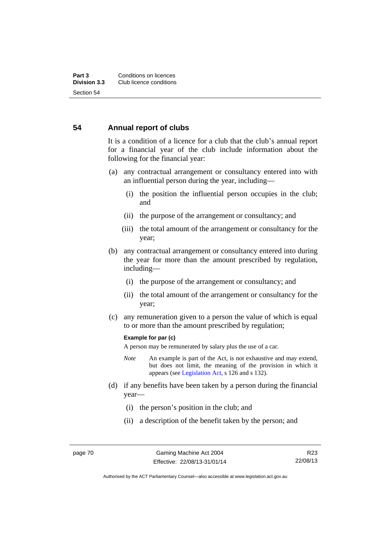# **54 Annual report of clubs**

It is a condition of a licence for a club that the club's annual report for a financial year of the club include information about the following for the financial year:

- (a) any contractual arrangement or consultancy entered into with an influential person during the year, including—
	- (i) the position the influential person occupies in the club; and
	- (ii) the purpose of the arrangement or consultancy; and
	- (iii) the total amount of the arrangement or consultancy for the year;
- (b) any contractual arrangement or consultancy entered into during the year for more than the amount prescribed by regulation, including—
	- (i) the purpose of the arrangement or consultancy; and
	- (ii) the total amount of the arrangement or consultancy for the year;
- (c) any remuneration given to a person the value of which is equal to or more than the amount prescribed by regulation;

#### **Example for par (c)**

A person may be remunerated by salary plus the use of a car.

- *Note* An example is part of the Act, is not exhaustive and may extend, but does not limit, the meaning of the provision in which it appears (see [Legislation Act,](http://www.legislation.act.gov.au/a/2001-14) s 126 and s 132).
- (d) if any benefits have been taken by a person during the financial year—
	- (i) the person's position in the club; and
	- (ii) a description of the benefit taken by the person; and

Authorised by the ACT Parliamentary Counsel—also accessible at www.legislation.act.gov.au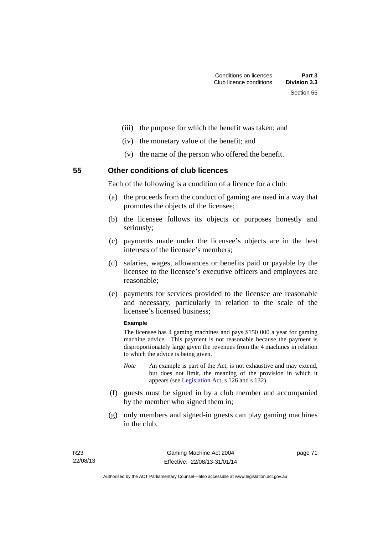- (iii) the purpose for which the benefit was taken; and
- (iv) the monetary value of the benefit; and
- (v) the name of the person who offered the benefit.

**55 Other conditions of club licences** 

Each of the following is a condition of a licence for a club:

- (a) the proceeds from the conduct of gaming are used in a way that promotes the objects of the licensee;
- (b) the licensee follows its objects or purposes honestly and seriously;
- (c) payments made under the licensee's objects are in the best interests of the licensee's members;
- (d) salaries, wages, allowances or benefits paid or payable by the licensee to the licensee's executive officers and employees are reasonable;
- (e) payments for services provided to the licensee are reasonable and necessary, particularly in relation to the scale of the licensee's licensed business;

#### **Example**

The licensee has 4 gaming machines and pays \$150 000 a year for gaming machine advice. This payment is not reasonable because the payment is disproportionately large given the revenues from the 4 machines in relation to which the advice is being given.

- *Note* An example is part of the Act, is not exhaustive and may extend, but does not limit, the meaning of the provision in which it appears (see [Legislation Act,](http://www.legislation.act.gov.au/a/2001-14) s 126 and s 132).
- (f) guests must be signed in by a club member and accompanied by the member who signed them in;
- (g) only members and signed-in guests can play gaming machines in the club.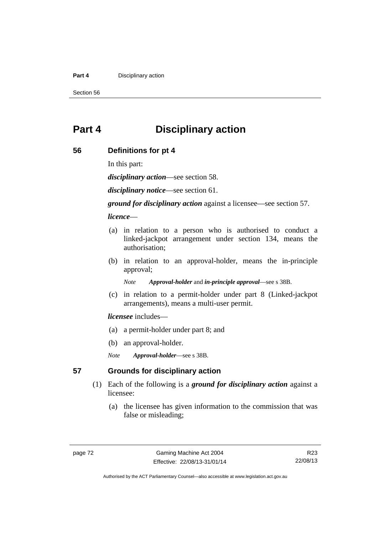#### **Part 4 Disciplinary action**

Section 56

# **Part 4 Disciplinary action**

# **56 Definitions for pt 4**

In this part:

*disciplinary action*—see section 58.

*disciplinary notice*—see section 61.

*ground for disciplinary action* against a licensee—see section 57.

*licence*—

- (a) in relation to a person who is authorised to conduct a linked-jackpot arrangement under section 134, means the authorisation;
- (b) in relation to an approval-holder, means the in-principle approval;

*Note Approval-holder* and *in-principle approval*—see s 38B.

 (c) in relation to a permit-holder under part 8 (Linked-jackpot arrangements), means a multi-user permit.

### *licensee* includes—

- (a) a permit-holder under part 8; and
- (b) an approval-holder.
- *Note Approval-holder*—see s 38B.

# **57 Grounds for disciplinary action**

- (1) Each of the following is a *ground for disciplinary action* against a licensee:
	- (a) the licensee has given information to the commission that was false or misleading;

R23 22/08/13

Authorised by the ACT Parliamentary Counsel—also accessible at www.legislation.act.gov.au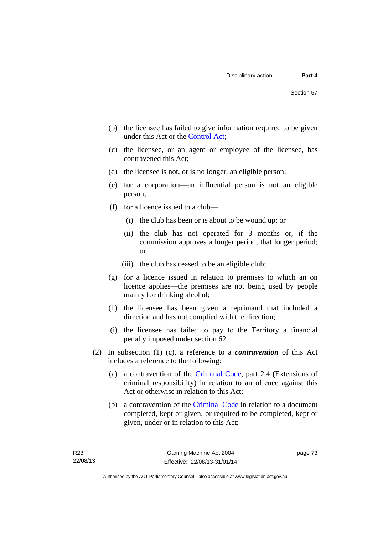- (b) the licensee has failed to give information required to be given under this Act or the [Control Act;](http://www.legislation.act.gov.au/a/1999-46)
- (c) the licensee, or an agent or employee of the licensee, has contravened this Act;
- (d) the licensee is not, or is no longer, an eligible person;
- (e) for a corporation—an influential person is not an eligible person;
- (f) for a licence issued to a club—
	- (i) the club has been or is about to be wound up; or
	- (ii) the club has not operated for 3 months or, if the commission approves a longer period, that longer period; or
	- (iii) the club has ceased to be an eligible club;
- (g) for a licence issued in relation to premises to which an on licence applies—the premises are not being used by people mainly for drinking alcohol;
- (h) the licensee has been given a reprimand that included a direction and has not complied with the direction;
- (i) the licensee has failed to pay to the Territory a financial penalty imposed under section 62.
- (2) In subsection (1) (c), a reference to a *contravention* of this Act includes a reference to the following:
	- (a) a contravention of the [Criminal Code](http://www.legislation.act.gov.au/a/2002-51), part 2.4 (Extensions of criminal responsibility) in relation to an offence against this Act or otherwise in relation to this Act;
	- (b) a contravention of the [Criminal Code](http://www.legislation.act.gov.au/a/2002-51) in relation to a document completed, kept or given, or required to be completed, kept or given, under or in relation to this Act;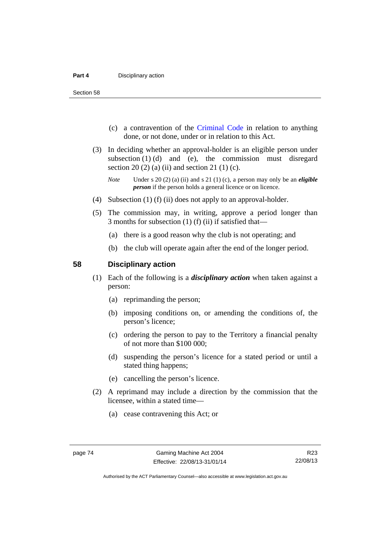Section 58

- (c) a contravention of the [Criminal Code](http://www.legislation.act.gov.au/a/2002-51) in relation to anything done, or not done, under or in relation to this Act.
- (3) In deciding whether an approval-holder is an eligible person under subsection  $(1)$   $(d)$  and  $(e)$ , the commission must disregard section 20 (2) (a) (ii) and section 21 (1) (c).

- (4) Subsection (1) (f) (ii) does not apply to an approval-holder.
- (5) The commission may, in writing, approve a period longer than 3 months for subsection (1) (f) (ii) if satisfied that—
	- (a) there is a good reason why the club is not operating; and
	- (b) the club will operate again after the end of the longer period.

#### **58 Disciplinary action**

- (1) Each of the following is a *disciplinary action* when taken against a person:
	- (a) reprimanding the person;
	- (b) imposing conditions on, or amending the conditions of, the person's licence;
	- (c) ordering the person to pay to the Territory a financial penalty of not more than \$100 000;
	- (d) suspending the person's licence for a stated period or until a stated thing happens;
	- (e) cancelling the person's licence.
- (2) A reprimand may include a direction by the commission that the licensee, within a stated time—
	- (a) cease contravening this Act; or

*Note* Under s 20 (2) (a) (ii) and s 21 (1) (c), a person may only be an *eligible person* if the person holds a general licence or on licence.

Authorised by the ACT Parliamentary Counsel—also accessible at www.legislation.act.gov.au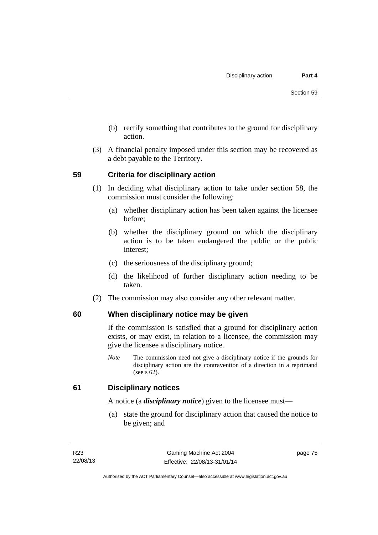- (b) rectify something that contributes to the ground for disciplinary action.
- (3) A financial penalty imposed under this section may be recovered as a debt payable to the Territory.

# **59 Criteria for disciplinary action**

- (1) In deciding what disciplinary action to take under section 58, the commission must consider the following:
	- (a) whether disciplinary action has been taken against the licensee before;
	- (b) whether the disciplinary ground on which the disciplinary action is to be taken endangered the public or the public interest;
	- (c) the seriousness of the disciplinary ground;
	- (d) the likelihood of further disciplinary action needing to be taken.
- (2) The commission may also consider any other relevant matter.

# **60 When disciplinary notice may be given**

If the commission is satisfied that a ground for disciplinary action exists, or may exist, in relation to a licensee, the commission may give the licensee a disciplinary notice.

*Note* The commission need not give a disciplinary notice if the grounds for disciplinary action are the contravention of a direction in a reprimand (see s 62).

# **61 Disciplinary notices**

A notice (a *disciplinary notice*) given to the licensee must—

 (a) state the ground for disciplinary action that caused the notice to be given; and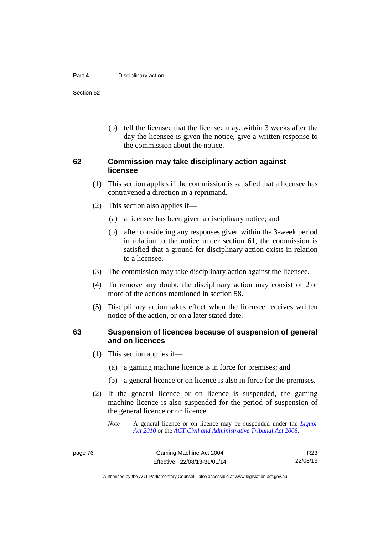#### **Part 4 Disciplinary action**

Section 62

 (b) tell the licensee that the licensee may, within 3 weeks after the day the licensee is given the notice, give a written response to the commission about the notice.

# **62 Commission may take disciplinary action against licensee**

- (1) This section applies if the commission is satisfied that a licensee has contravened a direction in a reprimand.
- (2) This section also applies if—
	- (a) a licensee has been given a disciplinary notice; and
	- (b) after considering any responses given within the 3-week period in relation to the notice under section 61, the commission is satisfied that a ground for disciplinary action exists in relation to a licensee.
- (3) The commission may take disciplinary action against the licensee.
- (4) To remove any doubt, the disciplinary action may consist of 2 or more of the actions mentioned in section 58.
- (5) Disciplinary action takes effect when the licensee receives written notice of the action, or on a later stated date.

# **63 Suspension of licences because of suspension of general and on licences**

- (1) This section applies if—
	- (a) a gaming machine licence is in force for premises; and
	- (b) a general licence or on licence is also in force for the premises.
- (2) If the general licence or on licence is suspended, the gaming machine licence is also suspended for the period of suspension of the general licence or on licence.
	- *Note* A general licence or on licence may be suspended under the *[Liquor](http://www.legislation.act.gov.au/a/2010-35)  [Act 2010](http://www.legislation.act.gov.au/a/2010-35)* or the *[ACT Civil and Administrative Tribunal Act 2008.](http://www.legislation.act.gov.au/a/2008-35)*

Authorised by the ACT Parliamentary Counsel—also accessible at www.legislation.act.gov.au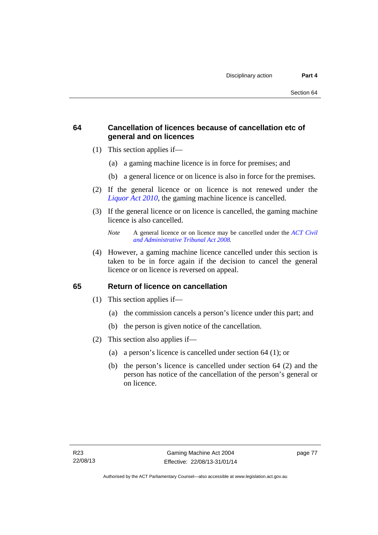# **64 Cancellation of licences because of cancellation etc of general and on licences**

- (1) This section applies if—
	- (a) a gaming machine licence is in force for premises; and
	- (b) a general licence or on licence is also in force for the premises.
- (2) If the general licence or on licence is not renewed under the *[Liquor Act 2010](http://www.legislation.act.gov.au/a/2010-35)*, the gaming machine licence is cancelled.
- (3) If the general licence or on licence is cancelled, the gaming machine licence is also cancelled.

 (4) However, a gaming machine licence cancelled under this section is taken to be in force again if the decision to cancel the general licence or on licence is reversed on appeal.

# **65 Return of licence on cancellation**

- (1) This section applies if—
	- (a) the commission cancels a person's licence under this part; and
	- (b) the person is given notice of the cancellation.
- (2) This section also applies if—
	- (a) a person's licence is cancelled under section 64 (1); or
	- (b) the person's licence is cancelled under section 64 (2) and the person has notice of the cancellation of the person's general or on licence.

*Note* A general licence or on licence may be cancelled under the *[ACT Civil](http://www.legislation.act.gov.au/a/2008-35)  [and Administrative Tribunal Act 2008](http://www.legislation.act.gov.au/a/2008-35).*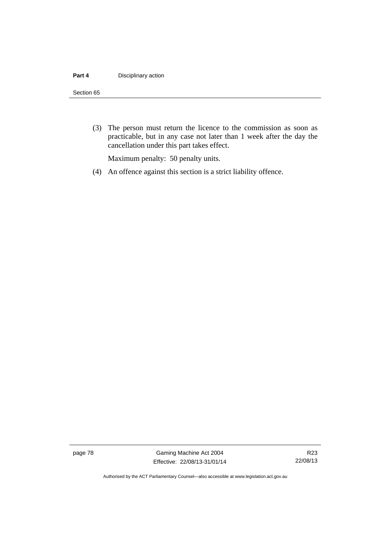#### **Part 4 Disciplinary action**

#### Section 65

 (3) The person must return the licence to the commission as soon as practicable, but in any case not later than 1 week after the day the cancellation under this part takes effect.

Maximum penalty: 50 penalty units.

(4) An offence against this section is a strict liability offence.

page 78 Gaming Machine Act 2004 Effective: 22/08/13-31/01/14

Authorised by the ACT Parliamentary Counsel—also accessible at www.legislation.act.gov.au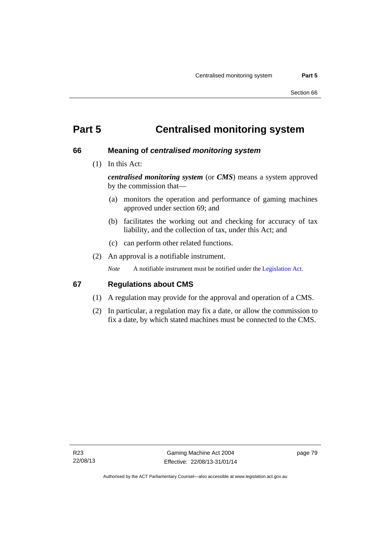# **Part 5 Centralised monitoring system**

# **66 Meaning of** *centralised monitoring system*

(1) In this Act:

*centralised monitoring system* (or *CMS*) means a system approved by the commission that—

- (a) monitors the operation and performance of gaming machines approved under section 69; and
- (b) facilitates the working out and checking for accuracy of tax liability, and the collection of tax, under this Act; and
- (c) can perform other related functions.
- (2) An approval is a notifiable instrument.

*Note* A notifiable instrument must be notified under the [Legislation Act](http://www.legislation.act.gov.au/a/2001-14).

# **67 Regulations about CMS**

- (1) A regulation may provide for the approval and operation of a CMS.
- (2) In particular, a regulation may fix a date, or allow the commission to fix a date, by which stated machines must be connected to the CMS.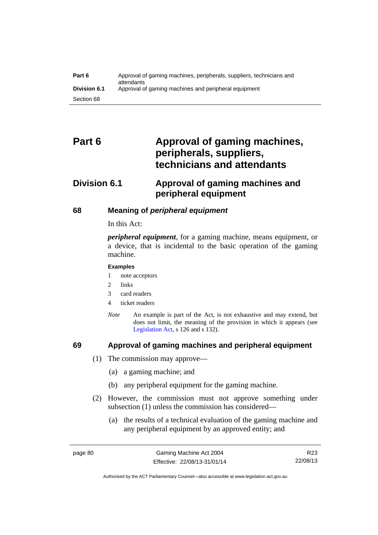| Part 6              | Approval of gaming machines, peripherals, suppliers, technicians and<br>attendants |
|---------------------|------------------------------------------------------------------------------------|
| <b>Division 6.1</b> | Approval of gaming machines and peripheral equipment                               |
| Section 68          |                                                                                    |

# Part 6 **Approval of gaming machines, peripherals, suppliers, technicians and attendants**

# **Division 6.1 Approval of gaming machines and peripheral equipment**

# **68 Meaning of** *peripheral equipment*

In this Act:

*peripheral equipment*, for a gaming machine, means equipment, or a device, that is incidental to the basic operation of the gaming machine.

#### **Examples**

- 1 note acceptors
- 2 links
- 3 card readers
- 4 ticket readers
- *Note* An example is part of the Act, is not exhaustive and may extend, but does not limit, the meaning of the provision in which it appears (see [Legislation Act,](http://www.legislation.act.gov.au/a/2001-14) s 126 and s 132).

# **69 Approval of gaming machines and peripheral equipment**

- (1) The commission may approve—
	- (a) a gaming machine; and
	- (b) any peripheral equipment for the gaming machine.
- (2) However, the commission must not approve something under subsection (1) unless the commission has considered—
	- (a) the results of a technical evaluation of the gaming machine and any peripheral equipment by an approved entity; and

R23 22/08/13

Authorised by the ACT Parliamentary Counsel—also accessible at www.legislation.act.gov.au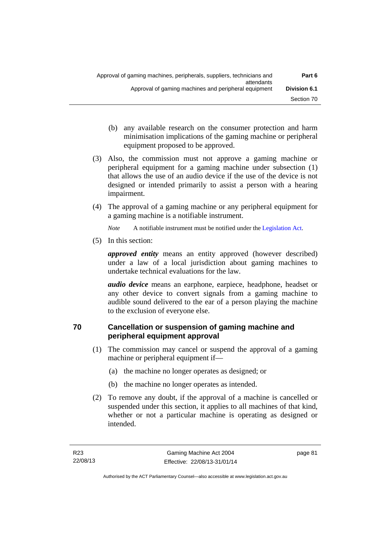- (b) any available research on the consumer protection and harm minimisation implications of the gaming machine or peripheral equipment proposed to be approved.
- (3) Also, the commission must not approve a gaming machine or peripheral equipment for a gaming machine under subsection (1) that allows the use of an audio device if the use of the device is not designed or intended primarily to assist a person with a hearing impairment.
- (4) The approval of a gaming machine or any peripheral equipment for a gaming machine is a notifiable instrument.

*Note* A notifiable instrument must be notified under the [Legislation Act](http://www.legislation.act.gov.au/a/2001-14).

(5) In this section:

*approved entity* means an entity approved (however described) under a law of a local jurisdiction about gaming machines to undertake technical evaluations for the law.

*audio device* means an earphone, earpiece, headphone, headset or any other device to convert signals from a gaming machine to audible sound delivered to the ear of a person playing the machine to the exclusion of everyone else.

# **70 Cancellation or suspension of gaming machine and peripheral equipment approval**

- (1) The commission may cancel or suspend the approval of a gaming machine or peripheral equipment if—
	- (a) the machine no longer operates as designed; or
	- (b) the machine no longer operates as intended.
- (2) To remove any doubt, if the approval of a machine is cancelled or suspended under this section, it applies to all machines of that kind, whether or not a particular machine is operating as designed or intended.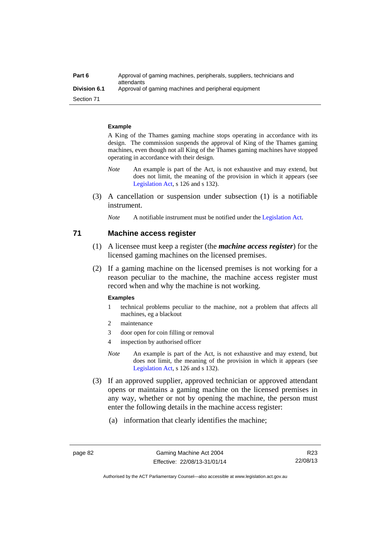| Part 6              | Approval of gaming machines, peripherals, suppliers, technicians and<br>attendants |
|---------------------|------------------------------------------------------------------------------------|
| <b>Division 6.1</b> | Approval of gaming machines and peripheral equipment                               |
| Section 71          |                                                                                    |

#### **Example**

A King of the Thames gaming machine stops operating in accordance with its design. The commission suspends the approval of King of the Thames gaming machines, even though not all King of the Thames gaming machines have stopped operating in accordance with their design.

- *Note* An example is part of the Act, is not exhaustive and may extend, but does not limit, the meaning of the provision in which it appears (see [Legislation Act,](http://www.legislation.act.gov.au/a/2001-14) s 126 and s 132).
- (3) A cancellation or suspension under subsection (1) is a notifiable instrument.
	- *Note* A notifiable instrument must be notified under the [Legislation Act](http://www.legislation.act.gov.au/a/2001-14).

# **71 Machine access register**

- (1) A licensee must keep a register (the *machine access register*) for the licensed gaming machines on the licensed premises.
- (2) If a gaming machine on the licensed premises is not working for a reason peculiar to the machine, the machine access register must record when and why the machine is not working.

#### **Examples**

- 1 technical problems peculiar to the machine, not a problem that affects all machines, eg a blackout
- 2 maintenance
- 3 door open for coin filling or removal
- 4 inspection by authorised officer
- *Note* An example is part of the Act, is not exhaustive and may extend, but does not limit, the meaning of the provision in which it appears (see [Legislation Act,](http://www.legislation.act.gov.au/a/2001-14) s 126 and s 132).
- (3) If an approved supplier, approved technician or approved attendant opens or maintains a gaming machine on the licensed premises in any way, whether or not by opening the machine, the person must enter the following details in the machine access register:
	- (a) information that clearly identifies the machine;

Authorised by the ACT Parliamentary Counsel—also accessible at www.legislation.act.gov.au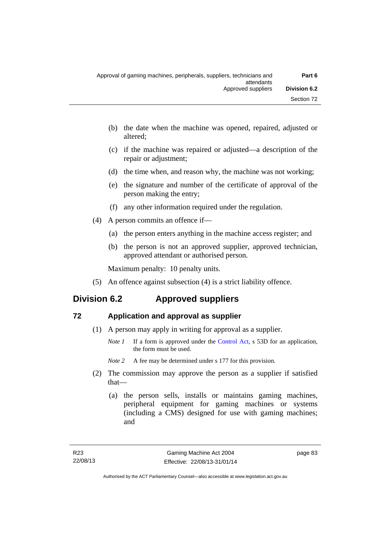- (b) the date when the machine was opened, repaired, adjusted or altered;
- (c) if the machine was repaired or adjusted—a description of the repair or adjustment;
- (d) the time when, and reason why, the machine was not working;
- (e) the signature and number of the certificate of approval of the person making the entry;
- (f) any other information required under the regulation.
- (4) A person commits an offence if—
	- (a) the person enters anything in the machine access register; and
	- (b) the person is not an approved supplier, approved technician, approved attendant or authorised person.

Maximum penalty: 10 penalty units.

(5) An offence against subsection (4) is a strict liability offence.

# **Division 6.2 Approved suppliers**

# **72 Application and approval as supplier**

- (1) A person may apply in writing for approval as a supplier.
	- *Note 1* If a form is approved under the [Control Act,](http://www.legislation.act.gov.au/a/1999-46) s 53D for an application, the form must be used.
	- *Note* 2 A fee may be determined under s 177 for this provision.
- (2) The commission may approve the person as a supplier if satisfied that—
	- (a) the person sells, installs or maintains gaming machines, peripheral equipment for gaming machines or systems (including a CMS) designed for use with gaming machines; and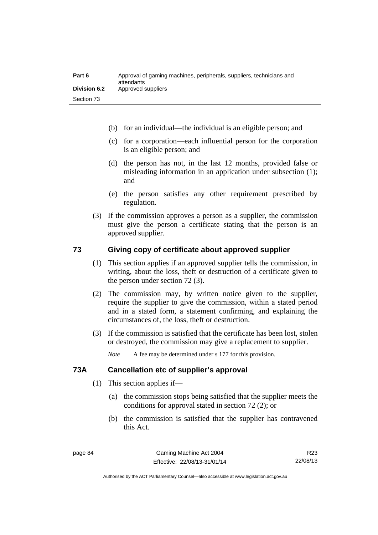- (b) for an individual—the individual is an eligible person; and
- (c) for a corporation—each influential person for the corporation is an eligible person; and
- (d) the person has not, in the last 12 months, provided false or misleading information in an application under subsection (1); and
- (e) the person satisfies any other requirement prescribed by regulation.
- (3) If the commission approves a person as a supplier, the commission must give the person a certificate stating that the person is an approved supplier.

# **73 Giving copy of certificate about approved supplier**

- (1) This section applies if an approved supplier tells the commission, in writing, about the loss, theft or destruction of a certificate given to the person under section 72 (3).
- (2) The commission may, by written notice given to the supplier, require the supplier to give the commission, within a stated period and in a stated form, a statement confirming, and explaining the circumstances of, the loss, theft or destruction.
- (3) If the commission is satisfied that the certificate has been lost, stolen or destroyed, the commission may give a replacement to supplier.

*Note* A fee may be determined under s 177 for this provision.

# **73A Cancellation etc of supplier's approval**

- (1) This section applies if—
	- (a) the commission stops being satisfied that the supplier meets the conditions for approval stated in section 72 (2); or
	- (b) the commission is satisfied that the supplier has contravened this Act.

Authorised by the ACT Parliamentary Counsel—also accessible at www.legislation.act.gov.au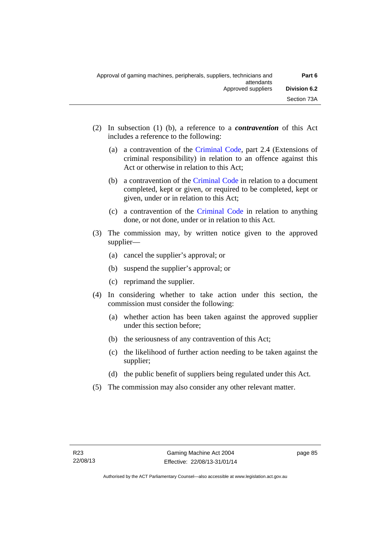- (2) In subsection (1) (b), a reference to a *contravention* of this Act includes a reference to the following:
	- (a) a contravention of the [Criminal Code](http://www.legislation.act.gov.au/a/2002-51), part 2.4 (Extensions of criminal responsibility) in relation to an offence against this Act or otherwise in relation to this Act;
	- (b) a contravention of the [Criminal Code](http://www.legislation.act.gov.au/a/2002-51) in relation to a document completed, kept or given, or required to be completed, kept or given, under or in relation to this Act;
	- (c) a contravention of the [Criminal Code](http://www.legislation.act.gov.au/a/2002-51) in relation to anything done, or not done, under or in relation to this Act.
- (3) The commission may, by written notice given to the approved supplier—
	- (a) cancel the supplier's approval; or
	- (b) suspend the supplier's approval; or
	- (c) reprimand the supplier.
- (4) In considering whether to take action under this section, the commission must consider the following:
	- (a) whether action has been taken against the approved supplier under this section before;
	- (b) the seriousness of any contravention of this Act;
	- (c) the likelihood of further action needing to be taken against the supplier;
	- (d) the public benefit of suppliers being regulated under this Act.
- (5) The commission may also consider any other relevant matter.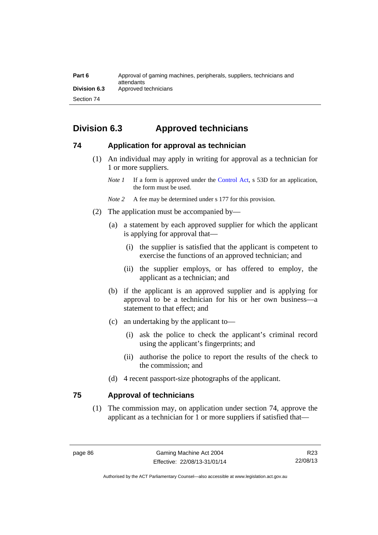| Part 6       | Approval of gaming machines, peripherals, suppliers, technicians and<br>attendants |
|--------------|------------------------------------------------------------------------------------|
| Division 6.3 | Approved technicians                                                               |
| Section 74   |                                                                                    |

# **Division 6.3 Approved technicians**

# **74 Application for approval as technician**

 (1) An individual may apply in writing for approval as a technician for 1 or more suppliers.

- *Note 2* A fee may be determined under s 177 for this provision.
- (2) The application must be accompanied by—
	- (a) a statement by each approved supplier for which the applicant is applying for approval that—
		- (i) the supplier is satisfied that the applicant is competent to exercise the functions of an approved technician; and
		- (ii) the supplier employs, or has offered to employ, the applicant as a technician; and
	- (b) if the applicant is an approved supplier and is applying for approval to be a technician for his or her own business—a statement to that effect; and
	- (c) an undertaking by the applicant to—
		- (i) ask the police to check the applicant's criminal record using the applicant's fingerprints; and
		- (ii) authorise the police to report the results of the check to the commission; and
	- (d) 4 recent passport-size photographs of the applicant.

# **75 Approval of technicians**

(1) The commission may, on application under section 74, approve the applicant as a technician for 1 or more suppliers if satisfied that—

*Note 1* If a form is approved under the [Control Act,](http://www.legislation.act.gov.au/a/1999-46) s 53D for an application, the form must be used.

Authorised by the ACT Parliamentary Counsel—also accessible at www.legislation.act.gov.au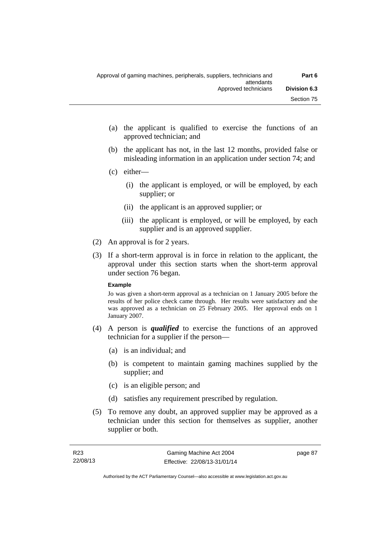- (a) the applicant is qualified to exercise the functions of an approved technician; and
- (b) the applicant has not, in the last 12 months, provided false or misleading information in an application under section 74; and
- (c) either—
	- (i) the applicant is employed, or will be employed, by each supplier; or
	- (ii) the applicant is an approved supplier; or
	- (iii) the applicant is employed, or will be employed, by each supplier and is an approved supplier.
- (2) An approval is for 2 years.
- (3) If a short-term approval is in force in relation to the applicant, the approval under this section starts when the short-term approval under section 76 began.

### **Example**

Jo was given a short-term approval as a technician on 1 January 2005 before the results of her police check came through. Her results were satisfactory and she was approved as a technician on 25 February 2005. Her approval ends on 1 January 2007.

- (4) A person is *qualified* to exercise the functions of an approved technician for a supplier if the person—
	- (a) is an individual; and
	- (b) is competent to maintain gaming machines supplied by the supplier; and
	- (c) is an eligible person; and
	- (d) satisfies any requirement prescribed by regulation.
- (5) To remove any doubt, an approved supplier may be approved as a technician under this section for themselves as supplier, another supplier or both.

page 87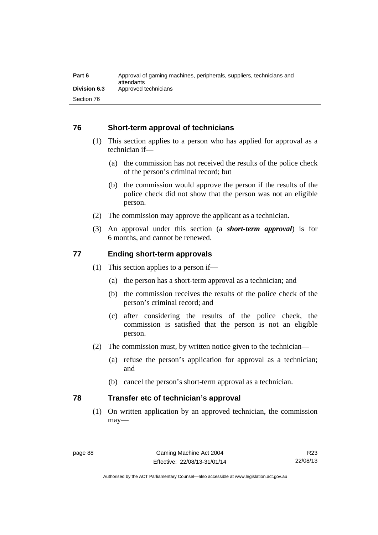| Part 6              | Approval of gaming machines, peripherals, suppliers, technicians and<br>attendants |
|---------------------|------------------------------------------------------------------------------------|
| <b>Division 6.3</b> | Approved technicians                                                               |
| Section 76          |                                                                                    |

# **76 Short-term approval of technicians**

- (1) This section applies to a person who has applied for approval as a technician if—
	- (a) the commission has not received the results of the police check of the person's criminal record; but
	- (b) the commission would approve the person if the results of the police check did not show that the person was not an eligible person.
- (2) The commission may approve the applicant as a technician.
- (3) An approval under this section (a *short-term approval*) is for 6 months, and cannot be renewed.

# **77 Ending short-term approvals**

- (1) This section applies to a person if—
	- (a) the person has a short-term approval as a technician; and
	- (b) the commission receives the results of the police check of the person's criminal record; and
	- (c) after considering the results of the police check, the commission is satisfied that the person is not an eligible person.
- (2) The commission must, by written notice given to the technician—
	- (a) refuse the person's application for approval as a technician; and
	- (b) cancel the person's short-term approval as a technician.

# **78 Transfer etc of technician's approval**

(1) On written application by an approved technician, the commission may—

Authorised by the ACT Parliamentary Counsel—also accessible at www.legislation.act.gov.au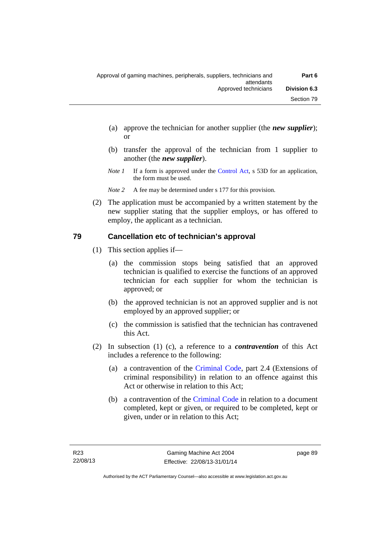- (a) approve the technician for another supplier (the *new supplier*); or
- (b) transfer the approval of the technician from 1 supplier to another (the *new supplier*).
- *Note 1* If a form is approved under the [Control Act,](http://www.legislation.act.gov.au/a/1999-46) s 53D for an application, the form must be used.

*Note* 2 A fee may be determined under s 177 for this provision.

 (2) The application must be accompanied by a written statement by the new supplier stating that the supplier employs, or has offered to employ, the applicant as a technician.

# **79 Cancellation etc of technician's approval**

- (1) This section applies if—
	- (a) the commission stops being satisfied that an approved technician is qualified to exercise the functions of an approved technician for each supplier for whom the technician is approved; or
	- (b) the approved technician is not an approved supplier and is not employed by an approved supplier; or
	- (c) the commission is satisfied that the technician has contravened this Act.
- (2) In subsection (1) (c), a reference to a *contravention* of this Act includes a reference to the following:
	- (a) a contravention of the [Criminal Code](http://www.legislation.act.gov.au/a/2002-51), part 2.4 (Extensions of criminal responsibility) in relation to an offence against this Act or otherwise in relation to this Act;
	- (b) a contravention of the [Criminal Code](http://www.legislation.act.gov.au/a/2002-51) in relation to a document completed, kept or given, or required to be completed, kept or given, under or in relation to this Act;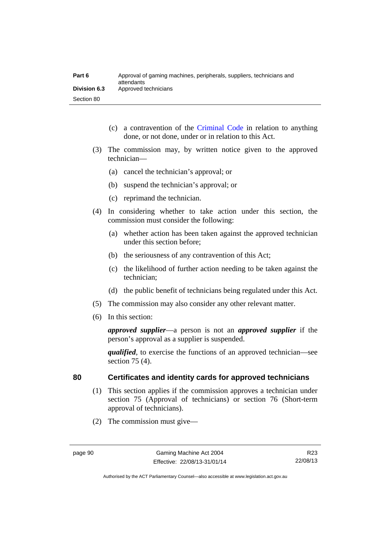| Part 6              | Approval of gaming machines, peripherals, suppliers, technicians and<br>attendants |
|---------------------|------------------------------------------------------------------------------------|
| <b>Division 6.3</b> | Approved technicians                                                               |
| Section 80          |                                                                                    |

- (c) a contravention of the [Criminal Code](http://www.legislation.act.gov.au/a/2002-51) in relation to anything done, or not done, under or in relation to this Act.
- (3) The commission may, by written notice given to the approved technician—
	- (a) cancel the technician's approval; or
	- (b) suspend the technician's approval; or
	- (c) reprimand the technician.
- (4) In considering whether to take action under this section, the commission must consider the following:
	- (a) whether action has been taken against the approved technician under this section before;
	- (b) the seriousness of any contravention of this Act;
	- (c) the likelihood of further action needing to be taken against the technician;
	- (d) the public benefit of technicians being regulated under this Act.
- (5) The commission may also consider any other relevant matter.
- (6) In this section:

*approved supplier*—a person is not an *approved supplier* if the person's approval as a supplier is suspended.

*qualified*, to exercise the functions of an approved technician—see section 75 (4).

# **80 Certificates and identity cards for approved technicians**

- (1) This section applies if the commission approves a technician under section 75 (Approval of technicians) or section 76 (Short-term approval of technicians).
- (2) The commission must give—

Authorised by the ACT Parliamentary Counsel—also accessible at www.legislation.act.gov.au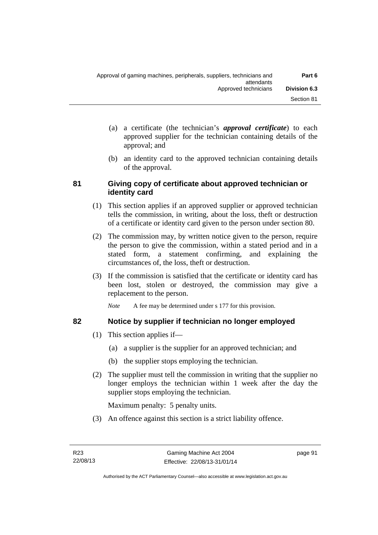- (a) a certificate (the technician's *approval certificate*) to each approved supplier for the technician containing details of the approval; and
- (b) an identity card to the approved technician containing details of the approval.

# **81 Giving copy of certificate about approved technician or identity card**

- (1) This section applies if an approved supplier or approved technician tells the commission, in writing, about the loss, theft or destruction of a certificate or identity card given to the person under section 80.
- (2) The commission may, by written notice given to the person, require the person to give the commission, within a stated period and in a stated form, a statement confirming, and explaining the circumstances of, the loss, theft or destruction.
- (3) If the commission is satisfied that the certificate or identity card has been lost, stolen or destroyed, the commission may give a replacement to the person.

*Note* A fee may be determined under s 177 for this provision.

# **82 Notice by supplier if technician no longer employed**

- (1) This section applies if—
	- (a) a supplier is the supplier for an approved technician; and
	- (b) the supplier stops employing the technician.
- (2) The supplier must tell the commission in writing that the supplier no longer employs the technician within 1 week after the day the supplier stops employing the technician.

Maximum penalty: 5 penalty units.

(3) An offence against this section is a strict liability offence.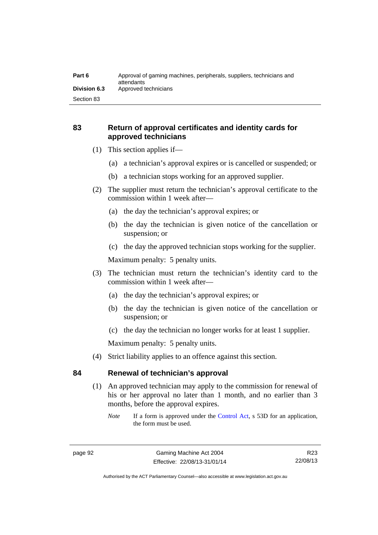# **83 Return of approval certificates and identity cards for approved technicians**

- (1) This section applies if—
	- (a) a technician's approval expires or is cancelled or suspended; or
	- (b) a technician stops working for an approved supplier.
- (2) The supplier must return the technician's approval certificate to the commission within 1 week after—
	- (a) the day the technician's approval expires; or
	- (b) the day the technician is given notice of the cancellation or suspension; or
	- (c) the day the approved technician stops working for the supplier.

Maximum penalty: 5 penalty units.

- (3) The technician must return the technician's identity card to the commission within 1 week after—
	- (a) the day the technician's approval expires; or
	- (b) the day the technician is given notice of the cancellation or suspension; or
	- (c) the day the technician no longer works for at least 1 supplier.

Maximum penalty: 5 penalty units.

(4) Strict liability applies to an offence against this section.

# **84 Renewal of technician's approval**

- (1) An approved technician may apply to the commission for renewal of his or her approval no later than 1 month, and no earlier than 3 months, before the approval expires.
	- *Note* If a form is approved under the [Control Act,](http://www.legislation.act.gov.au/a/1999-46) s 53D for an application, the form must be used.

R23 22/08/13

Authorised by the ACT Parliamentary Counsel—also accessible at www.legislation.act.gov.au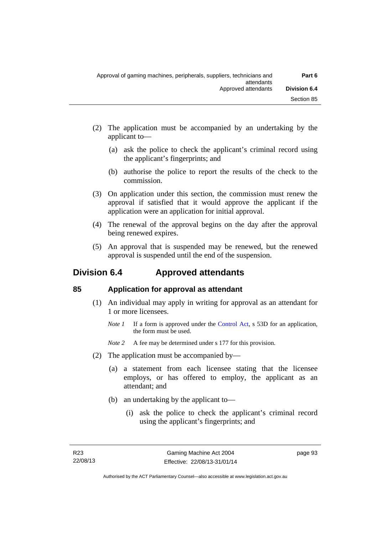- (2) The application must be accompanied by an undertaking by the applicant to—
	- (a) ask the police to check the applicant's criminal record using the applicant's fingerprints; and
	- (b) authorise the police to report the results of the check to the commission.
- (3) On application under this section, the commission must renew the approval if satisfied that it would approve the applicant if the application were an application for initial approval.
- (4) The renewal of the approval begins on the day after the approval being renewed expires.
- (5) An approval that is suspended may be renewed, but the renewed approval is suspended until the end of the suspension.

# **Division 6.4 Approved attendants**

# **85 Application for approval as attendant**

- (1) An individual may apply in writing for approval as an attendant for 1 or more licensees.
	- *Note 1* If a form is approved under the [Control Act,](http://www.legislation.act.gov.au/a/1999-46) s 53D for an application, the form must be used.
	- *Note* 2 A fee may be determined under s 177 for this provision.
- (2) The application must be accompanied by—
	- (a) a statement from each licensee stating that the licensee employs, or has offered to employ, the applicant as an attendant; and
	- (b) an undertaking by the applicant to—
		- (i) ask the police to check the applicant's criminal record using the applicant's fingerprints; and

page 93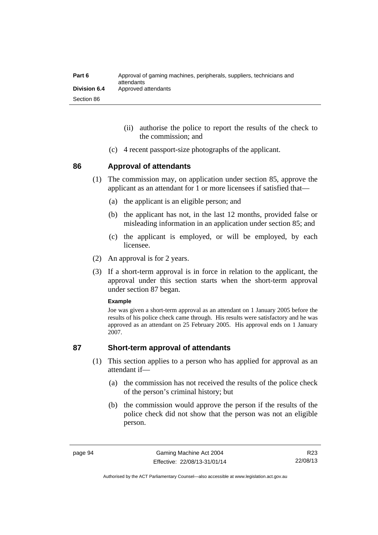| Part 6       | Approval of gaming machines, peripherals, suppliers, technicians and<br>attendants |
|--------------|------------------------------------------------------------------------------------|
| Division 6.4 | Approved attendants                                                                |
| Section 86   |                                                                                    |

- (ii) authorise the police to report the results of the check to the commission; and
- (c) 4 recent passport-size photographs of the applicant.

# **86 Approval of attendants**

- (1) The commission may, on application under section 85, approve the applicant as an attendant for 1 or more licensees if satisfied that—
	- (a) the applicant is an eligible person; and
	- (b) the applicant has not, in the last 12 months, provided false or misleading information in an application under section 85; and
	- (c) the applicant is employed, or will be employed, by each licensee.
- (2) An approval is for 2 years.
- (3) If a short-term approval is in force in relation to the applicant, the approval under this section starts when the short-term approval under section 87 began.

### **Example**

Joe was given a short-term approval as an attendant on 1 January 2005 before the results of his police check came through. His results were satisfactory and he was approved as an attendant on 25 February 2005. His approval ends on 1 January 2007.

# **87 Short-term approval of attendants**

- (1) This section applies to a person who has applied for approval as an attendant if—
	- (a) the commission has not received the results of the police check of the person's criminal history; but
	- (b) the commission would approve the person if the results of the police check did not show that the person was not an eligible person.

Authorised by the ACT Parliamentary Counsel—also accessible at www.legislation.act.gov.au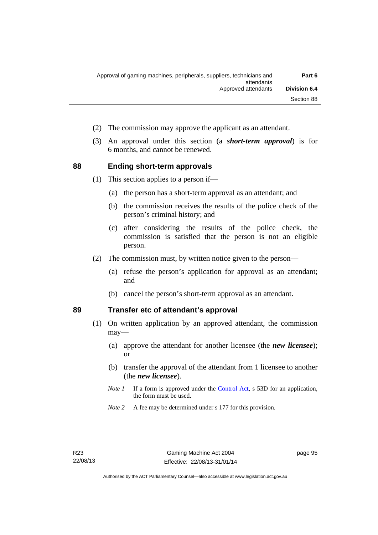- (2) The commission may approve the applicant as an attendant.
- (3) An approval under this section (a *short-term approval*) is for 6 months, and cannot be renewed.

# **88 Ending short-term approvals**

(1) This section applies to a person if—

- (a) the person has a short-term approval as an attendant; and
- (b) the commission receives the results of the police check of the person's criminal history; and
- (c) after considering the results of the police check, the commission is satisfied that the person is not an eligible person.
- (2) The commission must, by written notice given to the person—
	- (a) refuse the person's application for approval as an attendant; and
	- (b) cancel the person's short-term approval as an attendant.

# **89 Transfer etc of attendant's approval**

- (1) On written application by an approved attendant, the commission may—
	- (a) approve the attendant for another licensee (the *new licensee*); or
	- (b) transfer the approval of the attendant from 1 licensee to another (the *new licensee*).
	- *Note 1* If a form is approved under the [Control Act,](http://www.legislation.act.gov.au/a/1999-46) s 53D for an application, the form must be used.
	- *Note 2* A fee may be determined under s 177 for this provision.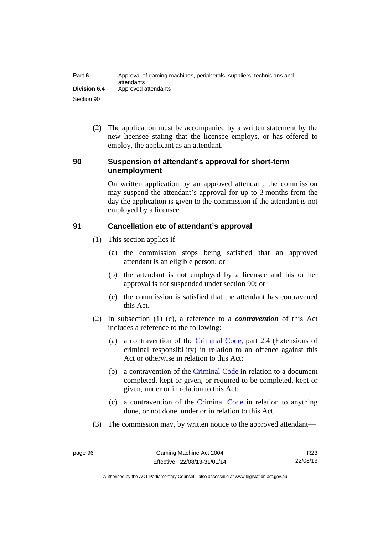| Part 6              | Approval of gaming machines, peripherals, suppliers, technicians and<br>attendants |
|---------------------|------------------------------------------------------------------------------------|
| <b>Division 6.4</b> | Approved attendants                                                                |
| Section 90          |                                                                                    |

 (2) The application must be accompanied by a written statement by the new licensee stating that the licensee employs, or has offered to employ, the applicant as an attendant.

# **90 Suspension of attendant's approval for short-term unemployment**

On written application by an approved attendant, the commission may suspend the attendant's approval for up to 3 months from the day the application is given to the commission if the attendant is not employed by a licensee.

# **91 Cancellation etc of attendant's approval**

- (1) This section applies if—
	- (a) the commission stops being satisfied that an approved attendant is an eligible person; or
	- (b) the attendant is not employed by a licensee and his or her approval is not suspended under section 90; or
	- (c) the commission is satisfied that the attendant has contravened this Act.
- (2) In subsection (1) (c), a reference to a *contravention* of this Act includes a reference to the following:
	- (a) a contravention of the [Criminal Code](http://www.legislation.act.gov.au/a/2002-51), part 2.4 (Extensions of criminal responsibility) in relation to an offence against this Act or otherwise in relation to this Act;
	- (b) a contravention of the [Criminal Code](http://www.legislation.act.gov.au/a/2002-51) in relation to a document completed, kept or given, or required to be completed, kept or given, under or in relation to this Act;
	- (c) a contravention of the [Criminal Code](http://www.legislation.act.gov.au/a/2002-51) in relation to anything done, or not done, under or in relation to this Act.
- (3) The commission may, by written notice to the approved attendant—

R23 22/08/13

Authorised by the ACT Parliamentary Counsel—also accessible at www.legislation.act.gov.au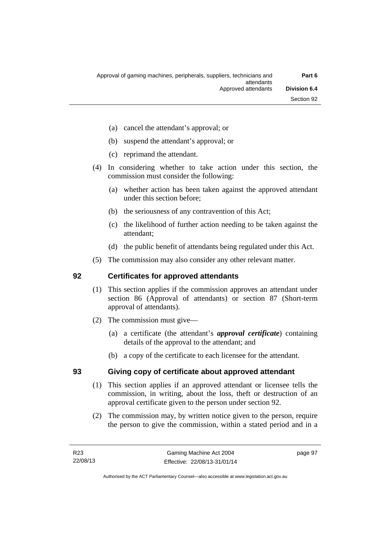- (a) cancel the attendant's approval; or
- (b) suspend the attendant's approval; or
- (c) reprimand the attendant.
- (4) In considering whether to take action under this section, the commission must consider the following:
	- (a) whether action has been taken against the approved attendant under this section before;
	- (b) the seriousness of any contravention of this Act;
	- (c) the likelihood of further action needing to be taken against the attendant;
	- (d) the public benefit of attendants being regulated under this Act.
- (5) The commission may also consider any other relevant matter.

### **92 Certificates for approved attendants**

- (1) This section applies if the commission approves an attendant under section 86 (Approval of attendants) or section 87 (Short-term approval of attendants).
- (2) The commission must give—
	- (a) a certificate (the attendant's *approval certificate*) containing details of the approval to the attendant; and
	- (b) a copy of the certificate to each licensee for the attendant.

### **93 Giving copy of certificate about approved attendant**

- (1) This section applies if an approved attendant or licensee tells the commission, in writing, about the loss, theft or destruction of an approval certificate given to the person under section 92.
- (2) The commission may, by written notice given to the person, require the person to give the commission, within a stated period and in a

page 97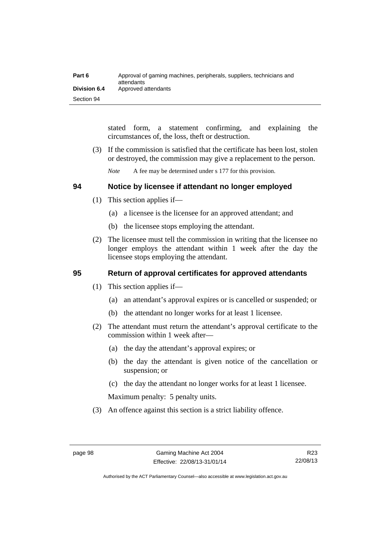| Part 6              | Approval of gaming machines, peripherals, suppliers, technicians and<br>attendants |
|---------------------|------------------------------------------------------------------------------------|
| <b>Division 6.4</b> | Approved attendants                                                                |
| Section 94          |                                                                                    |

stated form, a statement confirming, and explaining the circumstances of, the loss, theft or destruction.

 (3) If the commission is satisfied that the certificate has been lost, stolen or destroyed, the commission may give a replacement to the person.

*Note* A fee may be determined under s 177 for this provision.

### **94 Notice by licensee if attendant no longer employed**

- (1) This section applies if—
	- (a) a licensee is the licensee for an approved attendant; and
	- (b) the licensee stops employing the attendant.
- (2) The licensee must tell the commission in writing that the licensee no longer employs the attendant within 1 week after the day the licensee stops employing the attendant.

### **95 Return of approval certificates for approved attendants**

- (1) This section applies if—
	- (a) an attendant's approval expires or is cancelled or suspended; or
	- (b) the attendant no longer works for at least 1 licensee.
- (2) The attendant must return the attendant's approval certificate to the commission within 1 week after—
	- (a) the day the attendant's approval expires; or
	- (b) the day the attendant is given notice of the cancellation or suspension; or
	- (c) the day the attendant no longer works for at least 1 licensee.

Maximum penalty: 5 penalty units.

(3) An offence against this section is a strict liability offence.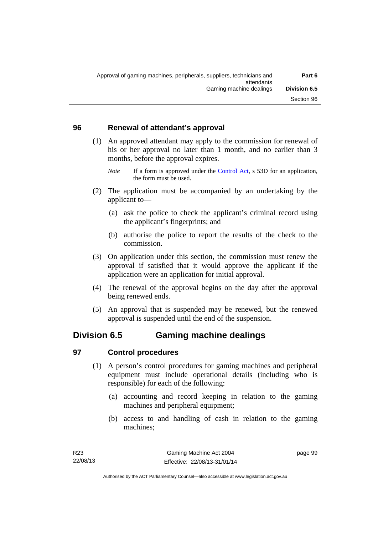### **96 Renewal of attendant's approval**

- (1) An approved attendant may apply to the commission for renewal of his or her approval no later than 1 month, and no earlier than 3 months, before the approval expires.
	- *Note* If a form is approved under the [Control Act,](http://www.legislation.act.gov.au/a/1999-46) s 53D for an application, the form must be used.
- (2) The application must be accompanied by an undertaking by the applicant to—
	- (a) ask the police to check the applicant's criminal record using the applicant's fingerprints; and
	- (b) authorise the police to report the results of the check to the commission.
- (3) On application under this section, the commission must renew the approval if satisfied that it would approve the applicant if the application were an application for initial approval.
- (4) The renewal of the approval begins on the day after the approval being renewed ends.
- (5) An approval that is suspended may be renewed, but the renewed approval is suspended until the end of the suspension.

# **Division 6.5 Gaming machine dealings**

### **97 Control procedures**

- (1) A person's control procedures for gaming machines and peripheral equipment must include operational details (including who is responsible) for each of the following:
	- (a) accounting and record keeping in relation to the gaming machines and peripheral equipment;
	- (b) access to and handling of cash in relation to the gaming machines;

page 99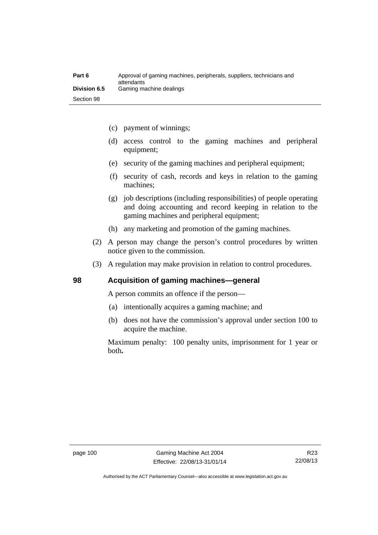| Part 6       | Approval of gaming machines, peripherals, suppliers, technicians and<br>attendants |
|--------------|------------------------------------------------------------------------------------|
| Division 6.5 | Gaming machine dealings                                                            |
| Section 98   |                                                                                    |

- (c) payment of winnings;
- (d) access control to the gaming machines and peripheral equipment;
- (e) security of the gaming machines and peripheral equipment;
- (f) security of cash, records and keys in relation to the gaming machines;
- (g) job descriptions (including responsibilities) of people operating and doing accounting and record keeping in relation to the gaming machines and peripheral equipment;
- (h) any marketing and promotion of the gaming machines.
- (2) A person may change the person's control procedures by written notice given to the commission.
- (3) A regulation may make provision in relation to control procedures.

### **98 Acquisition of gaming machines—general**

A person commits an offence if the person—

- (a) intentionally acquires a gaming machine; and
- (b) does not have the commission's approval under section 100 to acquire the machine.

Maximum penalty: 100 penalty units, imprisonment for 1 year or both**.**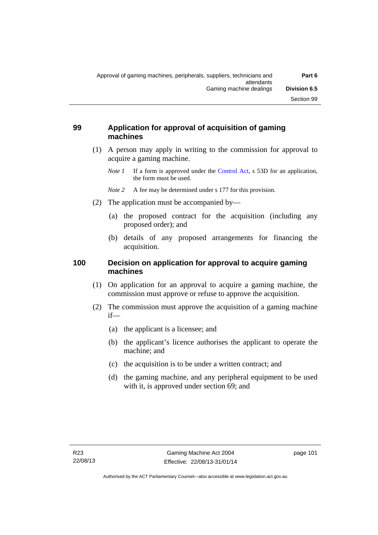### **99 Application for approval of acquisition of gaming machines**

- (1) A person may apply in writing to the commission for approval to acquire a gaming machine.
	- *Note 1* If a form is approved under the [Control Act,](http://www.legislation.act.gov.au/a/1999-46) s 53D for an application, the form must be used.
	- *Note* 2 A fee may be determined under s 177 for this provision.
- (2) The application must be accompanied by—
	- (a) the proposed contract for the acquisition (including any proposed order); and
	- (b) details of any proposed arrangements for financing the acquisition.

### **100 Decision on application for approval to acquire gaming machines**

- (1) On application for an approval to acquire a gaming machine, the commission must approve or refuse to approve the acquisition.
- (2) The commission must approve the acquisition of a gaming machine if—
	- (a) the applicant is a licensee; and
	- (b) the applicant's licence authorises the applicant to operate the machine; and
	- (c) the acquisition is to be under a written contract; and
	- (d) the gaming machine, and any peripheral equipment to be used with it, is approved under section 69; and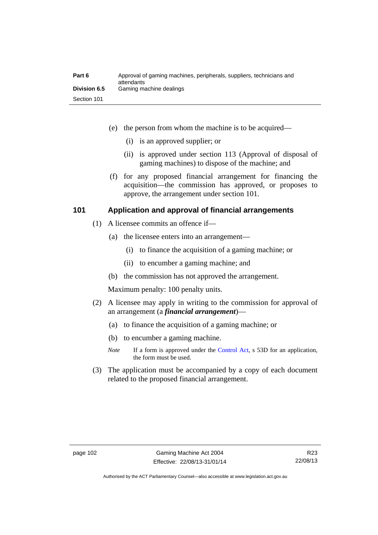| Part 6              | Approval of gaming machines, peripherals, suppliers, technicians and<br>attendants |
|---------------------|------------------------------------------------------------------------------------|
| <b>Division 6.5</b> | Gaming machine dealings                                                            |
| Section 101         |                                                                                    |

- (e) the person from whom the machine is to be acquired—
	- (i) is an approved supplier; or
	- (ii) is approved under section 113 (Approval of disposal of gaming machines) to dispose of the machine; and
- (f) for any proposed financial arrangement for financing the acquisition—the commission has approved, or proposes to approve, the arrangement under section 101.

### **101 Application and approval of financial arrangements**

- (1) A licensee commits an offence if—
	- (a) the licensee enters into an arrangement—
		- (i) to finance the acquisition of a gaming machine; or
		- (ii) to encumber a gaming machine; and
	- (b) the commission has not approved the arrangement.

Maximum penalty: 100 penalty units.

- (2) A licensee may apply in writing to the commission for approval of an arrangement (a *financial arrangement*)—
	- (a) to finance the acquisition of a gaming machine; or
	- (b) to encumber a gaming machine.
	- *Note* If a form is approved under the [Control Act,](http://www.legislation.act.gov.au/a/1999-46) s 53D for an application, the form must be used.
- (3) The application must be accompanied by a copy of each document related to the proposed financial arrangement.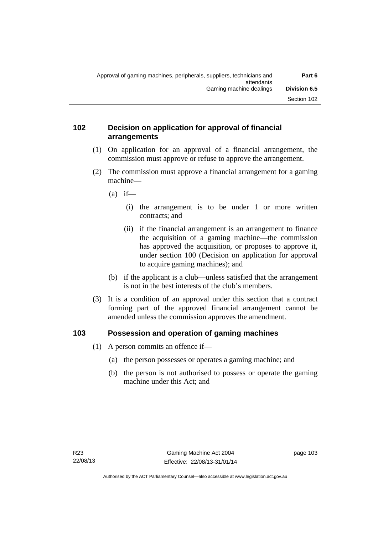### **102 Decision on application for approval of financial arrangements**

- (1) On application for an approval of a financial arrangement, the commission must approve or refuse to approve the arrangement.
- (2) The commission must approve a financial arrangement for a gaming machine—
	- $(a)$  if—
		- (i) the arrangement is to be under 1 or more written contracts; and
		- (ii) if the financial arrangement is an arrangement to finance the acquisition of a gaming machine—the commission has approved the acquisition, or proposes to approve it, under section 100 (Decision on application for approval to acquire gaming machines); and
	- (b) if the applicant is a club—unless satisfied that the arrangement is not in the best interests of the club's members.
- (3) It is a condition of an approval under this section that a contract forming part of the approved financial arrangement cannot be amended unless the commission approves the amendment.

### **103 Possession and operation of gaming machines**

- (1) A person commits an offence if—
	- (a) the person possesses or operates a gaming machine; and
	- (b) the person is not authorised to possess or operate the gaming machine under this Act; and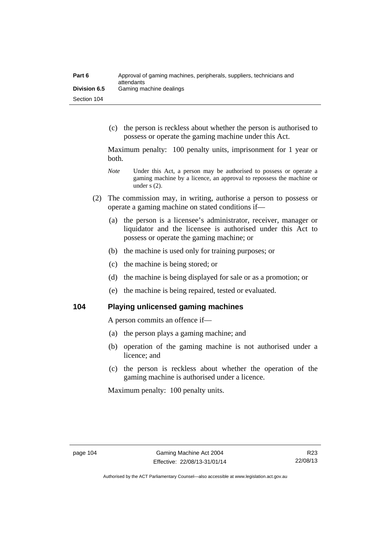| Part 6              | Approval of gaming machines, peripherals, suppliers, technicians and<br>attendants |
|---------------------|------------------------------------------------------------------------------------|
| <b>Division 6.5</b> | Gaming machine dealings                                                            |
| Section 104         |                                                                                    |

 (c) the person is reckless about whether the person is authorised to possess or operate the gaming machine under this Act.

Maximum penalty: 100 penalty units, imprisonment for 1 year or both.

- *Note* **Under this Act, a person may be authorised to possess or operate a** gaming machine by a licence, an approval to repossess the machine or under s (2).
- (2) The commission may, in writing, authorise a person to possess or operate a gaming machine on stated conditions if—
	- (a) the person is a licensee's administrator, receiver, manager or liquidator and the licensee is authorised under this Act to possess or operate the gaming machine; or
	- (b) the machine is used only for training purposes; or
	- (c) the machine is being stored; or
	- (d) the machine is being displayed for sale or as a promotion; or
	- (e) the machine is being repaired, tested or evaluated.

**104 Playing unlicensed gaming machines** 

A person commits an offence if—

- (a) the person plays a gaming machine; and
- (b) operation of the gaming machine is not authorised under a licence; and
- (c) the person is reckless about whether the operation of the gaming machine is authorised under a licence.

Maximum penalty: 100 penalty units.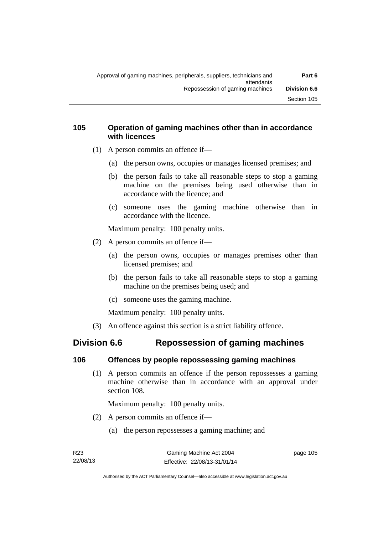### **105 Operation of gaming machines other than in accordance with licences**

- (1) A person commits an offence if—
	- (a) the person owns, occupies or manages licensed premises; and
	- (b) the person fails to take all reasonable steps to stop a gaming machine on the premises being used otherwise than in accordance with the licence; and
	- (c) someone uses the gaming machine otherwise than in accordance with the licence.

Maximum penalty: 100 penalty units.

- (2) A person commits an offence if—
	- (a) the person owns, occupies or manages premises other than licensed premises; and
	- (b) the person fails to take all reasonable steps to stop a gaming machine on the premises being used; and
	- (c) someone uses the gaming machine.

Maximum penalty: 100 penalty units.

(3) An offence against this section is a strict liability offence.

# **Division 6.6 Repossession of gaming machines**

### **106 Offences by people repossessing gaming machines**

 (1) A person commits an offence if the person repossesses a gaming machine otherwise than in accordance with an approval under section 108.

Maximum penalty: 100 penalty units.

- (2) A person commits an offence if—
	- (a) the person repossesses a gaming machine; and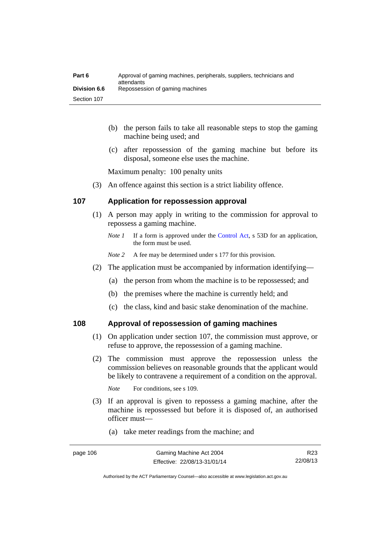| Part 6              | Approval of gaming machines, peripherals, suppliers, technicians and<br>attendants |
|---------------------|------------------------------------------------------------------------------------|
| <b>Division 6.6</b> | Repossession of gaming machines                                                    |
| Section 107         |                                                                                    |

- (b) the person fails to take all reasonable steps to stop the gaming machine being used; and
- (c) after repossession of the gaming machine but before its disposal, someone else uses the machine.

Maximum penalty: 100 penalty units

(3) An offence against this section is a strict liability offence.

### **107 Application for repossession approval**

- (1) A person may apply in writing to the commission for approval to repossess a gaming machine.
	- *Note 1* If a form is approved under the [Control Act,](http://www.legislation.act.gov.au/a/1999-46) s 53D for an application, the form must be used.
	- *Note 2* A fee may be determined under s 177 for this provision.
- (2) The application must be accompanied by information identifying—
	- (a) the person from whom the machine is to be repossessed; and
	- (b) the premises where the machine is currently held; and
	- (c) the class, kind and basic stake denomination of the machine.

### **108 Approval of repossession of gaming machines**

- (1) On application under section 107, the commission must approve, or refuse to approve, the repossession of a gaming machine.
- (2) The commission must approve the repossession unless the commission believes on reasonable grounds that the applicant would be likely to contravene a requirement of a condition on the approval.

*Note* For conditions, see s 109.

- (3) If an approval is given to repossess a gaming machine, after the machine is repossessed but before it is disposed of, an authorised officer must—
	- (a) take meter readings from the machine; and

Authorised by the ACT Parliamentary Counsel—also accessible at www.legislation.act.gov.au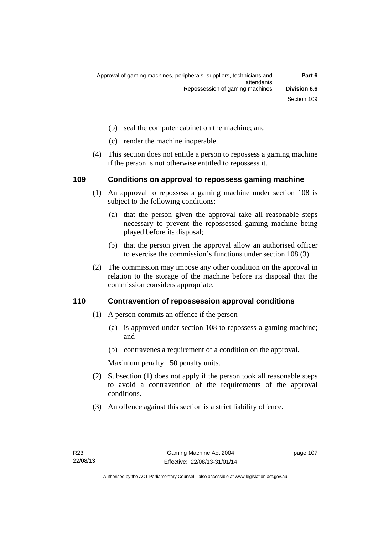- (b) seal the computer cabinet on the machine; and
- (c) render the machine inoperable.
- (4) This section does not entitle a person to repossess a gaming machine if the person is not otherwise entitled to repossess it.

### **109 Conditions on approval to repossess gaming machine**

- (1) An approval to repossess a gaming machine under section 108 is subject to the following conditions:
	- (a) that the person given the approval take all reasonable steps necessary to prevent the repossessed gaming machine being played before its disposal;
	- (b) that the person given the approval allow an authorised officer to exercise the commission's functions under section 108 (3).
- (2) The commission may impose any other condition on the approval in relation to the storage of the machine before its disposal that the commission considers appropriate.

### **110 Contravention of repossession approval conditions**

- (1) A person commits an offence if the person—
	- (a) is approved under section 108 to repossess a gaming machine; and
	- (b) contravenes a requirement of a condition on the approval.

Maximum penalty: 50 penalty units.

- (2) Subsection (1) does not apply if the person took all reasonable steps to avoid a contravention of the requirements of the approval conditions.
- (3) An offence against this section is a strict liability offence.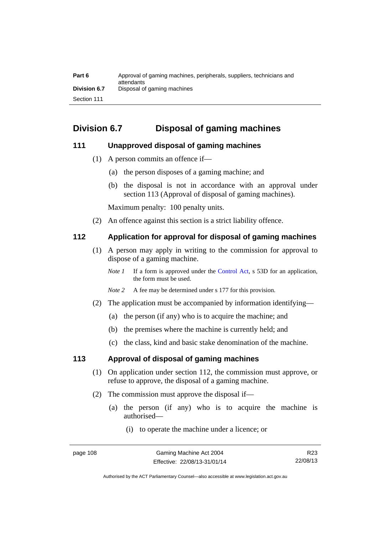| Part 6              | Approval of gaming machines, peripherals, suppliers, technicians and<br>attendants |
|---------------------|------------------------------------------------------------------------------------|
| <b>Division 6.7</b> | Disposal of gaming machines                                                        |
| Section 111         |                                                                                    |

# **Division 6.7 Disposal of gaming machines**

### **111 Unapproved disposal of gaming machines**

- (1) A person commits an offence if—
	- (a) the person disposes of a gaming machine; and
	- (b) the disposal is not in accordance with an approval under section 113 (Approval of disposal of gaming machines).

Maximum penalty: 100 penalty units.

(2) An offence against this section is a strict liability offence.

### **112 Application for approval for disposal of gaming machines**

- (1) A person may apply in writing to the commission for approval to dispose of a gaming machine.
	- *Note 1* If a form is approved under the [Control Act,](http://www.legislation.act.gov.au/a/1999-46) s 53D for an application, the form must be used.
	- *Note 2* A fee may be determined under s 177 for this provision.
- (2) The application must be accompanied by information identifying—
	- (a) the person (if any) who is to acquire the machine; and
	- (b) the premises where the machine is currently held; and
	- (c) the class, kind and basic stake denomination of the machine.

### **113 Approval of disposal of gaming machines**

- (1) On application under section 112, the commission must approve, or refuse to approve, the disposal of a gaming machine.
- (2) The commission must approve the disposal if—
	- (a) the person (if any) who is to acquire the machine is authorised—
		- (i) to operate the machine under a licence; or

Authorised by the ACT Parliamentary Counsel—also accessible at www.legislation.act.gov.au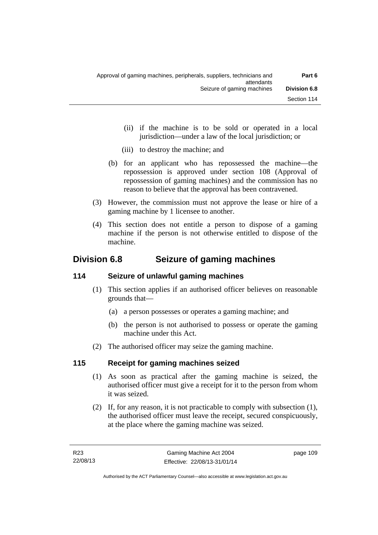- (ii) if the machine is to be sold or operated in a local jurisdiction—under a law of the local jurisdiction; or
- (iii) to destroy the machine; and
- (b) for an applicant who has repossessed the machine—the repossession is approved under section 108 (Approval of repossession of gaming machines) and the commission has no reason to believe that the approval has been contravened.
- (3) However, the commission must not approve the lease or hire of a gaming machine by 1 licensee to another.
- (4) This section does not entitle a person to dispose of a gaming machine if the person is not otherwise entitled to dispose of the machine.

# **Division 6.8 Seizure of gaming machines**

# **114 Seizure of unlawful gaming machines**

- (1) This section applies if an authorised officer believes on reasonable grounds that—
	- (a) a person possesses or operates a gaming machine; and
	- (b) the person is not authorised to possess or operate the gaming machine under this Act.
- (2) The authorised officer may seize the gaming machine.

### **115 Receipt for gaming machines seized**

- (1) As soon as practical after the gaming machine is seized, the authorised officer must give a receipt for it to the person from whom it was seized.
- (2) If, for any reason, it is not practicable to comply with subsection (1), the authorised officer must leave the receipt, secured conspicuously, at the place where the gaming machine was seized.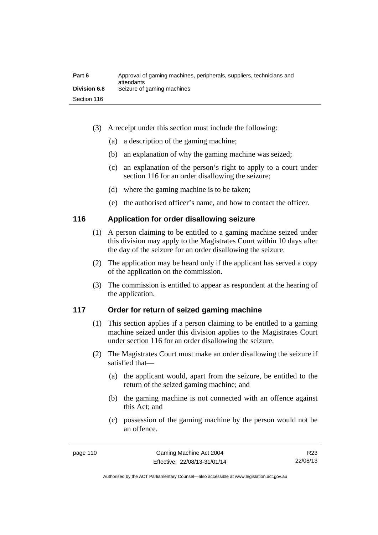| Part 6              | Approval of gaming machines, peripherals, suppliers, technicians and<br>attendants |
|---------------------|------------------------------------------------------------------------------------|
| <b>Division 6.8</b> | Seizure of gaming machines                                                         |
| Section 116         |                                                                                    |

- (3) A receipt under this section must include the following:
	- (a) a description of the gaming machine;
	- (b) an explanation of why the gaming machine was seized;
	- (c) an explanation of the person's right to apply to a court under section 116 for an order disallowing the seizure;
	- (d) where the gaming machine is to be taken;
	- (e) the authorised officer's name, and how to contact the officer.

### **116 Application for order disallowing seizure**

- (1) A person claiming to be entitled to a gaming machine seized under this division may apply to the Magistrates Court within 10 days after the day of the seizure for an order disallowing the seizure.
- (2) The application may be heard only if the applicant has served a copy of the application on the commission.
- (3) The commission is entitled to appear as respondent at the hearing of the application.

### **117 Order for return of seized gaming machine**

- (1) This section applies if a person claiming to be entitled to a gaming machine seized under this division applies to the Magistrates Court under section 116 for an order disallowing the seizure.
- (2) The Magistrates Court must make an order disallowing the seizure if satisfied that—
	- (a) the applicant would, apart from the seizure, be entitled to the return of the seized gaming machine; and
	- (b) the gaming machine is not connected with an offence against this Act; and
	- (c) possession of the gaming machine by the person would not be an offence.

Authorised by the ACT Parliamentary Counsel—also accessible at www.legislation.act.gov.au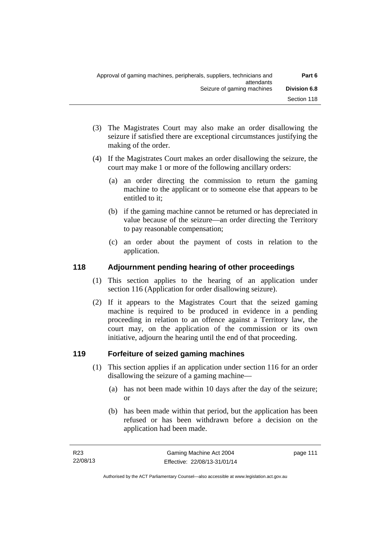- (3) The Magistrates Court may also make an order disallowing the seizure if satisfied there are exceptional circumstances justifying the making of the order.
- (4) If the Magistrates Court makes an order disallowing the seizure, the court may make 1 or more of the following ancillary orders:
	- (a) an order directing the commission to return the gaming machine to the applicant or to someone else that appears to be entitled to it;
	- (b) if the gaming machine cannot be returned or has depreciated in value because of the seizure—an order directing the Territory to pay reasonable compensation;
	- (c) an order about the payment of costs in relation to the application.

### **118 Adjournment pending hearing of other proceedings**

- (1) This section applies to the hearing of an application under section 116 (Application for order disallowing seizure).
- (2) If it appears to the Magistrates Court that the seized gaming machine is required to be produced in evidence in a pending proceeding in relation to an offence against a Territory law, the court may, on the application of the commission or its own initiative, adjourn the hearing until the end of that proceeding.

# **119 Forfeiture of seized gaming machines**

- (1) This section applies if an application under section 116 for an order disallowing the seizure of a gaming machine—
	- (a) has not been made within 10 days after the day of the seizure; or
	- (b) has been made within that period, but the application has been refused or has been withdrawn before a decision on the application had been made.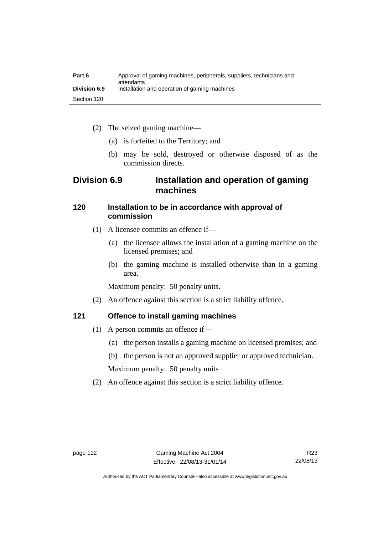| Part 6              | Approval of gaming machines, peripherals, suppliers, technicians and<br>attendants |
|---------------------|------------------------------------------------------------------------------------|
| <b>Division 6.9</b> | Installation and operation of gaming machines                                      |
| Section 120         |                                                                                    |

- (2) The seized gaming machine—
	- (a) is forfeited to the Territory; and
	- (b) may be sold, destroyed or otherwise disposed of as the commission directs.

# **Division 6.9 Installation and operation of gaming machines**

### **120 Installation to be in accordance with approval of commission**

- (1) A licensee commits an offence if—
	- (a) the licensee allows the installation of a gaming machine on the licensed premises; and
	- (b) the gaming machine is installed otherwise than in a gaming area.

Maximum penalty: 50 penalty units.

(2) An offence against this section is a strict liability offence.

### **121 Offence to install gaming machines**

- (1) A person commits an offence if—
	- (a) the person installs a gaming machine on licensed premises; and
	- (b) the person is not an approved supplier or approved technician.

Maximum penalty: 50 penalty units

(2) An offence against this section is a strict liability offence.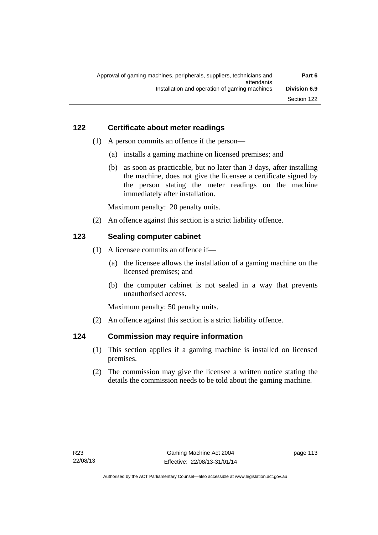### **122 Certificate about meter readings**

- (1) A person commits an offence if the person—
	- (a) installs a gaming machine on licensed premises; and
	- (b) as soon as practicable, but no later than 3 days, after installing the machine, does not give the licensee a certificate signed by the person stating the meter readings on the machine immediately after installation.

Maximum penalty: 20 penalty units.

(2) An offence against this section is a strict liability offence.

### **123 Sealing computer cabinet**

- (1) A licensee commits an offence if—
	- (a) the licensee allows the installation of a gaming machine on the licensed premises; and
	- (b) the computer cabinet is not sealed in a way that prevents unauthorised access.

Maximum penalty: 50 penalty units.

(2) An offence against this section is a strict liability offence.

### **124 Commission may require information**

- (1) This section applies if a gaming machine is installed on licensed premises.
- (2) The commission may give the licensee a written notice stating the details the commission needs to be told about the gaming machine.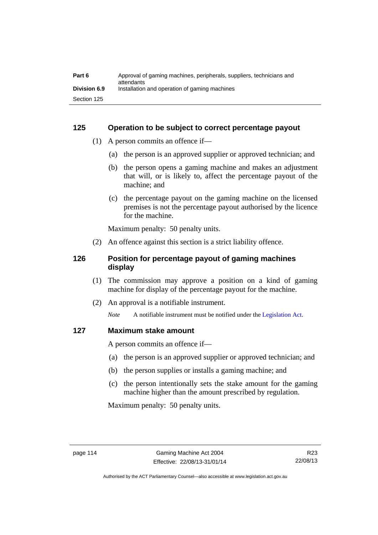| Part 6              | Approval of gaming machines, peripherals, suppliers, technicians and<br>attendants |
|---------------------|------------------------------------------------------------------------------------|
| <b>Division 6.9</b> | Installation and operation of gaming machines                                      |
| Section 125         |                                                                                    |

### **125 Operation to be subject to correct percentage payout**

- (1) A person commits an offence if—
	- (a) the person is an approved supplier or approved technician; and
	- (b) the person opens a gaming machine and makes an adjustment that will, or is likely to, affect the percentage payout of the machine; and
	- (c) the percentage payout on the gaming machine on the licensed premises is not the percentage payout authorised by the licence for the machine.

Maximum penalty: 50 penalty units.

(2) An offence against this section is a strict liability offence.

### **126 Position for percentage payout of gaming machines display**

- (1) The commission may approve a position on a kind of gaming machine for display of the percentage payout for the machine.
- (2) An approval is a notifiable instrument.

*Note* A notifiable instrument must be notified under the [Legislation Act](http://www.legislation.act.gov.au/a/2001-14).

### **127 Maximum stake amount**

A person commits an offence if—

- (a) the person is an approved supplier or approved technician; and
- (b) the person supplies or installs a gaming machine; and
- (c) the person intentionally sets the stake amount for the gaming machine higher than the amount prescribed by regulation.

Maximum penalty: 50 penalty units.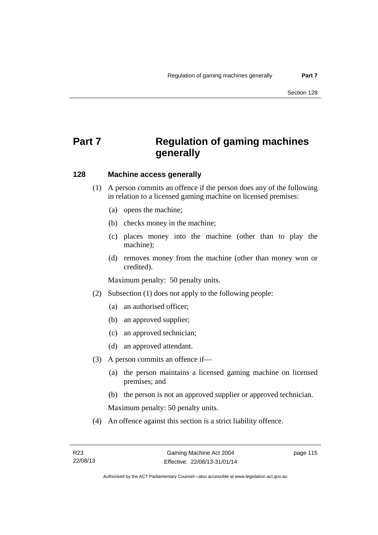# **Part 7 Regulation of gaming machines generally**

### **128 Machine access generally**

- (1) A person commits an offence if the person does any of the following in relation to a licensed gaming machine on licensed premises:
	- (a) opens the machine;
	- (b) checks money in the machine;
	- (c) places money into the machine (other than to play the machine);
	- (d) removes money from the machine (other than money won or credited).

Maximum penalty: 50 penalty units.

- (2) Subsection (1) does not apply to the following people:
	- (a) an authorised officer;
	- (b) an approved supplier;
	- (c) an approved technician;
	- (d) an approved attendant.
- (3) A person commits an offence if—
	- (a) the person maintains a licensed gaming machine on licensed premises; and
	- (b) the person is not an approved supplier or approved technician.

Maximum penalty: 50 penalty units.

(4) An offence against this section is a strict liability offence.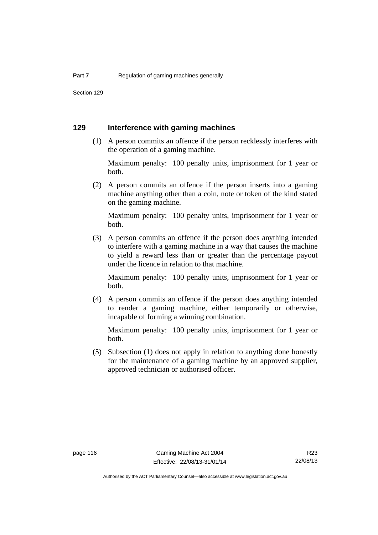Section 129

### **129 Interference with gaming machines**

 (1) A person commits an offence if the person recklessly interferes with the operation of a gaming machine.

Maximum penalty: 100 penalty units, imprisonment for 1 year or both.

 (2) A person commits an offence if the person inserts into a gaming machine anything other than a coin, note or token of the kind stated on the gaming machine.

Maximum penalty: 100 penalty units, imprisonment for 1 year or both.

 (3) A person commits an offence if the person does anything intended to interfere with a gaming machine in a way that causes the machine to yield a reward less than or greater than the percentage payout under the licence in relation to that machine.

Maximum penalty: 100 penalty units, imprisonment for 1 year or both.

 (4) A person commits an offence if the person does anything intended to render a gaming machine, either temporarily or otherwise, incapable of forming a winning combination.

Maximum penalty: 100 penalty units, imprisonment for 1 year or both.

 (5) Subsection (1) does not apply in relation to anything done honestly for the maintenance of a gaming machine by an approved supplier, approved technician or authorised officer.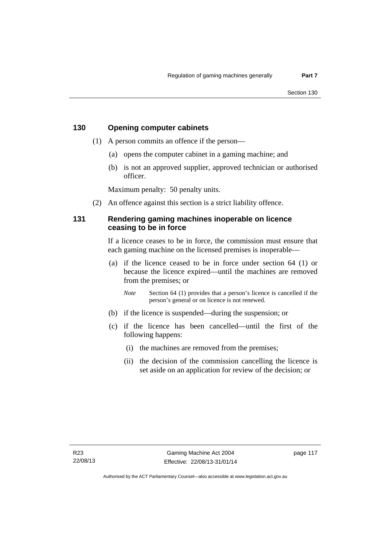### **130 Opening computer cabinets**

- (1) A person commits an offence if the person—
	- (a) opens the computer cabinet in a gaming machine; and
	- (b) is not an approved supplier, approved technician or authorised officer.

Maximum penalty: 50 penalty units.

(2) An offence against this section is a strict liability offence.

### **131 Rendering gaming machines inoperable on licence ceasing to be in force**

If a licence ceases to be in force, the commission must ensure that each gaming machine on the licensed premises is inoperable—

 (a) if the licence ceased to be in force under section 64 (1) or because the licence expired—until the machines are removed from the premises; or

*Note* Section 64 (1) provides that a person's licence is cancelled if the person's general or on licence is not renewed.

- (b) if the licence is suspended—during the suspension; or
- (c) if the licence has been cancelled—until the first of the following happens:
	- (i) the machines are removed from the premises;
	- (ii) the decision of the commission cancelling the licence is set aside on an application for review of the decision; or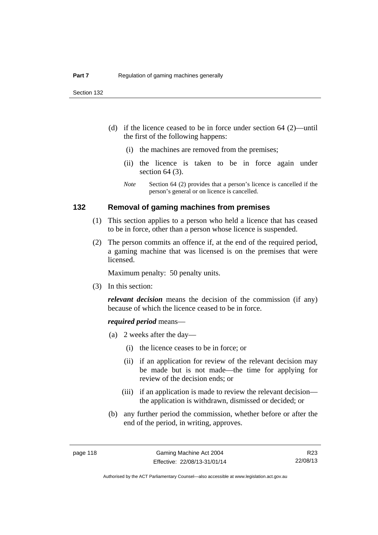- (d) if the licence ceased to be in force under section 64 (2)—until the first of the following happens:
	- (i) the machines are removed from the premises;
	- (ii) the licence is taken to be in force again under section 64 (3).
	- *Note* Section 64 (2) provides that a person's licence is cancelled if the person's general or on licence is cancelled.

### **132 Removal of gaming machines from premises**

- (1) This section applies to a person who held a licence that has ceased to be in force, other than a person whose licence is suspended.
- (2) The person commits an offence if, at the end of the required period, a gaming machine that was licensed is on the premises that were licensed.

Maximum penalty: 50 penalty units.

(3) In this section:

*relevant decision* means the decision of the commission (if any) because of which the licence ceased to be in force.

#### *required period* means—

- (a) 2 weeks after the day—
	- (i) the licence ceases to be in force; or
	- (ii) if an application for review of the relevant decision may be made but is not made—the time for applying for review of the decision ends; or
	- (iii) if an application is made to review the relevant decision the application is withdrawn, dismissed or decided; or
- (b) any further period the commission, whether before or after the end of the period, in writing, approves.

Authorised by the ACT Parliamentary Counsel—also accessible at www.legislation.act.gov.au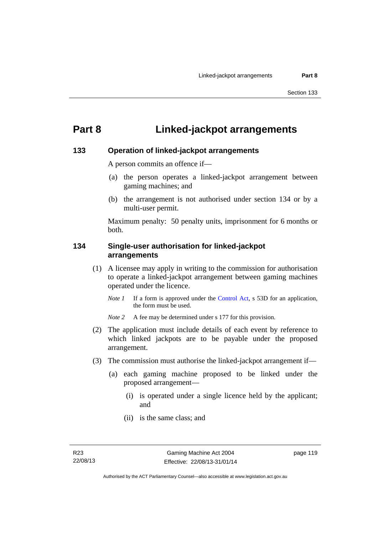# **Part 8 Linked-jackpot arrangements**

### **133 Operation of linked-jackpot arrangements**

A person commits an offence if—

- (a) the person operates a linked-jackpot arrangement between gaming machines; and
- (b) the arrangement is not authorised under section 134 or by a multi-user permit.

Maximum penalty: 50 penalty units, imprisonment for 6 months or both.

### **134 Single-user authorisation for linked-jackpot arrangements**

- (1) A licensee may apply in writing to the commission for authorisation to operate a linked-jackpot arrangement between gaming machines operated under the licence.
	- *Note 1* If a form is approved under the [Control Act,](http://www.legislation.act.gov.au/a/1999-46) s 53D for an application, the form must be used.

*Note* 2 A fee may be determined under s 177 for this provision.

- (2) The application must include details of each event by reference to which linked jackpots are to be payable under the proposed arrangement.
- (3) The commission must authorise the linked-jackpot arrangement if—
	- (a) each gaming machine proposed to be linked under the proposed arrangement—
		- (i) is operated under a single licence held by the applicant; and
		- (ii) is the same class; and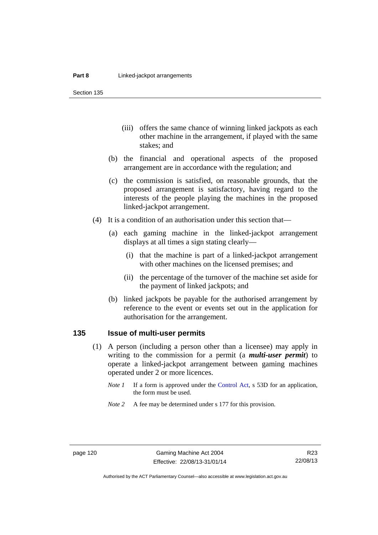Section 135

- (iii) offers the same chance of winning linked jackpots as each other machine in the arrangement, if played with the same stakes; and
- (b) the financial and operational aspects of the proposed arrangement are in accordance with the regulation; and
- (c) the commission is satisfied, on reasonable grounds, that the proposed arrangement is satisfactory, having regard to the interests of the people playing the machines in the proposed linked-jackpot arrangement.
- (4) It is a condition of an authorisation under this section that—
	- (a) each gaming machine in the linked-jackpot arrangement displays at all times a sign stating clearly—
		- (i) that the machine is part of a linked-jackpot arrangement with other machines on the licensed premises; and
		- (ii) the percentage of the turnover of the machine set aside for the payment of linked jackpots; and
	- (b) linked jackpots be payable for the authorised arrangement by reference to the event or events set out in the application for authorisation for the arrangement.

### **135 Issue of multi-user permits**

- (1) A person (including a person other than a licensee) may apply in writing to the commission for a permit (a *multi-user permit*) to operate a linked-jackpot arrangement between gaming machines operated under 2 or more licences.
	- *Note 1* If a form is approved under the [Control Act,](http://www.legislation.act.gov.au/a/1999-46) s 53D for an application, the form must be used.
	- *Note 2* A fee may be determined under s 177 for this provision.

R23 22/08/13

Authorised by the ACT Parliamentary Counsel—also accessible at www.legislation.act.gov.au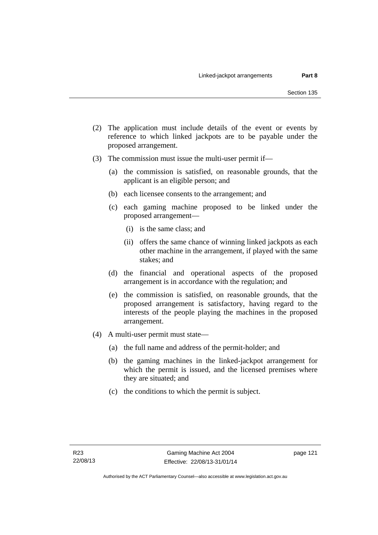- (2) The application must include details of the event or events by reference to which linked jackpots are to be payable under the proposed arrangement.
- (3) The commission must issue the multi-user permit if—
	- (a) the commission is satisfied, on reasonable grounds, that the applicant is an eligible person; and
	- (b) each licensee consents to the arrangement; and
	- (c) each gaming machine proposed to be linked under the proposed arrangement—
		- (i) is the same class; and
		- (ii) offers the same chance of winning linked jackpots as each other machine in the arrangement, if played with the same stakes; and
	- (d) the financial and operational aspects of the proposed arrangement is in accordance with the regulation; and
	- (e) the commission is satisfied, on reasonable grounds, that the proposed arrangement is satisfactory, having regard to the interests of the people playing the machines in the proposed arrangement.
- (4) A multi-user permit must state—
	- (a) the full name and address of the permit-holder; and
	- (b) the gaming machines in the linked-jackpot arrangement for which the permit is issued, and the licensed premises where they are situated; and
	- (c) the conditions to which the permit is subject.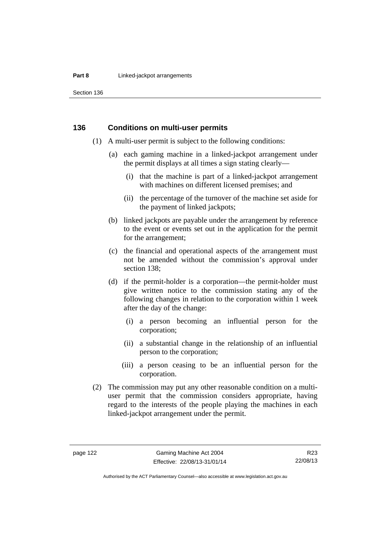#### **Part 8 Linked-jackpot arrangements**

Section 136

### **136 Conditions on multi-user permits**

- (1) A multi-user permit is subject to the following conditions:
	- (a) each gaming machine in a linked-jackpot arrangement under the permit displays at all times a sign stating clearly—
		- (i) that the machine is part of a linked-jackpot arrangement with machines on different licensed premises; and
		- (ii) the percentage of the turnover of the machine set aside for the payment of linked jackpots;
	- (b) linked jackpots are payable under the arrangement by reference to the event or events set out in the application for the permit for the arrangement;
	- (c) the financial and operational aspects of the arrangement must not be amended without the commission's approval under section 138;
	- (d) if the permit-holder is a corporation—the permit-holder must give written notice to the commission stating any of the following changes in relation to the corporation within 1 week after the day of the change:
		- (i) a person becoming an influential person for the corporation;
		- (ii) a substantial change in the relationship of an influential person to the corporation;
		- (iii) a person ceasing to be an influential person for the corporation.
- (2) The commission may put any other reasonable condition on a multiuser permit that the commission considers appropriate, having regard to the interests of the people playing the machines in each linked-jackpot arrangement under the permit.

Authorised by the ACT Parliamentary Counsel—also accessible at www.legislation.act.gov.au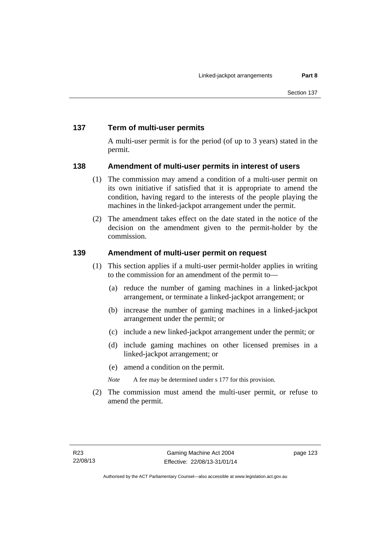### **137 Term of multi-user permits**

A multi-user permit is for the period (of up to 3 years) stated in the permit.

### **138 Amendment of multi-user permits in interest of users**

- (1) The commission may amend a condition of a multi-user permit on its own initiative if satisfied that it is appropriate to amend the condition, having regard to the interests of the people playing the machines in the linked-jackpot arrangement under the permit.
- (2) The amendment takes effect on the date stated in the notice of the decision on the amendment given to the permit-holder by the commission.

### **139 Amendment of multi-user permit on request**

- (1) This section applies if a multi-user permit-holder applies in writing to the commission for an amendment of the permit to—
	- (a) reduce the number of gaming machines in a linked-jackpot arrangement, or terminate a linked-jackpot arrangement; or
	- (b) increase the number of gaming machines in a linked-jackpot arrangement under the permit; or
	- (c) include a new linked-jackpot arrangement under the permit; or
	- (d) include gaming machines on other licensed premises in a linked-jackpot arrangement; or
	- (e) amend a condition on the permit.

*Note* A fee may be determined under s 177 for this provision.

 (2) The commission must amend the multi-user permit, or refuse to amend the permit.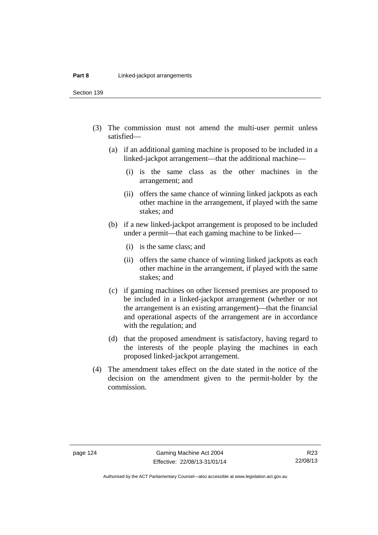Section 139

- (3) The commission must not amend the multi-user permit unless satisfied—
	- (a) if an additional gaming machine is proposed to be included in a linked-jackpot arrangement—that the additional machine—
		- (i) is the same class as the other machines in the arrangement; and
		- (ii) offers the same chance of winning linked jackpots as each other machine in the arrangement, if played with the same stakes; and
	- (b) if a new linked-jackpot arrangement is proposed to be included under a permit—that each gaming machine to be linked—
		- (i) is the same class; and
		- (ii) offers the same chance of winning linked jackpots as each other machine in the arrangement, if played with the same stakes; and
	- (c) if gaming machines on other licensed premises are proposed to be included in a linked-jackpot arrangement (whether or not the arrangement is an existing arrangement)—that the financial and operational aspects of the arrangement are in accordance with the regulation; and
	- (d) that the proposed amendment is satisfactory, having regard to the interests of the people playing the machines in each proposed linked-jackpot arrangement.
- (4) The amendment takes effect on the date stated in the notice of the decision on the amendment given to the permit-holder by the commission.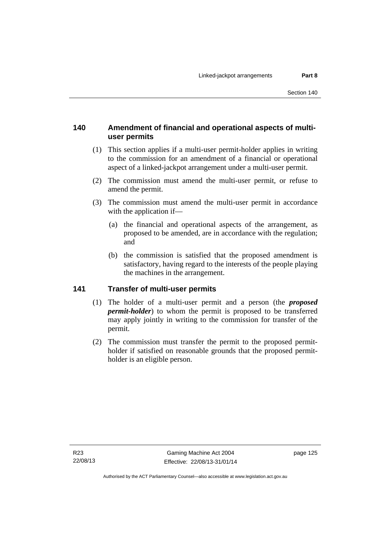### **140 Amendment of financial and operational aspects of multiuser permits**

- (1) This section applies if a multi-user permit-holder applies in writing to the commission for an amendment of a financial or operational aspect of a linked-jackpot arrangement under a multi-user permit.
- (2) The commission must amend the multi-user permit, or refuse to amend the permit.
- (3) The commission must amend the multi-user permit in accordance with the application if—
	- (a) the financial and operational aspects of the arrangement, as proposed to be amended, are in accordance with the regulation; and
	- (b) the commission is satisfied that the proposed amendment is satisfactory, having regard to the interests of the people playing the machines in the arrangement.

### **141 Transfer of multi-user permits**

- (1) The holder of a multi-user permit and a person (the *proposed permit-holder*) to whom the permit is proposed to be transferred may apply jointly in writing to the commission for transfer of the permit.
- (2) The commission must transfer the permit to the proposed permitholder if satisfied on reasonable grounds that the proposed permitholder is an eligible person.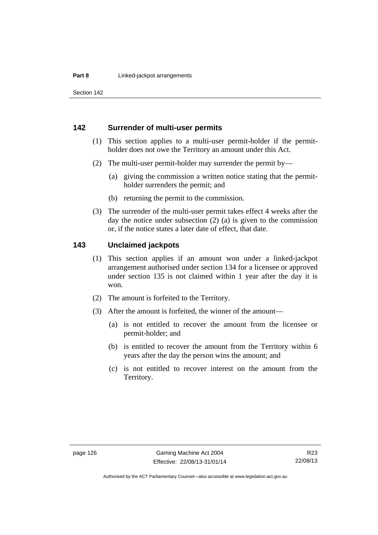Section 142

### **142 Surrender of multi-user permits**

- (1) This section applies to a multi-user permit-holder if the permitholder does not owe the Territory an amount under this Act.
- (2) The multi-user permit-holder may surrender the permit by—
	- (a) giving the commission a written notice stating that the permitholder surrenders the permit; and
	- (b) returning the permit to the commission.
- (3) The surrender of the multi-user permit takes effect 4 weeks after the day the notice under subsection (2) (a) is given to the commission or, if the notice states a later date of effect, that date.

### **143 Unclaimed jackpots**

- (1) This section applies if an amount won under a linked-jackpot arrangement authorised under section 134 for a licensee or approved under section 135 is not claimed within 1 year after the day it is won.
- (2) The amount is forfeited to the Territory.
- (3) After the amount is forfeited, the winner of the amount—
	- (a) is not entitled to recover the amount from the licensee or permit-holder; and
	- (b) is entitled to recover the amount from the Territory within 6 years after the day the person wins the amount; and
	- (c) is not entitled to recover interest on the amount from the Territory.

Authorised by the ACT Parliamentary Counsel—also accessible at www.legislation.act.gov.au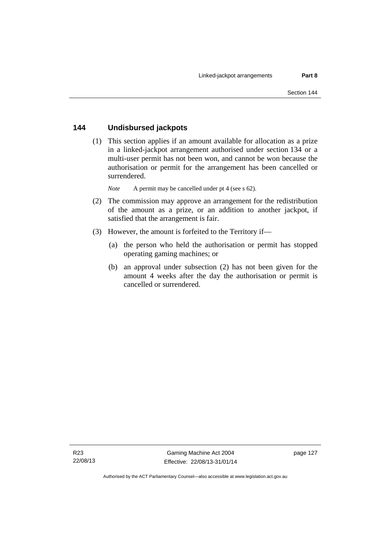### **144 Undisbursed jackpots**

 (1) This section applies if an amount available for allocation as a prize in a linked-jackpot arrangement authorised under section 134 or a multi-user permit has not been won, and cannot be won because the authorisation or permit for the arrangement has been cancelled or surrendered.

*Note* A permit may be cancelled under pt 4 (see s 62).

- (2) The commission may approve an arrangement for the redistribution of the amount as a prize, or an addition to another jackpot, if satisfied that the arrangement is fair.
- (3) However, the amount is forfeited to the Territory if—
	- (a) the person who held the authorisation or permit has stopped operating gaming machines; or
	- (b) an approval under subsection (2) has not been given for the amount 4 weeks after the day the authorisation or permit is cancelled or surrendered.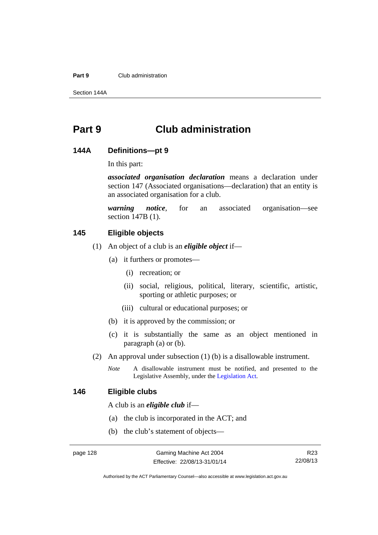#### **Part 9** Club administration

Section 144A

# **Part 9 Club administration**

### **144A Definitions—pt 9**

In this part:

*associated organisation declaration* means a declaration under section 147 (Associated organisations—declaration) that an entity is an associated organisation for a club.

*warning notice*, for an associated organisation—see section 147B (1).

### **145 Eligible objects**

- (1) An object of a club is an *eligible object* if—
	- (a) it furthers or promotes—
		- (i) recreation; or
		- (ii) social, religious, political, literary, scientific, artistic, sporting or athletic purposes; or
		- (iii) cultural or educational purposes; or
	- (b) it is approved by the commission; or
	- (c) it is substantially the same as an object mentioned in paragraph (a) or (b).
- (2) An approval under subsection (1) (b) is a disallowable instrument.
	- *Note* A disallowable instrument must be notified, and presented to the Legislative Assembly, under the [Legislation Act.](http://www.legislation.act.gov.au/a/2001-14)

### **146 Eligible clubs**

A club is an *eligible club* if—

- (a) the club is incorporated in the ACT; and
- (b) the club's statement of objects—

R23 22/08/13

Authorised by the ACT Parliamentary Counsel—also accessible at www.legislation.act.gov.au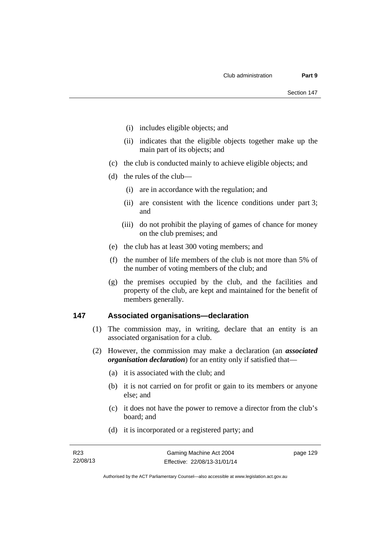- (i) includes eligible objects; and
- (ii) indicates that the eligible objects together make up the main part of its objects; and
- (c) the club is conducted mainly to achieve eligible objects; and
- (d) the rules of the club—
	- (i) are in accordance with the regulation; and
	- (ii) are consistent with the licence conditions under part 3; and
	- (iii) do not prohibit the playing of games of chance for money on the club premises; and
- (e) the club has at least 300 voting members; and
- (f) the number of life members of the club is not more than 5% of the number of voting members of the club; and
- (g) the premises occupied by the club, and the facilities and property of the club, are kept and maintained for the benefit of members generally.

### **147 Associated organisations—declaration**

- (1) The commission may, in writing, declare that an entity is an associated organisation for a club.
- (2) However, the commission may make a declaration (an *associated organisation declaration*) for an entity only if satisfied that—
	- (a) it is associated with the club; and
	- (b) it is not carried on for profit or gain to its members or anyone else; and
	- (c) it does not have the power to remove a director from the club's board; and
	- (d) it is incorporated or a registered party; and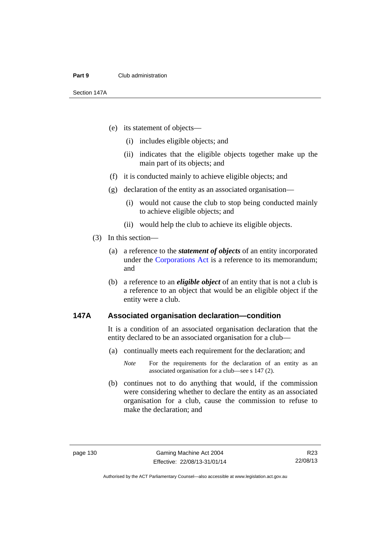#### **Part 9** Club administration

Section 147A

- (e) its statement of objects—
	- (i) includes eligible objects; and
	- (ii) indicates that the eligible objects together make up the main part of its objects; and
- (f) it is conducted mainly to achieve eligible objects; and
- (g) declaration of the entity as an associated organisation—
	- (i) would not cause the club to stop being conducted mainly to achieve eligible objects; and
	- (ii) would help the club to achieve its eligible objects.
- (3) In this section—
	- (a) a reference to the *statement of objects* of an entity incorporated under the [Corporations Act](http://www.comlaw.gov.au/Series/C2004A00818) is a reference to its memorandum; and
	- (b) a reference to an *eligible object* of an entity that is not a club is a reference to an object that would be an eligible object if the entity were a club.

### **147A Associated organisation declaration—condition**

It is a condition of an associated organisation declaration that the entity declared to be an associated organisation for a club—

(a) continually meets each requirement for the declaration; and

 (b) continues not to do anything that would, if the commission were considering whether to declare the entity as an associated organisation for a club, cause the commission to refuse to make the declaration; and

*Note* For the requirements for the declaration of an entity as an associated organisation for a club—see s 147 (2).

Authorised by the ACT Parliamentary Counsel—also accessible at www.legislation.act.gov.au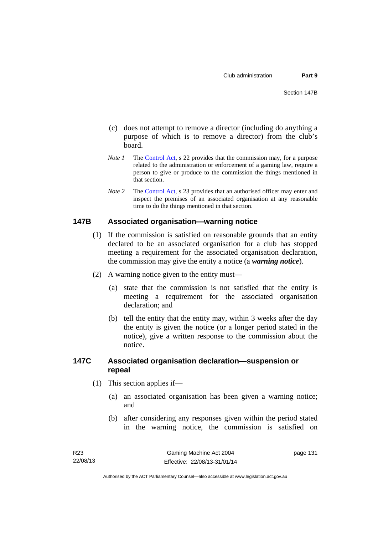- (c) does not attempt to remove a director (including do anything a purpose of which is to remove a director) from the club's board.
- *Note 1* The [Control Act,](http://www.legislation.act.gov.au/a/1999-46) s 22 provides that the commission may, for a purpose related to the administration or enforcement of a gaming law, require a person to give or produce to the commission the things mentioned in that section.
- *Note 2* The [Control Act](http://www.legislation.act.gov.au/a/1999-46), s 23 provides that an authorised officer may enter and inspect the premises of an associated organisation at any reasonable time to do the things mentioned in that section.

### **147B Associated organisation—warning notice**

- (1) If the commission is satisfied on reasonable grounds that an entity declared to be an associated organisation for a club has stopped meeting a requirement for the associated organisation declaration, the commission may give the entity a notice (a *warning notice*).
- (2) A warning notice given to the entity must—
	- (a) state that the commission is not satisfied that the entity is meeting a requirement for the associated organisation declaration; and
	- (b) tell the entity that the entity may, within 3 weeks after the day the entity is given the notice (or a longer period stated in the notice), give a written response to the commission about the notice.

### **147C Associated organisation declaration—suspension or repeal**

- (1) This section applies if—
	- (a) an associated organisation has been given a warning notice; and
	- (b) after considering any responses given within the period stated in the warning notice, the commission is satisfied on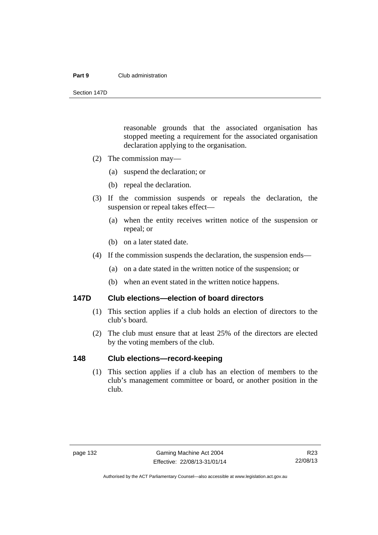#### **Part 9** Club administration

Section 147D

reasonable grounds that the associated organisation has stopped meeting a requirement for the associated organisation declaration applying to the organisation.

- (2) The commission may—
	- (a) suspend the declaration; or
	- (b) repeal the declaration.
- (3) If the commission suspends or repeals the declaration, the suspension or repeal takes effect—
	- (a) when the entity receives written notice of the suspension or repeal; or
	- (b) on a later stated date.
- (4) If the commission suspends the declaration, the suspension ends—
	- (a) on a date stated in the written notice of the suspension; or
	- (b) when an event stated in the written notice happens.

### **147D Club elections—election of board directors**

- (1) This section applies if a club holds an election of directors to the club's board.
- (2) The club must ensure that at least 25% of the directors are elected by the voting members of the club.

### **148 Club elections—record-keeping**

(1) This section applies if a club has an election of members to the club's management committee or board, or another position in the club.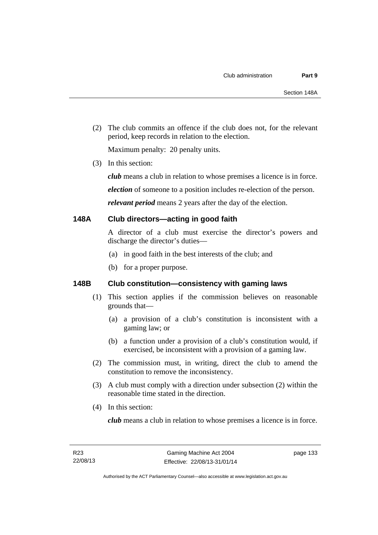(2) The club commits an offence if the club does not, for the relevant period, keep records in relation to the election.

Maximum penalty: 20 penalty units.

(3) In this section:

*club* means a club in relation to whose premises a licence is in force.

*election* of someone to a position includes re-election of the person.

*relevant period* means 2 years after the day of the election.

### **148A Club directors—acting in good faith**

A director of a club must exercise the director's powers and discharge the director's duties—

- (a) in good faith in the best interests of the club; and
- (b) for a proper purpose.

## **148B Club constitution—consistency with gaming laws**

- (1) This section applies if the commission believes on reasonable grounds that—
	- (a) a provision of a club's constitution is inconsistent with a gaming law; or
	- (b) a function under a provision of a club's constitution would, if exercised, be inconsistent with a provision of a gaming law.
- (2) The commission must, in writing, direct the club to amend the constitution to remove the inconsistency.
- (3) A club must comply with a direction under subsection (2) within the reasonable time stated in the direction.
- (4) In this section:

*club* means a club in relation to whose premises a licence is in force.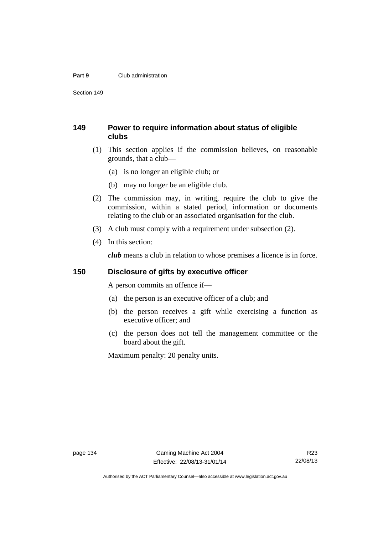#### **Part 9** Club administration

Section 149

# **149 Power to require information about status of eligible clubs**

- (1) This section applies if the commission believes, on reasonable grounds, that a club—
	- (a) is no longer an eligible club; or
	- (b) may no longer be an eligible club.
- (2) The commission may, in writing, require the club to give the commission, within a stated period, information or documents relating to the club or an associated organisation for the club.
- (3) A club must comply with a requirement under subsection (2).
- (4) In this section:

*club* means a club in relation to whose premises a licence is in force.

### **150 Disclosure of gifts by executive officer**

A person commits an offence if—

- (a) the person is an executive officer of a club; and
- (b) the person receives a gift while exercising a function as executive officer; and
- (c) the person does not tell the management committee or the board about the gift.

Maximum penalty: 20 penalty units.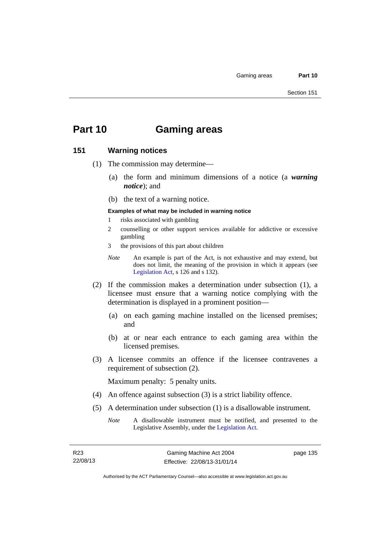# **Part 10 Gaming areas**

#### **151 Warning notices**

- (1) The commission may determine—
	- (a) the form and minimum dimensions of a notice (a *warning notice*); and
	- (b) the text of a warning notice.
	- **Examples of what may be included in warning notice**
	- 1 risks associated with gambling
	- 2 counselling or other support services available for addictive or excessive gambling
	- 3 the provisions of this part about children
	- *Note* An example is part of the Act, is not exhaustive and may extend, but does not limit, the meaning of the provision in which it appears (see [Legislation Act,](http://www.legislation.act.gov.au/a/2001-14) s 126 and s 132).
- (2) If the commission makes a determination under subsection (1), a licensee must ensure that a warning notice complying with the determination is displayed in a prominent position—
	- (a) on each gaming machine installed on the licensed premises; and
	- (b) at or near each entrance to each gaming area within the licensed premises.
- (3) A licensee commits an offence if the licensee contravenes a requirement of subsection (2).

Maximum penalty: 5 penalty units.

- (4) An offence against subsection (3) is a strict liability offence.
- (5) A determination under subsection (1) is a disallowable instrument.
	- *Note* A disallowable instrument must be notified, and presented to the Legislative Assembly, under the [Legislation Act.](http://www.legislation.act.gov.au/a/2001-14)

page 135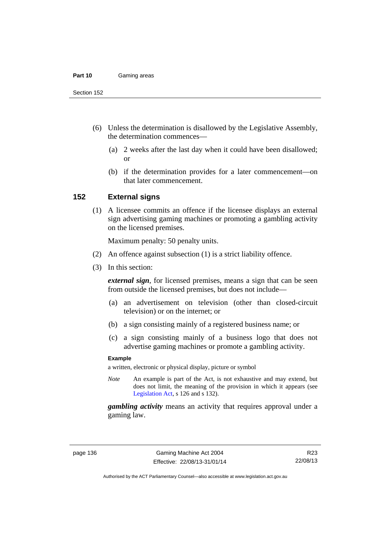#### **Part 10** Gaming areas

Section 152

- (6) Unless the determination is disallowed by the Legislative Assembly, the determination commences—
	- (a) 2 weeks after the last day when it could have been disallowed; or
	- (b) if the determination provides for a later commencement—on that later commencement.

#### **152 External signs**

(1) A licensee commits an offence if the licensee displays an external sign advertising gaming machines or promoting a gambling activity on the licensed premises.

Maximum penalty: 50 penalty units.

- (2) An offence against subsection (1) is a strict liability offence.
- (3) In this section:

*external sign*, for licensed premises, means a sign that can be seen from outside the licensed premises, but does not include—

- (a) an advertisement on television (other than closed-circuit television) or on the internet; or
- (b) a sign consisting mainly of a registered business name; or
- (c) a sign consisting mainly of a business logo that does not advertise gaming machines or promote a gambling activity.

#### **Example**

a written, electronic or physical display, picture or symbol

*Note* An example is part of the Act, is not exhaustive and may extend, but does not limit, the meaning of the provision in which it appears (see [Legislation Act,](http://www.legislation.act.gov.au/a/2001-14) s 126 and s 132).

*gambling activity* means an activity that requires approval under a gaming law.

R23 22/08/13

Authorised by the ACT Parliamentary Counsel—also accessible at www.legislation.act.gov.au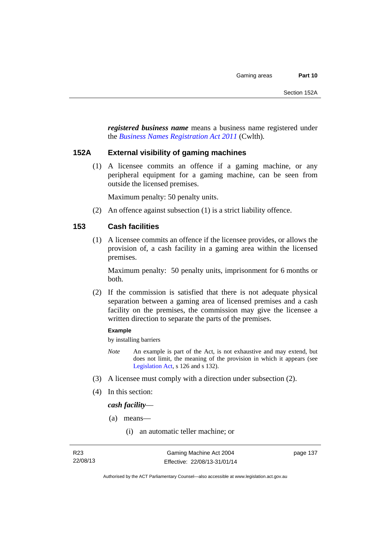*registered business name* means a business name registered under the *[Business Names Registration Act 2011](http://www.comlaw.gov.au/Series/C2011A00126)* (Cwlth)*.*

#### **152A External visibility of gaming machines**

(1) A licensee commits an offence if a gaming machine, or any peripheral equipment for a gaming machine, can be seen from outside the licensed premises.

Maximum penalty: 50 penalty units.

(2) An offence against subsection (1) is a strict liability offence.

## **153 Cash facilities**

(1) A licensee commits an offence if the licensee provides, or allows the provision of, a cash facility in a gaming area within the licensed premises.

Maximum penalty: 50 penalty units, imprisonment for 6 months or both.

 (2) If the commission is satisfied that there is not adequate physical separation between a gaming area of licensed premises and a cash facility on the premises, the commission may give the licensee a written direction to separate the parts of the premises.

#### **Example**

by installing barriers

- *Note* An example is part of the Act, is not exhaustive and may extend, but does not limit, the meaning of the provision in which it appears (see [Legislation Act,](http://www.legislation.act.gov.au/a/2001-14) s 126 and s 132).
- (3) A licensee must comply with a direction under subsection (2).
- (4) In this section:

*cash facility*—

- (a) means—
	- (i) an automatic teller machine; or

page 137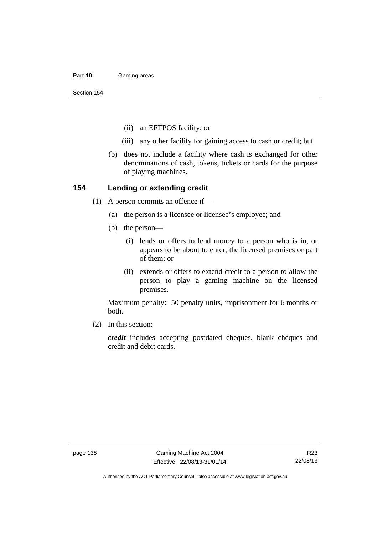#### **Part 10** Gaming areas

Section 154

- (ii) an EFTPOS facility; or
- (iii) any other facility for gaining access to cash or credit; but
- (b) does not include a facility where cash is exchanged for other denominations of cash, tokens, tickets or cards for the purpose of playing machines.

#### **154 Lending or extending credit**

- (1) A person commits an offence if—
	- (a) the person is a licensee or licensee's employee; and
	- (b) the person—
		- (i) lends or offers to lend money to a person who is in, or appears to be about to enter, the licensed premises or part of them; or
		- (ii) extends or offers to extend credit to a person to allow the person to play a gaming machine on the licensed premises.

Maximum penalty: 50 penalty units, imprisonment for 6 months or both.

(2) In this section:

*credit* includes accepting postdated cheques, blank cheques and credit and debit cards.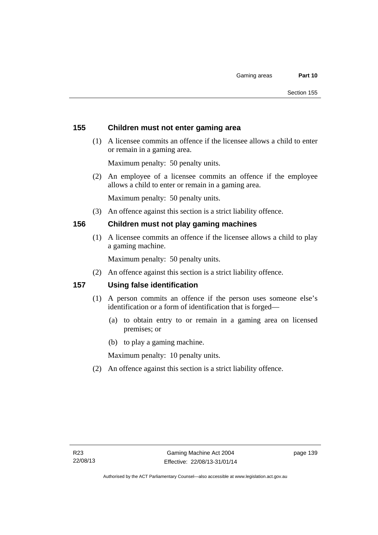## **155 Children must not enter gaming area**

 (1) A licensee commits an offence if the licensee allows a child to enter or remain in a gaming area.

Maximum penalty: 50 penalty units.

 (2) An employee of a licensee commits an offence if the employee allows a child to enter or remain in a gaming area.

Maximum penalty: 50 penalty units.

(3) An offence against this section is a strict liability offence.

### **156 Children must not play gaming machines**

(1) A licensee commits an offence if the licensee allows a child to play a gaming machine.

Maximum penalty: 50 penalty units.

(2) An offence against this section is a strict liability offence.

### **157 Using false identification**

- (1) A person commits an offence if the person uses someone else's identification or a form of identification that is forged—
	- (a) to obtain entry to or remain in a gaming area on licensed premises; or
	- (b) to play a gaming machine.

Maximum penalty: 10 penalty units.

(2) An offence against this section is a strict liability offence.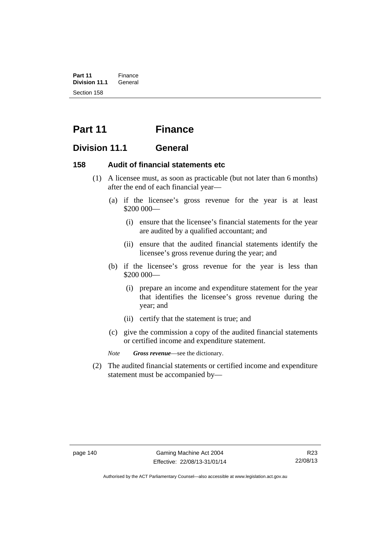**Part 11** Finance<br>**Division 11.1** General **Division 11.1** Section 158

# **Part 11 Finance**

# **Division 11.1 General**

## **158 Audit of financial statements etc**

- (1) A licensee must, as soon as practicable (but not later than 6 months) after the end of each financial year—
	- (a) if the licensee's gross revenue for the year is at least \$200 000—
		- (i) ensure that the licensee's financial statements for the year are audited by a qualified accountant; and
		- (ii) ensure that the audited financial statements identify the licensee's gross revenue during the year; and
	- (b) if the licensee's gross revenue for the year is less than \$200 000—
		- (i) prepare an income and expenditure statement for the year that identifies the licensee's gross revenue during the year; and
		- (ii) certify that the statement is true; and
	- (c) give the commission a copy of the audited financial statements or certified income and expenditure statement.

*Note Gross revenue*—see the dictionary.

 (2) The audited financial statements or certified income and expenditure statement must be accompanied by—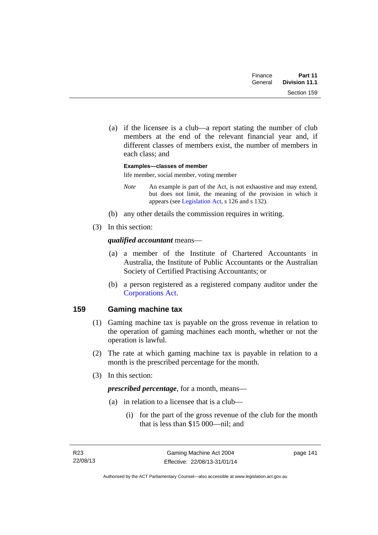| Finance | Part 11       |
|---------|---------------|
| General | Division 11.1 |
|         | Section 159   |

 (a) if the licensee is a club—a report stating the number of club members at the end of the relevant financial year and, if different classes of members exist, the number of members in each class; and

**Examples—classes of member**  life member, social member, voting member

- *Note* An example is part of the Act, is not exhaustive and may extend, but does not limit, the meaning of the provision in which it appears (see [Legislation Act,](http://www.legislation.act.gov.au/a/2001-14) s 126 and s 132).
- (b) any other details the commission requires in writing.
- (3) In this section:

## *qualified accountant* means—

- (a) a member of the Institute of Chartered Accountants in Australia, the Institute of Public Accountants or the Australian Society of Certified Practising Accountants; or
- (b) a person registered as a registered company auditor under the [Corporations Act.](http://www.comlaw.gov.au/Series/C2004A00818)

# **159 Gaming machine tax**

- (1) Gaming machine tax is payable on the gross revenue in relation to the operation of gaming machines each month, whether or not the operation is lawful.
- (2) The rate at which gaming machine tax is payable in relation to a month is the prescribed percentage for the month.
- (3) In this section:

*prescribed percentage*, for a month, means—

- (a) in relation to a licensee that is a club—
	- (i) for the part of the gross revenue of the club for the month that is less than \$15 000—nil; and

page 141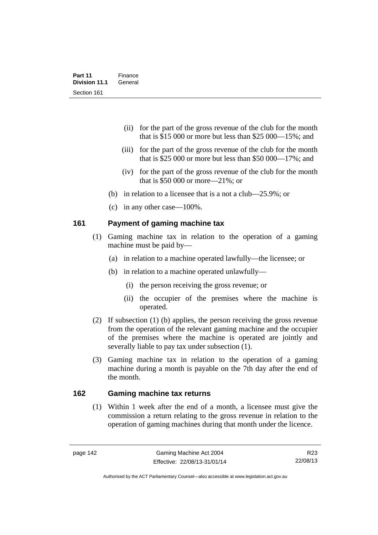- (ii) for the part of the gross revenue of the club for the month that is \$15 000 or more but less than \$25 000—15%; and
- (iii) for the part of the gross revenue of the club for the month that is \$25 000 or more but less than \$50 000—17%; and
- (iv) for the part of the gross revenue of the club for the month that is \$50 000 or more—21%; or
- (b) in relation to a licensee that is a not a club—25.9%; or
- (c) in any other case—100%.

### **161 Payment of gaming machine tax**

- (1) Gaming machine tax in relation to the operation of a gaming machine must be paid by—
	- (a) in relation to a machine operated lawfully—the licensee; or
	- (b) in relation to a machine operated unlawfully—
		- (i) the person receiving the gross revenue; or
		- (ii) the occupier of the premises where the machine is operated.
- (2) If subsection (1) (b) applies, the person receiving the gross revenue from the operation of the relevant gaming machine and the occupier of the premises where the machine is operated are jointly and severally liable to pay tax under subsection (1).
- (3) Gaming machine tax in relation to the operation of a gaming machine during a month is payable on the 7th day after the end of the month.

## **162 Gaming machine tax returns**

(1) Within 1 week after the end of a month, a licensee must give the commission a return relating to the gross revenue in relation to the operation of gaming machines during that month under the licence.

R23 22/08/13

Authorised by the ACT Parliamentary Counsel—also accessible at www.legislation.act.gov.au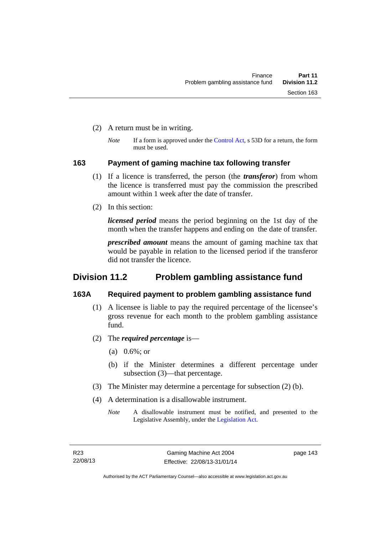- (2) A return must be in writing.
	- *Note* If a form is approved under the [Control Act,](http://www.legislation.act.gov.au/a/1999-46) s 53D for a return, the form must be used.

#### **163 Payment of gaming machine tax following transfer**

- (1) If a licence is transferred, the person (the *transferor*) from whom the licence is transferred must pay the commission the prescribed amount within 1 week after the date of transfer.
- (2) In this section:

*licensed period* means the period beginning on the 1st day of the month when the transfer happens and ending on the date of transfer.

*prescribed amount* means the amount of gaming machine tax that would be payable in relation to the licensed period if the transferor did not transfer the licence.

# **Division 11.2 Problem gambling assistance fund**

### **163A Required payment to problem gambling assistance fund**

- (1) A licensee is liable to pay the required percentage of the licensee's gross revenue for each month to the problem gambling assistance fund.
- (2) The *required percentage* is—
	- (a) 0.6%; or
	- (b) if the Minister determines a different percentage under subsection (3)—that percentage.
- (3) The Minister may determine a percentage for subsection (2) (b).
- (4) A determination is a disallowable instrument.
	- *Note* A disallowable instrument must be notified, and presented to the Legislative Assembly, under the [Legislation Act.](http://www.legislation.act.gov.au/a/2001-14)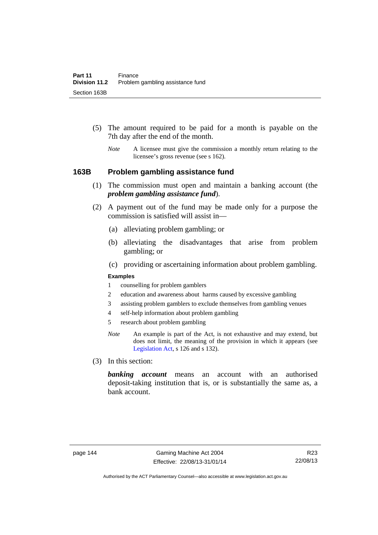- (5) The amount required to be paid for a month is payable on the 7th day after the end of the month.
	- *Note* A licensee must give the commission a monthly return relating to the licensee's gross revenue (see s 162).

#### **163B Problem gambling assistance fund**

- (1) The commission must open and maintain a banking account (the *problem gambling assistance fund*).
- (2) A payment out of the fund may be made only for a purpose the commission is satisfied will assist in—
	- (a) alleviating problem gambling; or
	- (b) alleviating the disadvantages that arise from problem gambling; or
	- (c) providing or ascertaining information about problem gambling.

#### **Examples**

- 1 counselling for problem gamblers
- 2 education and awareness about harms caused by excessive gambling
- 3 assisting problem gamblers to exclude themselves from gambling venues
- 4 self-help information about problem gambling
- 5 research about problem gambling
- *Note* An example is part of the Act, is not exhaustive and may extend, but does not limit, the meaning of the provision in which it appears (see [Legislation Act,](http://www.legislation.act.gov.au/a/2001-14) s 126 and s 132).
- (3) In this section:

*banking account* means an account with an authorised deposit-taking institution that is, or is substantially the same as, a bank account.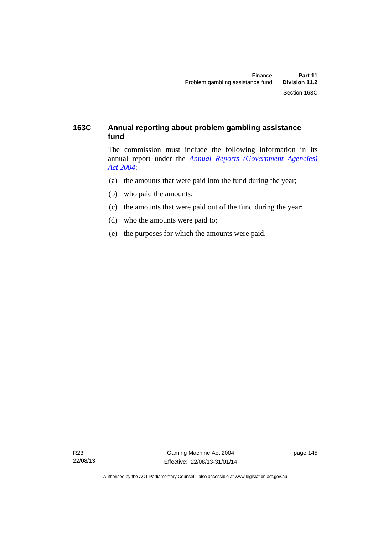# **163C Annual reporting about problem gambling assistance fund**

The commission must include the following information in its annual report under the *[Annual Reports \(Government Agencies\)](http://www.legislation.act.gov.au/a/2004-8)  [Act 2004](http://www.legislation.act.gov.au/a/2004-8)*:

- (a) the amounts that were paid into the fund during the year;
- (b) who paid the amounts;
- (c) the amounts that were paid out of the fund during the year;
- (d) who the amounts were paid to;
- (e) the purposes for which the amounts were paid.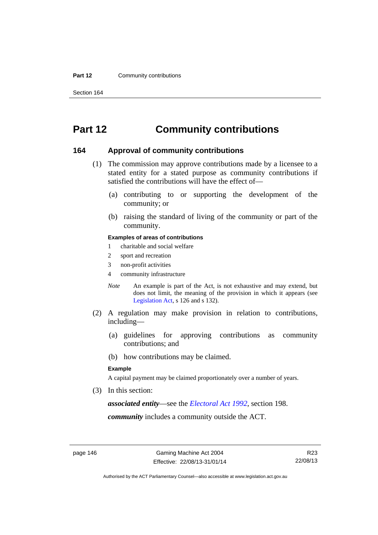#### **Part 12 Community contributions**

Section 164

# **Part 12 Community contributions**

#### **164 Approval of community contributions**

- (1) The commission may approve contributions made by a licensee to a stated entity for a stated purpose as community contributions if satisfied the contributions will have the effect of—
	- (a) contributing to or supporting the development of the community; or
	- (b) raising the standard of living of the community or part of the community.

#### **Examples of areas of contributions**

- 1 charitable and social welfare
- 2 sport and recreation
- 3 non-profit activities
- 4 community infrastructure
- *Note* An example is part of the Act, is not exhaustive and may extend, but does not limit, the meaning of the provision in which it appears (see [Legislation Act,](http://www.legislation.act.gov.au/a/2001-14) s 126 and s 132).
- (2) A regulation may make provision in relation to contributions, including—
	- (a) guidelines for approving contributions as community contributions; and
	- (b) how contributions may be claimed.

#### **Example**

A capital payment may be claimed proportionately over a number of years.

(3) In this section:

*associated entity*—see the *[Electoral Act 1992](http://www.legislation.act.gov.au/a/1992-71)*, section 198.

*community* includes a community outside the ACT.

Authorised by the ACT Parliamentary Counsel—also accessible at www.legislation.act.gov.au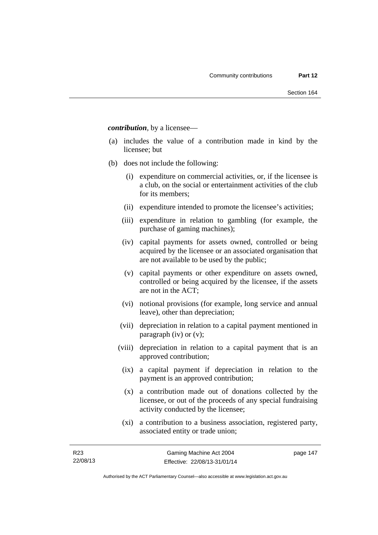*contribution*, by a licensee—

- (a) includes the value of a contribution made in kind by the licensee; but
- (b) does not include the following:
	- (i) expenditure on commercial activities, or, if the licensee is a club, on the social or entertainment activities of the club for its members;
	- (ii) expenditure intended to promote the licensee's activities;
	- (iii) expenditure in relation to gambling (for example, the purchase of gaming machines);
	- (iv) capital payments for assets owned, controlled or being acquired by the licensee or an associated organisation that are not available to be used by the public;
	- (v) capital payments or other expenditure on assets owned, controlled or being acquired by the licensee, if the assets are not in the ACT;
	- (vi) notional provisions (for example, long service and annual leave), other than depreciation;
	- (vii) depreciation in relation to a capital payment mentioned in paragraph (iv) or (v);
	- (viii) depreciation in relation to a capital payment that is an approved contribution;
		- (ix) a capital payment if depreciation in relation to the payment is an approved contribution;
		- (x) a contribution made out of donations collected by the licensee, or out of the proceeds of any special fundraising activity conducted by the licensee;
		- (xi) a contribution to a business association, registered party, associated entity or trade union;

page 147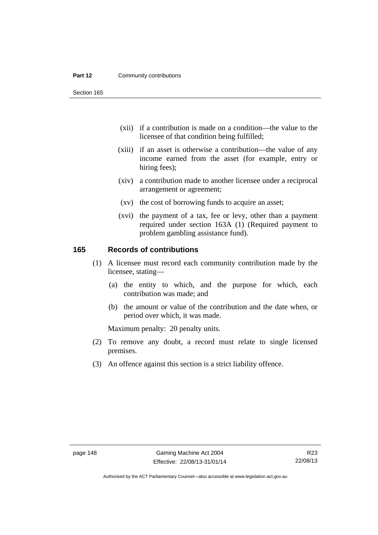#### **Part 12 Community contributions**

Section 165

- (xii) if a contribution is made on a condition—the value to the licensee of that condition being fulfilled;
- (xiii) if an asset is otherwise a contribution—the value of any income earned from the asset (for example, entry or hiring fees);
- (xiv) a contribution made to another licensee under a reciprocal arrangement or agreement;
- (xv) the cost of borrowing funds to acquire an asset;
- (xvi) the payment of a tax, fee or levy, other than a payment required under section 163A (1) (Required payment to problem gambling assistance fund).

### **165 Records of contributions**

- (1) A licensee must record each community contribution made by the licensee, stating—
	- (a) the entity to which, and the purpose for which, each contribution was made; and
	- (b) the amount or value of the contribution and the date when, or period over which, it was made.

Maximum penalty: 20 penalty units.

- (2) To remove any doubt, a record must relate to single licensed premises.
- (3) An offence against this section is a strict liability offence.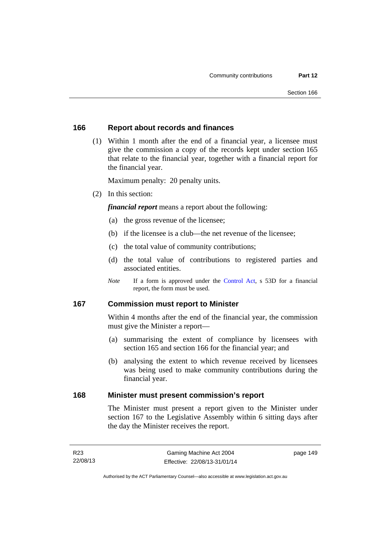#### **166 Report about records and finances**

 (1) Within 1 month after the end of a financial year, a licensee must give the commission a copy of the records kept under section 165 that relate to the financial year, together with a financial report for the financial year.

Maximum penalty: 20 penalty units.

(2) In this section:

*financial report* means a report about the following:

- (a) the gross revenue of the licensee;
- (b) if the licensee is a club—the net revenue of the licensee;
- (c) the total value of community contributions;
- (d) the total value of contributions to registered parties and associated entities.
- *Note* If a form is approved under the [Control Act](http://www.legislation.act.gov.au/a/1999-46), s 53D for a financial report, the form must be used.

### **167 Commission must report to Minister**

Within 4 months after the end of the financial year, the commission must give the Minister a report—

- (a) summarising the extent of compliance by licensees with section 165 and section 166 for the financial year; and
- (b) analysing the extent to which revenue received by licensees was being used to make community contributions during the financial year.

#### **168 Minister must present commission's report**

The Minister must present a report given to the Minister under section 167 to the Legislative Assembly within 6 sitting days after the day the Minister receives the report.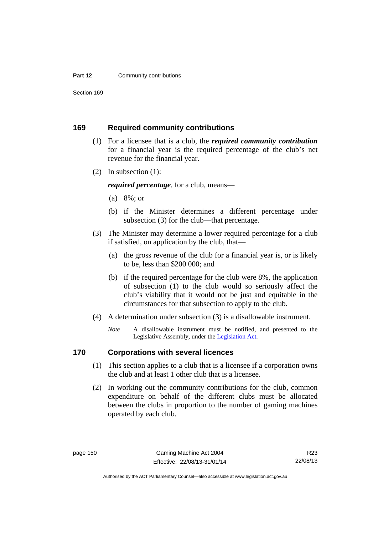#### **Part 12 Community contributions**

Section 169

#### **169 Required community contributions**

- (1) For a licensee that is a club, the *required community contribution* for a financial year is the required percentage of the club's net revenue for the financial year.
- (2) In subsection (1):

*required percentage*, for a club, means—

- (a) 8%; or
- (b) if the Minister determines a different percentage under subsection (3) for the club—that percentage.
- (3) The Minister may determine a lower required percentage for a club if satisfied, on application by the club, that—
	- (a) the gross revenue of the club for a financial year is, or is likely to be, less than \$200 000; and
	- (b) if the required percentage for the club were 8%, the application of subsection (1) to the club would so seriously affect the club's viability that it would not be just and equitable in the circumstances for that subsection to apply to the club.
- (4) A determination under subsection (3) is a disallowable instrument.
	- *Note* A disallowable instrument must be notified, and presented to the Legislative Assembly, under the [Legislation Act.](http://www.legislation.act.gov.au/a/2001-14)

# **170 Corporations with several licences**

- (1) This section applies to a club that is a licensee if a corporation owns the club and at least 1 other club that is a licensee.
- (2) In working out the community contributions for the club, common expenditure on behalf of the different clubs must be allocated between the clubs in proportion to the number of gaming machines operated by each club.

R23 22/08/13

Authorised by the ACT Parliamentary Counsel—also accessible at www.legislation.act.gov.au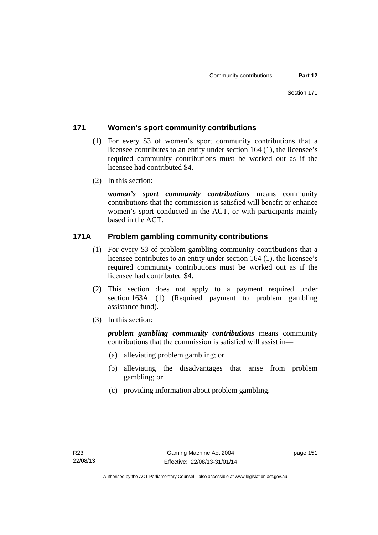# **171 Women's sport community contributions**

- (1) For every \$3 of women's sport community contributions that a licensee contributes to an entity under section 164 (1), the licensee's required community contributions must be worked out as if the licensee had contributed \$4.
- (2) In this section:

*women's sport community contributions* means community contributions that the commission is satisfied will benefit or enhance women's sport conducted in the ACT, or with participants mainly based in the ACT.

# **171A Problem gambling community contributions**

- (1) For every \$3 of problem gambling community contributions that a licensee contributes to an entity under section 164 (1), the licensee's required community contributions must be worked out as if the licensee had contributed \$4.
- (2) This section does not apply to a payment required under section 163A (1) (Required payment to problem gambling assistance fund).
- (3) In this section:

*problem gambling community contributions* means community contributions that the commission is satisfied will assist in—

- (a) alleviating problem gambling; or
- (b) alleviating the disadvantages that arise from problem gambling; or
- (c) providing information about problem gambling.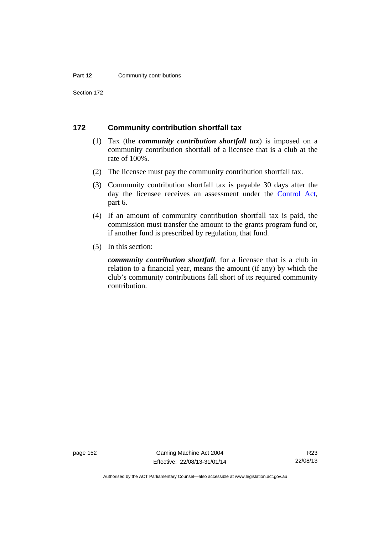#### **Part 12 Community contributions**

Section 172

#### **172 Community contribution shortfall tax**

- (1) Tax (the *community contribution shortfall tax*) is imposed on a community contribution shortfall of a licensee that is a club at the rate of 100%.
- (2) The licensee must pay the community contribution shortfall tax.
- (3) Community contribution shortfall tax is payable 30 days after the day the licensee receives an assessment under the [Control Act](http://www.legislation.act.gov.au/a/1999-46), part 6.
- (4) If an amount of community contribution shortfall tax is paid, the commission must transfer the amount to the grants program fund or, if another fund is prescribed by regulation, that fund.
- (5) In this section:

*community contribution shortfall*, for a licensee that is a club in relation to a financial year, means the amount (if any) by which the club's community contributions fall short of its required community contribution.

page 152 Gaming Machine Act 2004 Effective: 22/08/13-31/01/14

Authorised by the ACT Parliamentary Counsel—also accessible at www.legislation.act.gov.au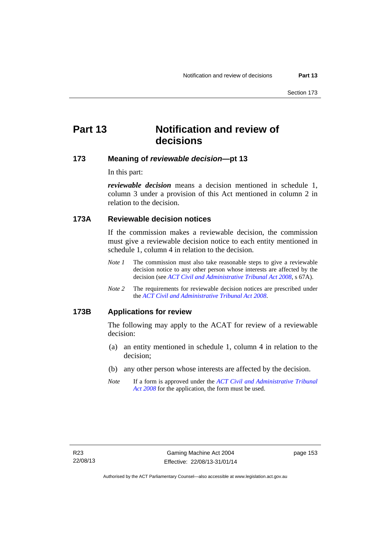# **Part 13 Notification and review of decisions**

## **173 Meaning of** *reviewable decision***—pt 13**

In this part:

*reviewable decision* means a decision mentioned in schedule 1, column 3 under a provision of this Act mentioned in column 2 in relation to the decision.

# **173A Reviewable decision notices**

If the commission makes a reviewable decision, the commission must give a reviewable decision notice to each entity mentioned in schedule 1, column 4 in relation to the decision.

- *Note 1* The commission must also take reasonable steps to give a reviewable decision notice to any other person whose interests are affected by the decision (see *[ACT Civil and Administrative Tribunal Act 2008](http://www.legislation.act.gov.au/a/2008-35)*, s 67A).
- *Note 2* The requirements for reviewable decision notices are prescribed under the *[ACT Civil and Administrative Tribunal Act 2008](http://www.legislation.act.gov.au/a/2008-35)*.

#### **173B Applications for review**

The following may apply to the ACAT for review of a reviewable decision:

- (a) an entity mentioned in schedule 1, column 4 in relation to the decision;
- (b) any other person whose interests are affected by the decision.
- *Note* If a form is approved under the *[ACT Civil and Administrative Tribunal](http://www.legislation.act.gov.au/a/2008-35)  [Act 2008](http://www.legislation.act.gov.au/a/2008-35)* for the application, the form must be used.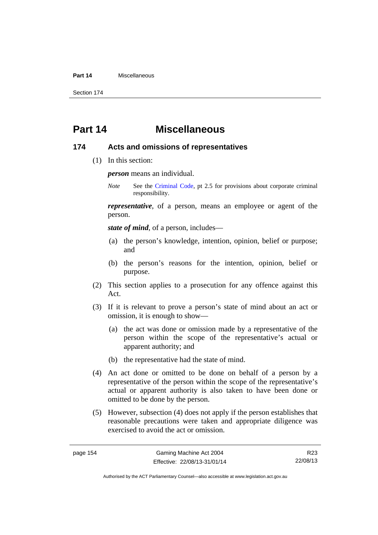#### **Part 14** Miscellaneous

Section 174

# **Part 14 Miscellaneous**

#### **174 Acts and omissions of representatives**

(1) In this section:

*person* means an individual.

*Note* See the [Criminal Code,](http://www.legislation.act.gov.au/a/2002-51) pt 2.5 for provisions about corporate criminal responsibility.

*representative*, of a person, means an employee or agent of the person.

*state of mind*, of a person, includes—

- (a) the person's knowledge, intention, opinion, belief or purpose; and
- (b) the person's reasons for the intention, opinion, belief or purpose.
- (2) This section applies to a prosecution for any offence against this Act.
- (3) If it is relevant to prove a person's state of mind about an act or omission, it is enough to show—
	- (a) the act was done or omission made by a representative of the person within the scope of the representative's actual or apparent authority; and
	- (b) the representative had the state of mind.
- (4) An act done or omitted to be done on behalf of a person by a representative of the person within the scope of the representative's actual or apparent authority is also taken to have been done or omitted to be done by the person.
- (5) However, subsection (4) does not apply if the person establishes that reasonable precautions were taken and appropriate diligence was exercised to avoid the act or omission.

R23 22/08/13

Authorised by the ACT Parliamentary Counsel—also accessible at www.legislation.act.gov.au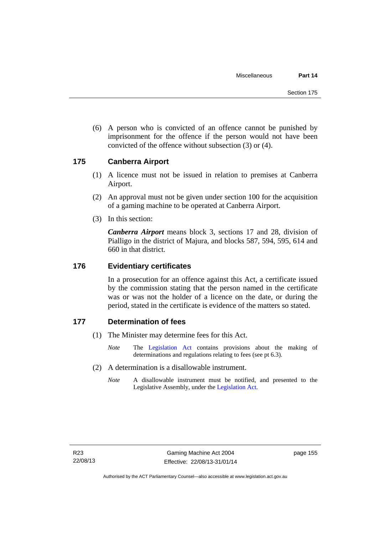(6) A person who is convicted of an offence cannot be punished by imprisonment for the offence if the person would not have been convicted of the offence without subsection (3) or (4).

### **175 Canberra Airport**

- (1) A licence must not be issued in relation to premises at Canberra Airport.
- (2) An approval must not be given under section 100 for the acquisition of a gaming machine to be operated at Canberra Airport.
- (3) In this section:

*Canberra Airport* means block 3, sections 17 and 28, division of Pialligo in the district of Majura, and blocks 587, 594, 595, 614 and 660 in that district.

#### **176 Evidentiary certificates**

In a prosecution for an offence against this Act, a certificate issued by the commission stating that the person named in the certificate was or was not the holder of a licence on the date, or during the period, stated in the certificate is evidence of the matters so stated.

## **177 Determination of fees**

- (1) The Minister may determine fees for this Act.
	- *Note* The [Legislation Act](http://www.legislation.act.gov.au/a/2001-14) contains provisions about the making of determinations and regulations relating to fees (see pt 6.3).
- (2) A determination is a disallowable instrument.
	- *Note* A disallowable instrument must be notified, and presented to the Legislative Assembly, under the [Legislation Act.](http://www.legislation.act.gov.au/a/2001-14)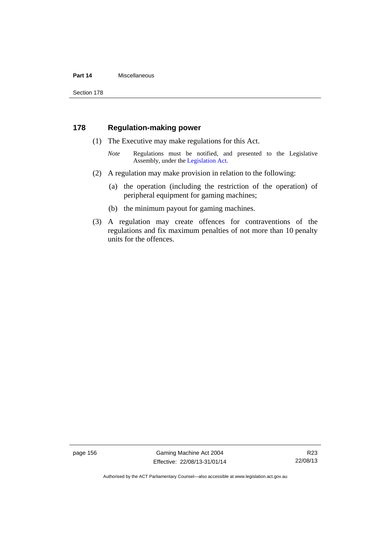#### **Part 14** Miscellaneous

Section 178

#### **178 Regulation-making power**

- (1) The Executive may make regulations for this Act.
	- *Note* Regulations must be notified, and presented to the Legislative Assembly, under the [Legislation Act](http://www.legislation.act.gov.au/a/2001-14).
- (2) A regulation may make provision in relation to the following:
	- (a) the operation (including the restriction of the operation) of peripheral equipment for gaming machines;
	- (b) the minimum payout for gaming machines.
- (3) A regulation may create offences for contraventions of the regulations and fix maximum penalties of not more than 10 penalty units for the offences.

page 156 Gaming Machine Act 2004 Effective: 22/08/13-31/01/14

Authorised by the ACT Parliamentary Counsel—also accessible at www.legislation.act.gov.au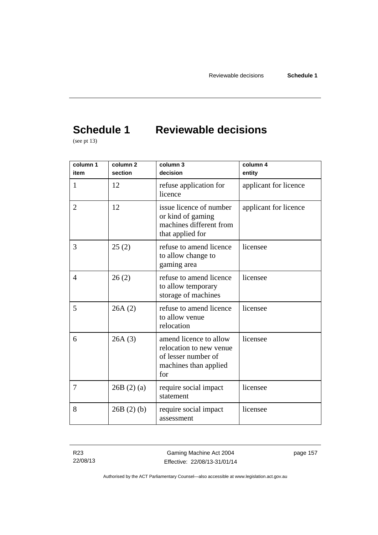# **Schedule 1 Reviewable decisions**

(see pt 13)

| column 1<br>item | column <sub>2</sub><br>section | column 3<br>decision                                                                                     | column 4<br>entity    |
|------------------|--------------------------------|----------------------------------------------------------------------------------------------------------|-----------------------|
| 1                | 12                             | refuse application for<br>licence                                                                        | applicant for licence |
| $\overline{2}$   | 12                             | issue licence of number<br>or kind of gaming<br>machines different from<br>that applied for              | applicant for licence |
| 3                | 25(2)                          | refuse to amend licence<br>to allow change to<br>gaming area                                             | licensee              |
| $\overline{4}$   | 26(2)                          | refuse to amend licence<br>to allow temporary<br>storage of machines                                     | licensee              |
| 5                | 26A(2)                         | refuse to amend licence<br>to allow venue<br>relocation                                                  | licensee              |
| 6                | 26A(3)                         | amend licence to allow<br>relocation to new venue<br>of lesser number of<br>machines than applied<br>for | licensee              |
| 7                | 26B(2)(a)                      | require social impact<br>statement                                                                       | licensee              |
| 8                | 26B(2)(b)                      | require social impact<br>assessment                                                                      | licensee              |

R23 22/08/13

Gaming Machine Act 2004 Effective: 22/08/13-31/01/14 page 157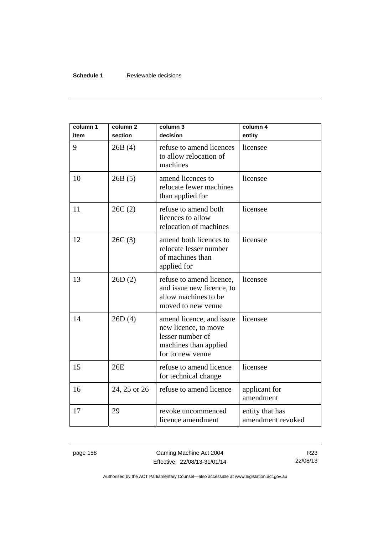#### **Schedule 1** Reviewable decisions

| column 1<br>item | column <sub>2</sub><br>section | column 3<br>decision                                                                                              | column 4<br>entity                   |
|------------------|--------------------------------|-------------------------------------------------------------------------------------------------------------------|--------------------------------------|
| 9                | 26B(4)                         | refuse to amend licences<br>to allow relocation of<br>machines                                                    | licensee                             |
| 10               | 26B(5)                         | amend licences to<br>relocate fewer machines<br>than applied for                                                  | licensee                             |
| 11               | 26C(2)                         | refuse to amend both<br>licences to allow<br>relocation of machines                                               | licensee                             |
| 12               | 26C(3)                         | amend both licences to<br>relocate lesser number<br>of machines than<br>applied for                               | licensee                             |
| 13               | 26D(2)                         | refuse to amend licence,<br>and issue new licence, to<br>allow machines to be<br>moved to new venue               | licensee                             |
| 14               | 26D(4)                         | amend licence, and issue<br>new licence, to move<br>lesser number of<br>machines than applied<br>for to new venue | licensee                             |
| 15               | 26E                            | refuse to amend licence<br>for technical change                                                                   | licensee                             |
| 16               | 24, 25 or 26                   | refuse to amend licence                                                                                           | applicant for<br>amendment           |
| 17               | 29                             | revoke uncommenced<br>licence amendment                                                                           | entity that has<br>amendment revoked |

page 158 Gaming Machine Act 2004 Effective: 22/08/13-31/01/14

R23 22/08/13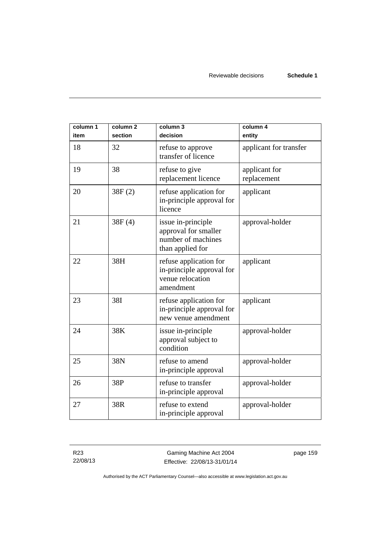| column 1<br>item | column <sub>2</sub><br>section | column 3<br>decision                                                                 | column 4<br>entity           |
|------------------|--------------------------------|--------------------------------------------------------------------------------------|------------------------------|
| 18               | 32                             | refuse to approve<br>transfer of licence                                             | applicant for transfer       |
| 19               | 38                             | refuse to give<br>replacement licence                                                | applicant for<br>replacement |
| 20               | 38F(2)                         | refuse application for<br>in-principle approval for<br>licence                       | applicant                    |
| 21               | 38F(4)                         | issue in-principle<br>approval for smaller<br>number of machines<br>than applied for | approval-holder              |
| 22               | 38H                            | refuse application for<br>in-principle approval for<br>venue relocation<br>amendment | applicant                    |
| 23               | 38I                            | refuse application for<br>in-principle approval for<br>new venue amendment           | applicant                    |
| 24               | 38K                            | issue in-principle<br>approval subject to<br>condition                               | approval-holder              |
| 25               | 38N                            | refuse to amend<br>in-principle approval                                             | approval-holder              |
| 26               | 38P                            | refuse to transfer<br>in-principle approval                                          | approval-holder              |
| 27               | 38R                            | refuse to extend<br>in-principle approval                                            | approval-holder              |

R23 22/08/13

Gaming Machine Act 2004 Effective: 22/08/13-31/01/14 page 159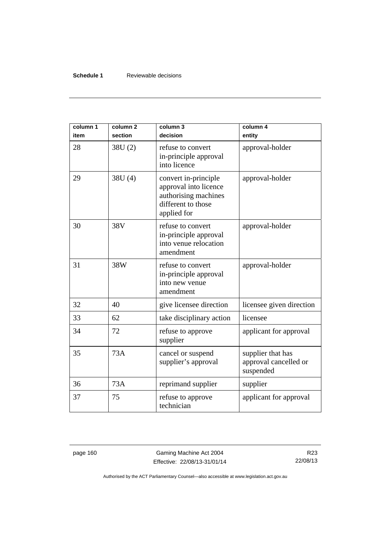#### **Schedule 1** Reviewable decisions

| column 1<br>item | column <sub>2</sub><br>section | column 3<br>decision                                                                                       | column 4<br>entity                                      |
|------------------|--------------------------------|------------------------------------------------------------------------------------------------------------|---------------------------------------------------------|
| 28               | 38U(2)                         | refuse to convert<br>in-principle approval<br>into licence                                                 | approval-holder                                         |
| 29               | 38U (4)                        | convert in-principle<br>approval into licence<br>authorising machines<br>different to those<br>applied for | approval-holder                                         |
| 30               | 38V                            | refuse to convert<br>in-principle approval<br>into venue relocation<br>amendment                           | approval-holder                                         |
| 31               | 38W                            | refuse to convert<br>in-principle approval<br>into new venue<br>amendment                                  | approval-holder                                         |
| 32               | 40                             | give licensee direction                                                                                    | licensee given direction                                |
| 33               | 62                             | take disciplinary action                                                                                   | licensee                                                |
| 34               | 72                             | refuse to approve<br>supplier                                                                              | applicant for approval                                  |
| 35               | 73A                            | cancel or suspend<br>supplier's approval                                                                   | supplier that has<br>approval cancelled or<br>suspended |
| 36               | 73A                            | reprimand supplier                                                                                         | supplier                                                |
| 37               | 75                             | refuse to approve<br>technician                                                                            | applicant for approval                                  |

page 160 Gaming Machine Act 2004 Effective: 22/08/13-31/01/14

R23 22/08/13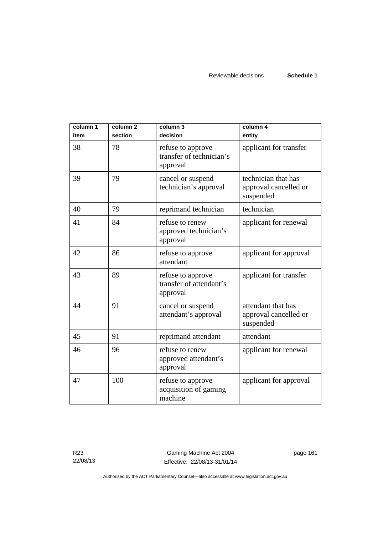| column 1<br>item | column <sub>2</sub><br>section | column 3<br>decision                                      | column 4<br>entity                                        |
|------------------|--------------------------------|-----------------------------------------------------------|-----------------------------------------------------------|
| 38               | 78                             | refuse to approve<br>transfer of technician's<br>approval | applicant for transfer                                    |
| 39               | 79                             | cancel or suspend<br>technician's approval                | technician that has<br>approval cancelled or<br>suspended |
| 40               | 79                             | reprimand technician                                      | technician                                                |
| 41               | 84                             | refuse to renew<br>approved technician's<br>approval      | applicant for renewal                                     |
| 42               | 86                             | refuse to approve<br>attendant                            | applicant for approval                                    |
| 43               | 89                             | refuse to approve<br>transfer of attendant's<br>approval  | applicant for transfer                                    |
| 44               | 91                             | cancel or suspend<br>attendant's approval                 | attendant that has<br>approval cancelled or<br>suspended  |
| 45               | 91                             | reprimand attendant                                       | attendant                                                 |
| 46               | 96                             | refuse to renew<br>approved attendant's<br>approval       | applicant for renewal                                     |
| 47               | 100                            | refuse to approve<br>acquisition of gaming<br>machine     | applicant for approval                                    |

page 161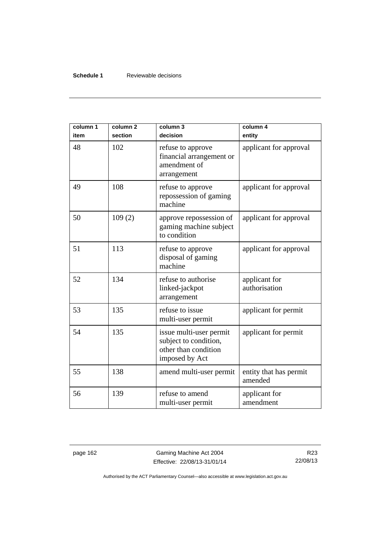#### **Schedule 1** Reviewable decisions

| column 1<br>item | column <sub>2</sub><br>section | column 3<br>decision                                                                       | column 4<br>entity                |
|------------------|--------------------------------|--------------------------------------------------------------------------------------------|-----------------------------------|
| 48               | 102                            | refuse to approve<br>financial arrangement or<br>amendment of<br>arrangement               | applicant for approval            |
| 49               | 108                            | refuse to approve<br>repossession of gaming<br>machine                                     | applicant for approval            |
| 50               | 109(2)                         | approve repossession of<br>gaming machine subject<br>to condition                          | applicant for approval            |
| 51               | 113                            | refuse to approve<br>disposal of gaming<br>machine                                         | applicant for approval            |
| 52               | 134                            | refuse to authorise<br>linked-jackpot<br>arrangement                                       | applicant for<br>authorisation    |
| 53               | 135                            | refuse to issue<br>multi-user permit                                                       | applicant for permit              |
| 54               | 135                            | issue multi-user permit<br>subject to condition,<br>other than condition<br>imposed by Act | applicant for permit              |
| 55               | 138                            | amend multi-user permit                                                                    | entity that has permit<br>amended |
| 56               | 139                            | refuse to amend<br>multi-user permit                                                       | applicant for<br>amendment        |

page 162 Gaming Machine Act 2004 Effective: 22/08/13-31/01/14

R23 22/08/13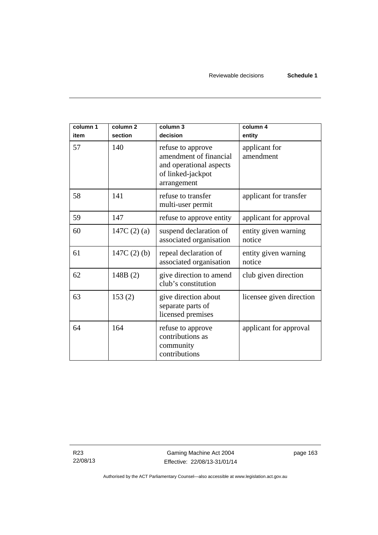| column 1<br>item | column <sub>2</sub><br>section | column 3<br>decision                                                                                       | column 4<br>entity             |
|------------------|--------------------------------|------------------------------------------------------------------------------------------------------------|--------------------------------|
| 57               | 140                            | refuse to approve<br>amendment of financial<br>and operational aspects<br>of linked-jackpot<br>arrangement | applicant for<br>amendment     |
| 58               | 141                            | refuse to transfer<br>multi-user permit                                                                    | applicant for transfer         |
| 59               | 147                            | refuse to approve entity                                                                                   | applicant for approval         |
| 60               | 147C $(2)$ $(a)$               | suspend declaration of<br>associated organisation                                                          | entity given warning<br>notice |
| 61               | $147C(2)$ (b)                  | repeal declaration of<br>associated organisation                                                           | entity given warning<br>notice |
| 62               | 148B(2)                        | give direction to amend<br>club's constitution                                                             | club given direction           |
| 63               | 153(2)                         | give direction about<br>separate parts of<br>licensed premises                                             | licensee given direction       |
| 64               | 164                            | refuse to approve<br>contributions as<br>community<br>contributions                                        | applicant for approval         |

R23 22/08/13 page 163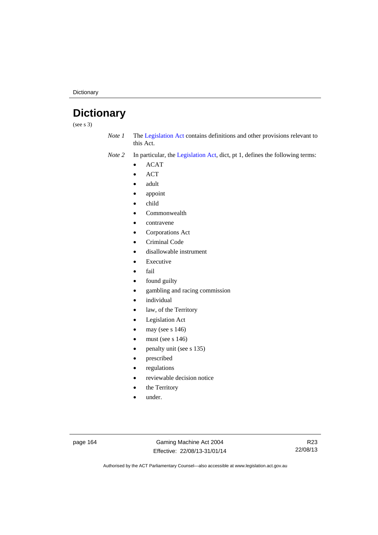**Dictionary** 

# **Dictionary**

(see s 3)

*Note 1* The [Legislation Act](http://www.legislation.act.gov.au/a/2001-14) contains definitions and other provisions relevant to this Act.

*Note 2* In particular, the [Legislation Act,](http://www.legislation.act.gov.au/a/2001-14) dict, pt 1, defines the following terms:

- ACAT
- ACT
- adult
- appoint
- child
- Commonwealth
- contravene
- Corporations Act
- Criminal Code
- disallowable instrument
- Executive
- fail
- found guilty
- gambling and racing commission
- individual
- law, of the Territory
- Legislation Act
- may (see s 146)
- must (see s 146)
- penalty unit (see s 135)
- prescribed
- regulations
- reviewable decision notice
- the Territory
- under.

page 164 Gaming Machine Act 2004 Effective: 22/08/13-31/01/14

R23 22/08/13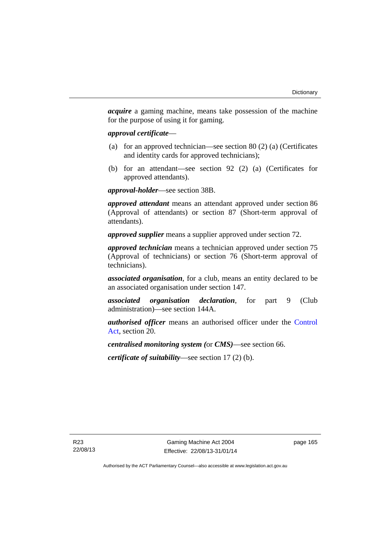*acquire* a gaming machine, means take possession of the machine for the purpose of using it for gaming.

#### *approval certificate*—

- (a) for an approved technician—see section 80 (2) (a) (Certificates and identity cards for approved technicians);
- (b) for an attendant—see section 92 (2) (a) (Certificates for approved attendants).

*approval-holder*—see section 38B.

*approved attendant* means an attendant approved under section 86 (Approval of attendants) or section 87 (Short-term approval of attendants).

*approved supplier* means a supplier approved under section 72.

*approved technician* means a technician approved under section 75 (Approval of technicians) or section 76 (Short-term approval of technicians).

*associated organisation*, for a club, means an entity declared to be an associated organisation under section 147.

*associated organisation declaration*, for part 9 (Club administration)—see section 144A.

*authorised officer* means an authorised officer under the [Control](http://www.legislation.act.gov.au/a/1999-46)  [Act](http://www.legislation.act.gov.au/a/1999-46), section 20.

*centralised monitoring system (*or *CMS)*—see section 66.

*certificate of suitability*—see section 17 (2) (b).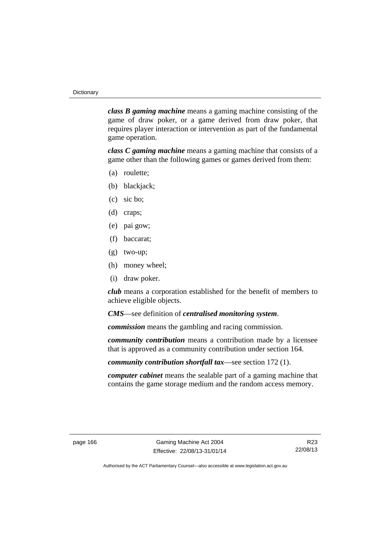*class B gaming machine* means a gaming machine consisting of the game of draw poker, or a game derived from draw poker, that requires player interaction or intervention as part of the fundamental game operation.

*class C gaming machine* means a gaming machine that consists of a game other than the following games or games derived from them:

- (a) roulette;
- (b) blackjack;
- (c) sic bo;
- (d) craps;
- (e) pai gow;
- (f) baccarat;
- (g) two-up;
- (h) money wheel;
- (i) draw poker.

*club* means a corporation established for the benefit of members to achieve eligible objects.

*CMS*—see definition of *centralised monitoring system*.

*commission* means the gambling and racing commission.

*community contribution* means a contribution made by a licensee that is approved as a community contribution under section 164.

*community contribution shortfall tax*—see section 172 (1).

*computer cabinet* means the sealable part of a gaming machine that contains the game storage medium and the random access memory.

R23 22/08/13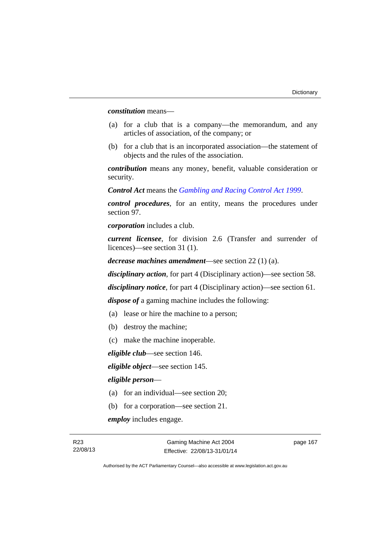*constitution* means—

- (a) for a club that is a company—the memorandum, and any articles of association, of the company; or
- (b) for a club that is an incorporated association—the statement of objects and the rules of the association.

*contribution* means any money, benefit, valuable consideration or security.

*Control Act* means the *[Gambling and Racing Control Act 1999](http://www.legislation.act.gov.au/a/1999-46)*.

*control procedures*, for an entity, means the procedures under section 97.

*corporation* includes a club.

*current licensee*, for division 2.6 (Transfer and surrender of licences)—see section 31 (1).

*decrease machines amendment*—see section 22 (1) (a).

*disciplinary action*, for part 4 (Disciplinary action)—see section 58.

*disciplinary notice*, for part 4 (Disciplinary action)—see section 61.

*dispose of* a gaming machine includes the following:

- (a) lease or hire the machine to a person;
- (b) destroy the machine;
- (c) make the machine inoperable.

*eligible club*—see section 146.

*eligible object*—see section 145.

#### *eligible person*—

- (a) for an individual—see section 20;
- (b) for a corporation—see section 21.

*employ* includes engage.

page 167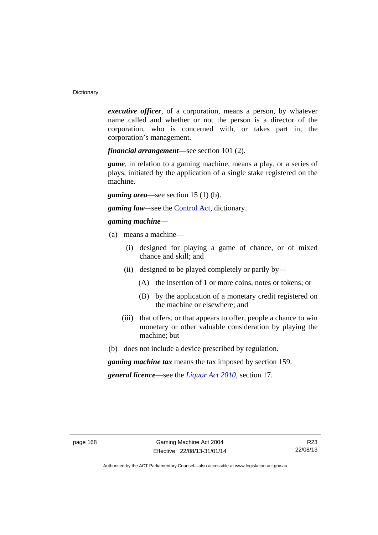*executive officer*, of a corporation, means a person, by whatever name called and whether or not the person is a director of the corporation, who is concerned with, or takes part in, the corporation's management.

*financial arrangement*—see section 101 (2).

*game*, in relation to a gaming machine, means a play, or a series of plays, initiated by the application of a single stake registered on the machine.

*gaming area*—see section 15 (1) (b).

*gaming law—*see the [Control Act](http://www.legislation.act.gov.au/a/1999-46), dictionary.

#### *gaming machine*—

- (a) means a machine—
	- (i) designed for playing a game of chance, or of mixed chance and skill; and
	- (ii) designed to be played completely or partly by—
		- (A) the insertion of 1 or more coins, notes or tokens; or
		- (B) by the application of a monetary credit registered on the machine or elsewhere; and
	- (iii) that offers, or that appears to offer, people a chance to win monetary or other valuable consideration by playing the machine; but
- (b) does not include a device prescribed by regulation.

*gaming machine tax* means the tax imposed by section 159.

*general licence*—see the *[Liquor Act 2010](http://www.legislation.act.gov.au/a/2010-35)*, section 17.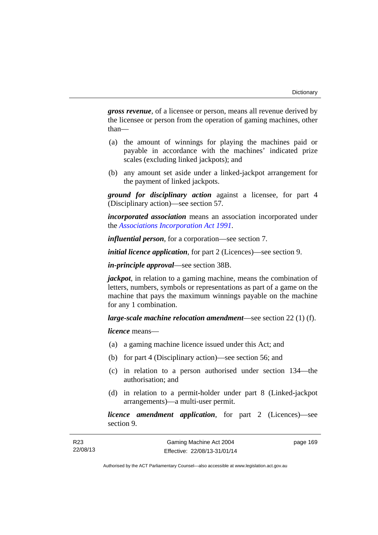*gross revenue*, of a licensee or person, means all revenue derived by the licensee or person from the operation of gaming machines, other than—

- (a) the amount of winnings for playing the machines paid or payable in accordance with the machines' indicated prize scales (excluding linked jackpots); and
- (b) any amount set aside under a linked-jackpot arrangement for the payment of linked jackpots.

*ground for disciplinary action* against a licensee, for part 4 (Disciplinary action)—see section 57.

*incorporated association* means an association incorporated under the *[Associations Incorporation Act 1991](http://www.legislation.act.gov.au/a/1991-46)*.

*influential person*, for a corporation—see section 7.

*initial licence application*, for part 2 (Licences)—see section 9.

*in-principle approval*—see section 38B.

*jackpot*, in relation to a gaming machine, means the combination of letters, numbers, symbols or representations as part of a game on the machine that pays the maximum winnings payable on the machine for any 1 combination.

*large-scale machine relocation amendment*—see section 22 (1) (f).

*licence* means—

- (a) a gaming machine licence issued under this Act; and
- (b) for part 4 (Disciplinary action)—see section 56; and
- (c) in relation to a person authorised under section 134—the authorisation; and
- (d) in relation to a permit-holder under part 8 (Linked-jackpot arrangements)—a multi-user permit.

*licence amendment application*, for part 2 (Licences)—see section 9.

| R23      | Gaming Machine Act 2004      | page 169 |  |
|----------|------------------------------|----------|--|
| 22/08/13 | Effective: 22/08/13-31/01/14 |          |  |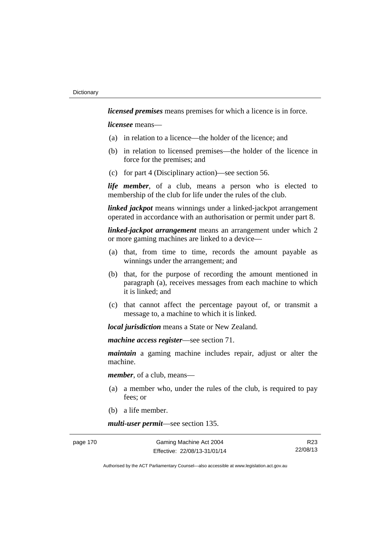*licensed premises* means premises for which a licence is in force.

*licensee* means—

- (a) in relation to a licence—the holder of the licence; and
- (b) in relation to licensed premises—the holder of the licence in force for the premises; and
- (c) for part 4 (Disciplinary action)—see section 56.

*life member*, of a club, means a person who is elected to membership of the club for life under the rules of the club.

*linked jackpot* means winnings under a linked-jackpot arrangement operated in accordance with an authorisation or permit under part 8.

*linked-jackpot arrangement* means an arrangement under which 2 or more gaming machines are linked to a device—

- (a) that, from time to time, records the amount payable as winnings under the arrangement; and
- (b) that, for the purpose of recording the amount mentioned in paragraph (a), receives messages from each machine to which it is linked; and
- (c) that cannot affect the percentage payout of, or transmit a message to, a machine to which it is linked.

*local jurisdiction* means a State or New Zealand.

*machine access register*—see section 71.

*maintain* a gaming machine includes repair, adjust or alter the machine.

*member*, of a club, means—

- (a) a member who, under the rules of the club, is required to pay fees; or
- (b) a life member.

*multi-user permit*—see section 135.

R23 22/08/13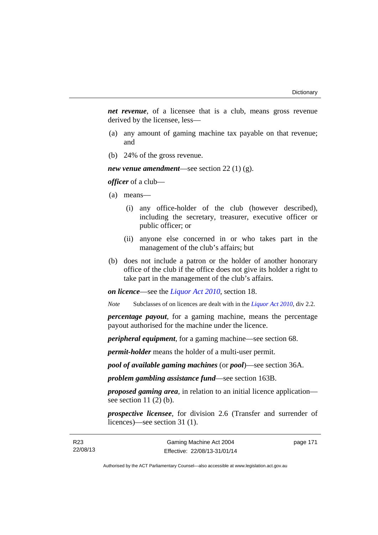*net revenue*, of a licensee that is a club, means gross revenue derived by the licensee, less—

- (a) any amount of gaming machine tax payable on that revenue; and
- (b) 24% of the gross revenue.

*new venue amendment*—see section 22 (1) (g).

*officer* of a club—

(a) means—

- (i) any office-holder of the club (however described), including the secretary, treasurer, executive officer or public officer; or
- (ii) anyone else concerned in or who takes part in the management of the club's affairs; but
- (b) does not include a patron or the holder of another honorary office of the club if the office does not give its holder a right to take part in the management of the club's affairs.

*on licence*—see the *[Liquor Act 2010](http://www.legislation.act.gov.au/a/2010-35)*, section 18.

*Note* Subclasses of on licences are dealt with in the *[Liquor Act 2010](http://www.legislation.act.gov.au/a/2010-35)*, div 2.2.

*percentage payout*, for a gaming machine, means the percentage payout authorised for the machine under the licence.

*peripheral equipment*, for a gaming machine—see section 68.

*permit-holder* means the holder of a multi-user permit.

*pool of available gaming machines* (or *pool*)—see section 36A.

*problem gambling assistance fund*—see section 163B.

*proposed gaming area*, in relation to an initial licence application see section  $11(2)$  (b).

*prospective licensee*, for division 2.6 (Transfer and surrender of licences)—see section 31 (1).

page 171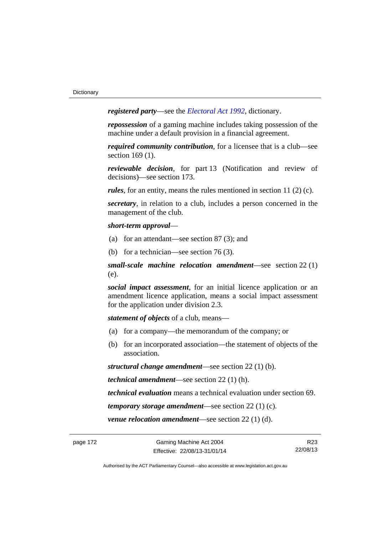*registered party*—see the *[Electoral Act 1992](http://www.legislation.act.gov.au/a/1992-71)*, dictionary.

*repossession* of a gaming machine includes taking possession of the machine under a default provision in a financial agreement.

*required community contribution*, for a licensee that is a club—see section 169 (1).

*reviewable decision*, for part 13 (Notification and review of decisions)—see section 173.

*rules*, for an entity, means the rules mentioned in section 11 (2) (c).

*secretary*, in relation to a club, includes a person concerned in the management of the club.

### *short-term approval*—

- (a) for an attendant—see section 87 (3); and
- (b) for a technician—see section 76 (3).

*small-scale machine relocation amendment*—see section 22 (1) (e).

*social impact assessment*, for an initial licence application or an amendment licence application, means a social impact assessment for the application under division 2.3.

*statement of objects* of a club, means—

- (a) for a company—the memorandum of the company; or
- (b) for an incorporated association—the statement of objects of the association.

*structural change amendment*—see section 22 (1) (b).

*technical amendment*—see section 22 (1) (h).

*technical evaluation* means a technical evaluation under section 69.

*temporary storage amendment*—see section 22 (1) (c).

*venue relocation amendment*—see section 22 (1) (d).

R23 22/08/13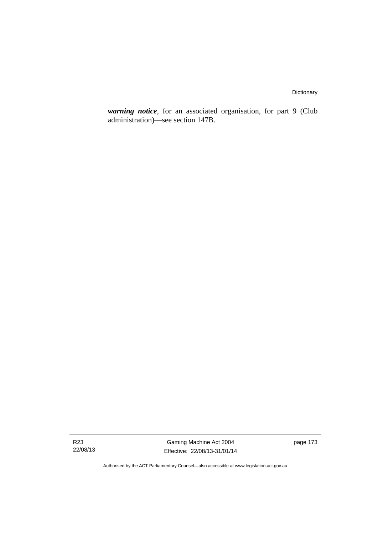*warning notice*, for an associated organisation, for part 9 (Club administration)—see section 147B.

R23 22/08/13

Gaming Machine Act 2004 Effective: 22/08/13-31/01/14 page 173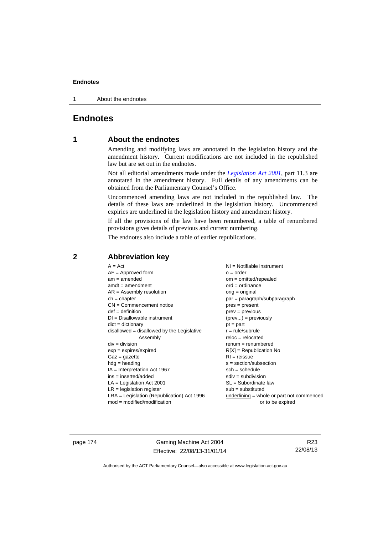1 About the endnotes

# **Endnotes**

# **1 About the endnotes**

Amending and modifying laws are annotated in the legislation history and the amendment history. Current modifications are not included in the republished law but are set out in the endnotes.

Not all editorial amendments made under the *[Legislation Act 2001](http://www.legislation.act.gov.au/a/2001-14)*, part 11.3 are annotated in the amendment history. Full details of any amendments can be obtained from the Parliamentary Counsel's Office.

Uncommenced amending laws are not included in the republished law. The details of these laws are underlined in the legislation history. Uncommenced expiries are underlined in the legislation history and amendment history.

If all the provisions of the law have been renumbered, a table of renumbered provisions gives details of previous and current numbering.

The endnotes also include a table of earlier republications.

## **2 Abbreviation key**

page 174 Gaming Machine Act 2004 Effective: 22/08/13-31/01/14

R23 22/08/13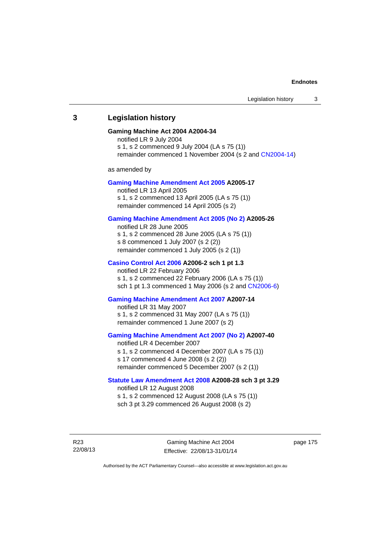### **3 Legislation history**

### **Gaming Machine Act 2004 A2004-34**

notified LR 9 July 2004 s 1, s 2 commenced 9 July 2004 (LA s 75 (1)) remainder commenced 1 November 2004 (s 2 and [CN2004-14](http://www.legislation.act.gov.au/cn/2004-14/default.asp))

as amended by

#### **[Gaming Machine Amendment Act 2005](http://www.legislation.act.gov.au/a/2005-17) A2005-17**

notified LR 13 April 2005 s 1, s 2 commenced 13 April 2005 (LA s 75 (1)) remainder commenced 14 April 2005 (s 2)

### **[Gaming Machine Amendment Act 2005 \(No 2\)](http://www.legislation.act.gov.au/a/2005-26) A2005-26**

notified LR 28 June 2005 s 1, s 2 commenced 28 June 2005 (LA s 75 (1)) s 8 commenced 1 July 2007 (s 2 (2)) remainder commenced 1 July 2005 (s 2 (1))

### **[Casino Control Act 2006](http://www.legislation.act.gov.au/a/2006-2) A2006-2 sch 1 pt 1.3**

notified LR 22 February 2006 s 1, s 2 commenced 22 February 2006 (LA s 75 (1)) sch 1 pt 1.3 commenced 1 May 2006 (s 2 and [CN2006-6](http://www.legislation.act.gov.au/cn/2006-6/default.asp))

#### **[Gaming Machine Amendment Act 2007](http://www.legislation.act.gov.au/a/2007-14) A2007-14**

notified LR 31 May 2007 s 1, s 2 commenced 31 May 2007 (LA s 75 (1)) remainder commenced 1 June 2007 (s 2)

### **[Gaming Machine Amendment Act 2007 \(No 2\)](http://www.legislation.act.gov.au/a/2007-40) A2007-40**

notified LR 4 December 2007 s 1, s 2 commenced 4 December 2007 (LA s 75 (1)) s 17 commenced 4 June 2008 (s 2 (2)) remainder commenced 5 December 2007 (s 2 (1))

### **[Statute Law Amendment Act 2008](http://www.legislation.act.gov.au/a/2008-28) A2008-28 sch 3 pt 3.29**  notified LR 12 August 2008

s 1, s 2 commenced 12 August 2008 (LA s 75 (1)) sch 3 pt 3.29 commenced 26 August 2008 (s 2)

R23 22/08/13 page 175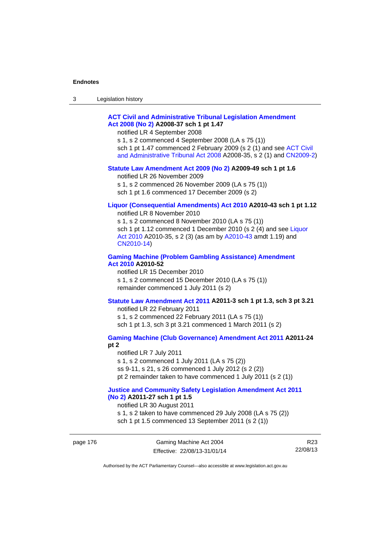| 3 | Legislation history |  |
|---|---------------------|--|
|---|---------------------|--|

### **[ACT Civil and Administrative Tribunal Legislation Amendment](http://www.legislation.act.gov.au/a/2008-37)  [Act 2008 \(No 2\)](http://www.legislation.act.gov.au/a/2008-37) A2008-37 sch 1 pt 1.47**

notified LR 4 September 2008

s 1, s 2 commenced 4 September 2008 (LA s 75 (1)) sch 1 pt 1.47 commenced 2 February 2009 (s 2 (1) and see [ACT Civil](http://www.legislation.act.gov.au/a/2008-35)  [and Administrative Tribunal Act 2008](http://www.legislation.act.gov.au/a/2008-35) A2008-35, s 2 (1) and [CN2009-2](http://www.legislation.act.gov.au/cn/2009-2/default.asp))

#### **[Statute Law Amendment Act 2009 \(No 2\)](http://www.legislation.act.gov.au/a/2009-49) A2009-49 sch 1 pt 1.6**

notified LR 26 November 2009

s 1, s 2 commenced 26 November 2009 (LA s 75 (1))

sch 1 pt 1.6 commenced 17 December 2009 (s 2)

# **[Liquor \(Consequential Amendments\) Act 2010](http://www.legislation.act.gov.au/a/2010-43) A2010-43 sch 1 pt 1.12**

notified LR 8 November 2010

s 1, s 2 commenced 8 November 2010 (LA s 75 (1)) sch 1 pt 1.12 commenced 1 December 2010 (s 2 (4) and see Liquor [Act 2010](http://www.legislation.act.gov.au/a/2010-35) A2010-35, s 2 (3) (as am by [A2010-43](http://www.legislation.act.gov.au/a/2010-43) amdt 1.19) and [CN2010-14](http://www.legislation.act.gov.au/cn/2010-14/default.asp))

### **[Gaming Machine \(Problem Gambling Assistance\) Amendment](http://www.legislation.act.gov.au/a/2010-52)  [Act 2010](http://www.legislation.act.gov.au/a/2010-52) A2010-52**

notified LR 15 December 2010 s 1, s 2 commenced 15 December 2010 (LA s 75 (1)) remainder commenced 1 July 2011 (s 2)

### **[Statute Law Amendment Act 2011](http://www.legislation.act.gov.au/a/2011-3) A2011-3 sch 1 pt 1.3, sch 3 pt 3.21**

notified LR 22 February 2011 s 1, s 2 commenced 22 February 2011 (LA s 75 (1)) sch 1 pt 1.3, sch 3 pt 3.21 commenced 1 March 2011 (s 2)

# **[Gaming Machine \(Club Governance\) Amendment Act 2011](http://www.legislation.act.gov.au/a/2011-24) A2011-24**

**pt 2** 

notified LR 7 July 2011 s 1, s 2 commenced 1 July 2011 (LA s 75 (2)) ss 9-11, s 21, s 26 commenced 1 July 2012 (s 2 (2)) pt 2 remainder taken to have commenced 1 July 2011 (s 2 (1))

### **[Justice and Community Safety Legislation Amendment Act 2011](http://www.legislation.act.gov.au/a/2011-27)  [\(No 2\)](http://www.legislation.act.gov.au/a/2011-27) A2011-27 sch 1 pt 1.5**

notified LR 30 August 2011

s 1, s 2 taken to have commenced 29 July 2008 (LA s 75 (2)) sch 1 pt 1.5 commenced 13 September 2011 (s 2 (1))

R23 22/08/13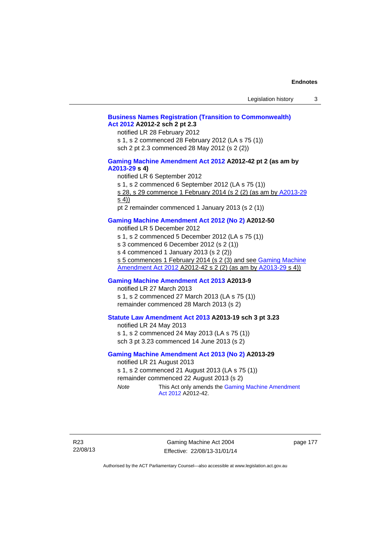### **[Business Names Registration \(Transition to Commonwealth\)](http://www.legislation.act.gov.au/a/2012-2)  [Act 2012](http://www.legislation.act.gov.au/a/2012-2) A2012-2 sch 2 pt 2.3**

notified LR 28 February 2012

s 1, s 2 commenced 28 February 2012 (LA s 75 (1))

sch 2 pt 2.3 commenced 28 May 2012 (s 2 (2))

### **[Gaming Machine Amendment Act 2012](http://www.legislation.act.gov.au/a/2012-42) A2012-42 pt 2 (as am by [A2013-29](http://www.legislation.act.gov.au/a/2013-29) s 4)**

notified LR 6 September 2012

s 1, s 2 commenced 6 September 2012 (LA s 75 (1))

s 28, s 29 commence 1 February 2014 (s 2 (2) (as am by [A2013-29](http://www.legislation.act.gov.au/a/2013-29) s 4))

pt 2 remainder commenced 1 January 2013 (s 2 (1))

### **[Gaming Machine Amendment Act 2012 \(No 2\)](http://www.legislation.act.gov.au/a/2012-50/default.asp) A2012-50**

notified LR 5 December 2012

s 1, s 2 commenced 5 December 2012 (LA s 75 (1))

s 3 commenced 6 December 2012 (s 2 (1))

s 4 commenced 1 January 2013 (s 2 (2))

s 5 commences 1 February 2014 (s 2 (3) and see [Gaming Machine](http://www.legislation.act.gov.au/a/2012-42)  [Amendment Act 2012](http://www.legislation.act.gov.au/a/2012-42) A2012-42 s 2 (2) (as am by [A2013-29](http://www.legislation.act.gov.au/a/2013-29) s 4))

### **[Gaming Machine Amendment Act 2013](http://www.legislation.act.gov.au/a/2013-9) A2013-9**

notified LR 27 March 2013

s 1, s 2 commenced 27 March 2013 (LA s 75 (1)) remainder commenced 28 March 2013 (s 2)

### **[Statute Law Amendment Act 2013](http://www.legislation.act.gov.au/a/2013-19) A2013-19 sch 3 pt 3.23**

notified LR 24 May 2013 s 1, s 2 commenced 24 May 2013 (LA s 75 (1)) sch 3 pt 3.23 commenced 14 June 2013 (s 2)

### **[Gaming Machine Amendment Act 2013 \(No 2\)](http://www.legislation.act.gov.au/a/2013-29) A2013-29**

notified LR 21 August 2013 s 1, s 2 commenced 21 August 2013 (LA s 75 (1)) remainder commenced 22 August 2013 (s 2) *Note* This Act only amends the [Gaming Machine Amendment](http://www.legislation.act.gov.au/a/2012-42)  [Act 2012](http://www.legislation.act.gov.au/a/2012-42) A2012-42.

R23 22/08/13

Gaming Machine Act 2004 Effective: 22/08/13-31/01/14

page 177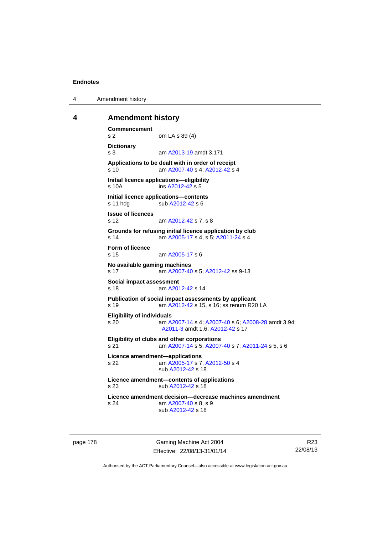4 Amendment history

### **4 Amendment history**

```
Commencement 
s 2 om LA s 89 (4) 
Dictionary 
s 3 am A2013-19 amdt 3.171
Applications to be dealt with in order of receipt 
s 10 am A2007-40 s 4; A2012-42 s 4 
Initial licence applications—eligibility 
s 10A ins A2012-42 s 5
Initial licence applications—contents 
A2012-42 s 6
Issue of licences 
s 12 am A2012-42 s 7, s 8 
Grounds for refusing initial licence application by club 
s 14 am A2005-17 s 4, s 5; A2011-24 s 4 
Form of licence 
s 15 am A2005-17 s 6 
No available gaming machines 
s 17 am A2007-40 s 5; A2012-42 ss 9-13 
Social impact assessment 
s 18 am A2012-42 s 14 
Publication of social impact assessments by applicant 
s 19 am A2012-42 s 15, s 16; ss renum R20 LA 
Eligibility of individuals 
s 20 am A2007-14 s 4; A2007-40 s 6; A2008-28 amdt 3.94; 
                A2011-3 amdt 1.6; A2012-42 s 17 
Eligibility of clubs and other corporations 
s 21 am A2007-14 s 5; A2007-40 s 7; A2011-24 s 5, s 6 
Licence amendment—applications 
s 22 am A2005-17 s 7; A2012-50 s 4 
                sub A2012-42 s 18 
Licence amendment—contents of applications 
A2012-42 s 18
Licence amendment decision—decrease machines amendment 
s 24 am A2007-40 s 8, s 9 
                sub A2012-42 s 18
```
page 178 Gaming Machine Act 2004 Effective: 22/08/13-31/01/14

R23 22/08/13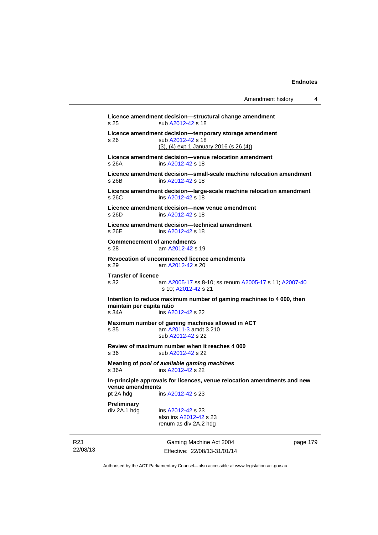| Amendment history |  |
|-------------------|--|
|-------------------|--|

```
Gaming Machine Act 2004 
Licence amendment decision—structural change amendment 
s 25 sub A2012-42 s 18 
Licence amendment decision—temporary storage amendment 
s 26 sub A2012-42 s 18 
               (3), (4) exp 1 January 2016 (s 26 (4))
Licence amendment decision—venue relocation amendment 
s 26A ins A2012-42 s 18 
Licence amendment decision—small-scale machine relocation amendment 
s 26B ins A2012-42 s 18 
Licence amendment decision—large-scale machine relocation amendment 
s 26C ins A2012-42 s 18 
Licence amendment decision—new venue amendment 
s 26D ins A2012-42 s 18 
Licence amendment decision—technical amendment 
A2012-42 s 18
Commencement of amendments 
s 28 am A2012-42 s 19 
Revocation of uncommenced licence amendments 
s 29 am A2012-42 s 20 
Transfer of licence 
                A2005-17A2005-17  A2007-40
                s 10; A2012-42 s 21 
Intention to reduce maximum number of gaming machines to 4 000, then 
maintain per capita ratio 
s 34A ins A2012-42 s 22 
Maximum number of gaming machines allowed in ACT 
s 35 am A2011-3 amdt 3.210 
                sub A2012-42 s 22 
Review of maximum number when it reaches 4 000 
A2012-42 s 22
Meaning of pool of available gaming machines
s 36A ins A2012-42 s 22 
In-principle approvals for licences, venue relocation amendments and new 
venue amendments 
pt 2A hdg ins A2012-42 s 23 
Preliminary 
 A2012-42 s 23
                also ins A2012-42 s 23 
               renum as div 2A.2 hdg
```
22/08/13

R23

Effective: 22/08/13-31/01/14

page 179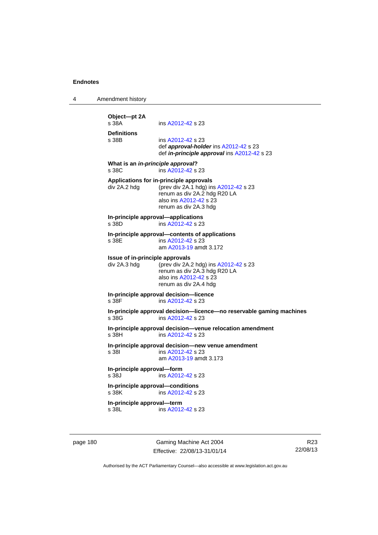4 Amendment history **Object—pt 2A**  ins [A2012-42](http://www.legislation.act.gov.au/a/2012-42) s 23 **Definitions**  ins [A2012-42](http://www.legislation.act.gov.au/a/2012-42) s 23 def *approval-holder* ins [A2012-42](http://www.legislation.act.gov.au/a/2012-42) s 23 def *in-principle approval* ins [A2012-42](http://www.legislation.act.gov.au/a/2012-42) s 23 **What is an** *in-principle approval***?**  s 38C ins [A2012-42](http://www.legislation.act.gov.au/a/2012-42) s 23 **Applications for in-principle approvals**  div 2A.2 hdg (prev div 2A.1 hdg) ins [A2012-42](http://www.legislation.act.gov.au/a/2012-42) s 23 renum as div 2A.2 hdg R20 LA also ins [A2012-42](http://www.legislation.act.gov.au/a/2012-42) s 23 renum as div 2A.3 hdg **In-principle approval—applications**  s 38D ins [A2012-42](http://www.legislation.act.gov.au/a/2012-42) s 23 **In-principle approval—contents of applications**  ins [A2012-42](http://www.legislation.act.gov.au/a/2012-42) s 23 am [A2013-19](http://www.legislation.act.gov.au/a/2013-19) amdt 3.172 **Issue of in-principle approvals**  div 2A.3 hdg (prev div 2A.2 hdg) ins [A2012-42](http://www.legislation.act.gov.au/a/2012-42) s 23 renum as div 2A.3 hdg R20 LA also ins [A2012-42](http://www.legislation.act.gov.au/a/2012-42) s 23 renum as div 2A.4 hdg **In-principle approval decision—licence**  s 38F ins [A2012-42](http://www.legislation.act.gov.au/a/2012-42) s 23 **In-principle approval decision—licence—no reservable gaming machines**  s 38G ins [A2012-42](http://www.legislation.act.gov.au/a/2012-42) s 23 **In-principle approval decision—venue relocation amendment**  s 38H ins [A2012-42](http://www.legislation.act.gov.au/a/2012-42) s 23 **In-principle approval decision—new venue amendment**  ins [A2012-42](http://www.legislation.act.gov.au/a/2012-42) s 23 am [A2013-19](http://www.legislation.act.gov.au/a/2013-19) amdt 3.173 **In-principle approval—form**  s 38J ins [A2012-42](http://www.legislation.act.gov.au/a/2012-42) s 23 **In-principle approval—conditions**  ins [A2012-42](http://www.legislation.act.gov.au/a/2012-42) s 23 **In-principle approval—term**  s 38L ins [A2012-42](http://www.legislation.act.gov.au/a/2012-42) s 23

page 180 Gaming Machine Act 2004 Effective: 22/08/13-31/01/14

R23 22/08/13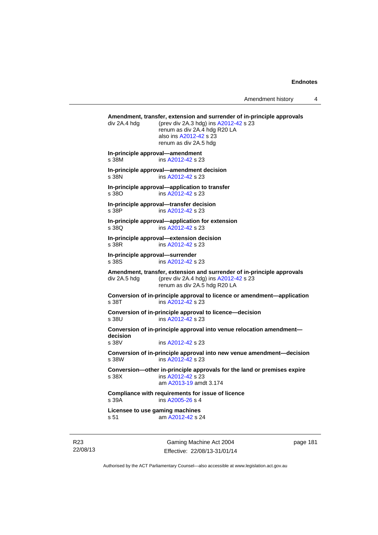Amendment history 4

**Amendment, transfer, extension and surrender of in-principle approvals**  div 2A.4 hdg (prev div 2A.3 hdg) ins [A2012-42](http://www.legislation.act.gov.au/a/2012-42) s 23 renum as div 2A.4 hdg R20 LA also ins [A2012-42](http://www.legislation.act.gov.au/a/2012-42) s 23 renum as div 2A.5 hdg **In-principle approval—amendment**  s 38M ins [A2012-42](http://www.legislation.act.gov.au/a/2012-42) s 23 **In-principle approval—amendment decision**  s 38N ins [A2012-42](http://www.legislation.act.gov.au/a/2012-42) s 23 **In-principle approval—application to transfer**  s 38O ins [A2012-42](http://www.legislation.act.gov.au/a/2012-42) s 23 **In-principle approval—transfer decision**  s 38P ins [A2012-42](http://www.legislation.act.gov.au/a/2012-42) s 23 **In-principle approval—application for extension**  s 38Q ins [A2012-42](http://www.legislation.act.gov.au/a/2012-42) s 23 **In-principle approval—extension decision**  s 38R ins [A2012-42](http://www.legislation.act.gov.au/a/2012-42) s 23 **In-principle approval—surrender**  s 38S ins [A2012-42](http://www.legislation.act.gov.au/a/2012-42) s 23 **Amendment, transfer, extension and surrender of in-principle approvals**  div 2A.5 hdg (prev div 2A.4 hdg) ins [A2012-42](http://www.legislation.act.gov.au/a/2012-42) s 23 renum as div 2A.5 hdg R20 LA **Conversion of in-principle approval to licence or amendment—application**  s 38T ins [A2012-42](http://www.legislation.act.gov.au/a/2012-42) s 23 **Conversion of in-principle approval to licence—decision**  s 38U ins [A2012-42](http://www.legislation.act.gov.au/a/2012-42) s 23 **Conversion of in-principle approval into venue relocation amendment decision**  s 38V ins [A2012-42](http://www.legislation.act.gov.au/a/2012-42) s 23 **Conversion of in-principle approval into new venue amendment—decision**  s 38W ins [A2012-42](http://www.legislation.act.gov.au/a/2012-42) s 23 **Conversion—other in-principle approvals for the land or premises expire**  s 38X ins [A2012-42](http://www.legislation.act.gov.au/a/2012-42) s 23 am [A2013-19](http://www.legislation.act.gov.au/a/2013-19) amdt 3.174 **Compliance with requirements for issue of licence**  s 39A ins [A2005-26](http://www.legislation.act.gov.au/a/2005-26) s 4 **Licensee to use gaming machines**  s 51 am [A2012-42](http://www.legislation.act.gov.au/a/2012-42) s 24

R23 22/08/13

Gaming Machine Act 2004 Effective: 22/08/13-31/01/14 page 181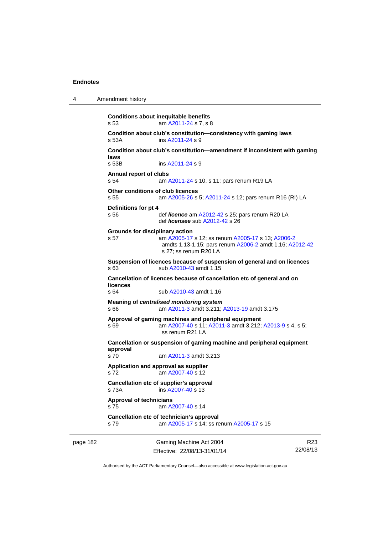4 Amendment history

```
page 182 Gaming Machine Act 2004 
                                                                           R23
           Conditions about inequitable benefits 
           s 53 am A2011-24 s 7, s 8 
           Condition about club's constitution—consistency with gaming laws s 53A ims A2011-24 s 9
                           A2011-24 s 9
           Condition about club's constitution—amendment if inconsistent with gaming 
           laws 
           s 53B ins A2011-24 s 9
           Annual report of clubs 
           s 54 am A2011-24 s 10, s 11; pars renum R19 LA 
           Other conditions of club licences 
           s 55 am A2005-26 s 5; A2011-24 s 12; pars renum R16 (RI) LA 
           Definitions for pt 4 
           s 56 def licence am A2012-42 s 25; pars renum R20 LA 
                            def licensee sub A2012-42 s 26 
           Grounds for disciplinary action 
           s 57 am A2005-17 s 12; ss renum A2005-17 s 13; A2006-2
                            amdts 1.13-1.15; pars renum A2006-2 amdt 1.16; A2012-42
                            s 27; ss renum R20 LA 
           Suspension of licences because of suspension of general and on licences 
           s 63 sub A2010-43 amdt 1.15 
           Cancellation of licences because of cancellation etc of general and on 
           licences 
           s 64 sub A2010-43 amdt 1.16 
           Meaning of centralised monitoring system
           s 66 am A2011-3 amdt 3.211; A2013-19 amdt 3.175 
           Approval of gaming machines and peripheral equipment 
           s 69 am A2007-40 s 11; A2011-3 amdt 3.212; A2013-9 s 4, s 5; 
                            ss renum R21 LA 
           Cancellation or suspension of gaming machine and peripheral equipment 
           approval 
           s 70 am A2011-3 amdt 3.213 
           Application and approval as supplier 
           s 72 am A2007-40 s 12 
           Cancellation etc of supplier's approval 
           s 73A ins A2007-40 s 13 
           Approval of technicians 
            A2007-40 s 14
           Cancellation etc of technician's approval 
           s 79 am A2005-17 s 14; ss renum A2005-17 s 15
```
Authorised by the ACT Parliamentary Counsel—also accessible at www.legislation.act.gov.au

22/08/13

Effective: 22/08/13-31/01/14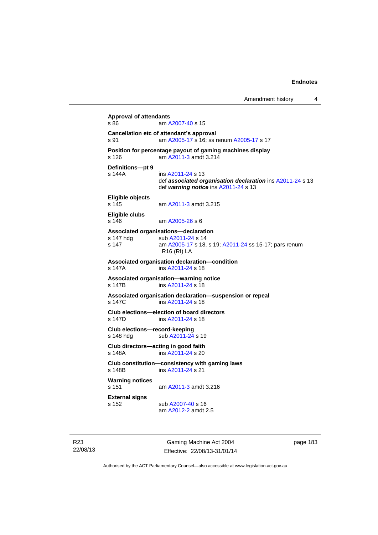```
Approval of attendants 
A2007-40 s 15
Cancellation etc of attendant's approval 
s 91 am A2005-17 s 16; ss renum A2005-17 s 17 
Position for percentage payout of gaming machines display 
s 126 am A2011-3 amdt 3.214 
Definitions—pt 9 
s 144A ins A2011-24 s 13 
                 def associated organisation declaration ins A2011-24 s 13 
                 def warning notice ins A2011-24 s 13 
Eligible objects 
                A2011-3 amdt 3.215
Eligible clubs 
s 146 am A2005-26 s 6 
Associated organisations—declaration 
A2011-24 s 14<br>s 147 am A2005-17 s 18.
                 A2005-17A2011-24 ss 15-17; pars renum
                 R16 (RI) LA 
Associated organisation declaration—condition 
s 147A ins A2011-24 s 18 
Associated organisation—warning notice 
s 147B ins A2011-24 s 18 
Associated organisation declaration—suspension or repeal 
s 147C ins A2011-24 s 18 
Club elections—election of board directors 
s 147D ins A2011-24 s 18 
Club elections—record-keeping 
A2011-24 s 19
Club directors—acting in good faith 
s 148A ins A2011-24 s 20 
Club constitution—consistency with gaming laws 
s 148B ins A2011-24 s 21 
Warning notices 
s 151 am A2011-3 amdt 3.216 
External signs 
s 152 sub A2007-40 s 16 
                 am A2012-2 amdt 2.5
```
R23 22/08/13

Gaming Machine Act 2004 Effective: 22/08/13-31/01/14 page 183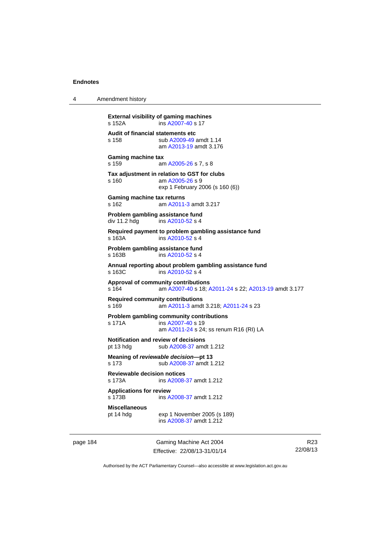4 Amendment history

```
External visibility of gaming machines 
s 152A ins A2007-40 s 17 
Audit of financial statements etc 
s 158 sub A2009-49 amdt 1.14 
                am A2013-19 amdt 3.176
Gaming machine tax 
s 159 am A2005-26 s 7, s 8 
Tax adjustment in relation to GST for clubs 
s 160 am A2005-26 s 9 
               exp 1 February 2006 (s 160 (6)) 
Gaming machine tax returns 
s 162 am A2011-3 amdt 3.217 
Problem gambling assistance fund 
A2010-52 s 4
Required payment to problem gambling assistance fund 
s 163A ins A2010-52 s 4
Problem gambling assistance fund 
s 163B ins A2010-52 s 4
Annual reporting about problem gambling assistance fund 
s 163C ins A2010-52 s 4
Approval of community contributions 
s 164 am A2007-40 s 18; A2011-24 s 22; A2013-19 amdt 3.177
Required community contributions 
s 169 am A2011-3 amdt 3.218; A2011-24 s 23 
Problem gambling community contributions 
 A2007-40 s 19
                am A2011-24 s 24; ss renum R16 (RI) LA
Notification and review of decisions 
A2008-37 amdt 1.212
Meaning of reviewable decision—pt 13 
s 173 sub A2008-37 amdt 1.212 
Reviewable decision notices 
               A2008-37 amdt 1.212
Applications for review 
                A2008-37 amdt 1.212
Miscellaneous 
               exp 1 November 2005 (s 189)
                ins A2008-37 amdt 1.212
```
page 184 Gaming Machine Act 2004 Effective: 22/08/13-31/01/14

R23 22/08/13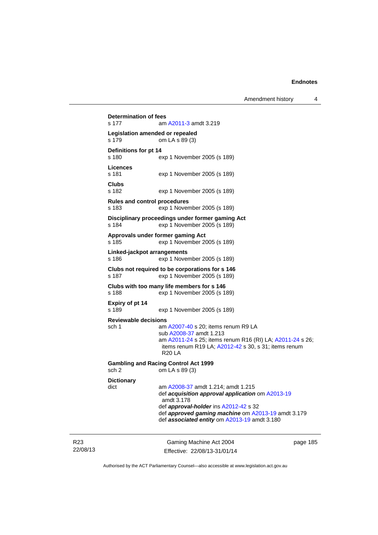Gaming Machine Act 2004 page 185 **Determination of fees**  s 177 am [A2011-3](http://www.legislation.act.gov.au/a/2011-3) amdt 3.219 **Legislation amended or repealed**  s 179 om LA s 89 (3) **Definitions for pt 14**  exp 1 November 2005 (s 189) **Licences**  s 181 exp 1 November 2005 (s 189) **Clubs**  exp 1 November 2005 (s 189) **Rules and control procedures**  s 183 exp 1 November 2005 (s 189) **Disciplinary proceedings under former gaming Act**  s 184 exp 1 November 2005 (s 189) **Approvals under former gaming Act**  s 185 exp 1 November 2005 (s 189) **Linked-jackpot arrangements**  s 186 exp 1 November 2005 (s 189) **Clubs not required to be corporations for s 146**  s 187 exp 1 November 2005 (s 189) **Clubs with too many life members for s 146**  s 188 exp 1 November 2005 (s 189) **Expiry of pt 14**  s 189 exp 1 November 2005 (s 189) **Reviewable decisions**  sch 1 am [A2007-40](http://www.legislation.act.gov.au/a/2007-40) s 20; items renum R9 LA sub [A2008-37](http://www.legislation.act.gov.au/a/2008-37) amdt 1.213 am [A2011-24](http://www.legislation.act.gov.au/a/2011-24) s 25; items renum R16 (RI) LA; [A2011-24](http://www.legislation.act.gov.au/a/2011-24) s 26; items renum R19 LA; [A2012-42](http://www.legislation.act.gov.au/a/2012-42) s 30, s 31; items renum R20 LA **Gambling and Racing Control Act 1999**  sch 2 om LA s 89 (3) **Dictionary**  dict am [A2008-37](http://www.legislation.act.gov.au/a/2008-37) amdt 1.214; amdt 1.215 def *acquisition approval application* om [A2013-19](http://www.legislation.act.gov.au/a/2013-19) amdt 3.178 def *approval-holder* ins [A2012-42](http://www.legislation.act.gov.au/a/2012-42) s 32 def *approved gaming machine* om [A2013-19](http://www.legislation.act.gov.au/a/2013-19) amdt 3.179 def *associated entity* om [A2013-19](http://www.legislation.act.gov.au/a/2013-19) amdt 3.180

22/08/13

R23

Effective: 22/08/13-31/01/14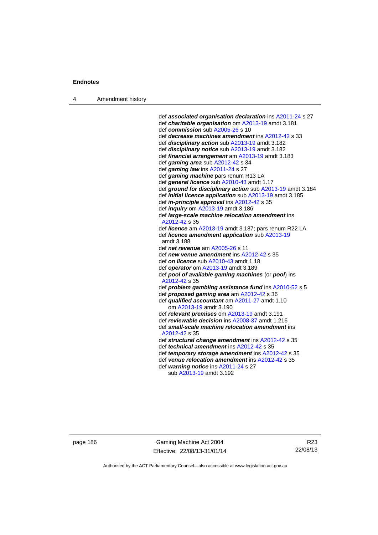4 Amendment history

```
 def associated organisation declaration ins A2011-24 s 27 
 def charitable organisation om A2013-19 amdt 3.181
 def commission sub A2005-26 s 10 
 def decrease machines amendment ins A2012-42 s 33 
 def disciplinary action sub A2013-19 amdt 3.182 
 def disciplinary notice sub A2013-19 amdt 3.182 
 def financial arrangement am A2013-19 amdt 3.183 
 def gaming area sub A2012-42 s 34 
 def gaming law ins A2011-24 s 27 
 def gaming machine pars renum R13 LA 
 def general licence sub A2010-43 amdt 1.17 
 def ground for disciplinary action sub A2013-19 amdt 3.184 
 def initial licence application sub A2013-19 amdt 3.185 
 def in-principle approval ins A2012-42 s 35 
 def inquiry om A2013-19 amdt 3.186 
 def large-scale machine relocation amendment ins 
 A2012-42 s 35 
 def licence am A2013-19 amdt 3.187; pars renum R22 LA 
 def licence amendment application sub A2013-19
 amdt 3.188
 def net revenue am A2005-26 s 11 
 def new venue amendment ins A2012-42 s 35 
 def on licence sub A2010-43 amdt 1.18
 def operator om A2013-19 amdt 3.189 
 def pool of available gaming machines (or pool) ins 
 A2012-42 s 35 
 def problem gambling assistance fund ins A2010-52 s 5 
 def proposed gaming area am A2012-42 s 36 
 def qualified accountant am A2011-27 amdt 1.10 
    om A2013-19 amdt 3.190
 def relevant premises om A2013-19 amdt 3.191 
 def reviewable decision ins A2008-37 amdt 1.216 
 def small-scale machine relocation amendment ins 
 A2012-42 s 35 
 def structural change amendment ins A2012-42 s 35 
 def technical amendment ins A2012-42 s 35 
 def temporary storage amendment ins A2012-42 s 35 
 def venue relocation amendment ins A2012-42 s 35 
 def warning notice ins A2011-24 s 27 
    sub A2013-19 amdt 3.192
```
page 186 Gaming Machine Act 2004 Effective: 22/08/13-31/01/14

R23 22/08/13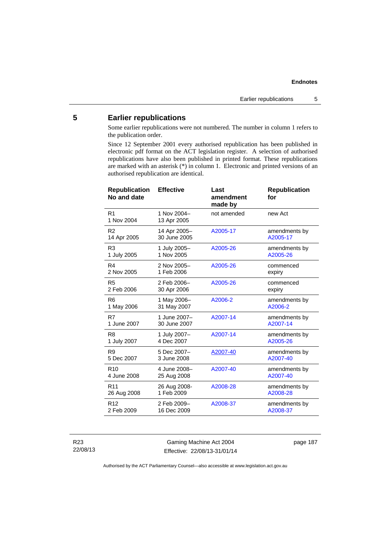# **5 Earlier republications**

Some earlier republications were not numbered. The number in column 1 refers to the publication order.

Since 12 September 2001 every authorised republication has been published in electronic pdf format on the ACT legislation register. A selection of authorised republications have also been published in printed format. These republications are marked with an asterisk (\*) in column 1. Electronic and printed versions of an authorised republication are identical.

| <b>Effective</b>             | Last<br>amendment<br>made by | <b>Republication</b><br>for |
|------------------------------|------------------------------|-----------------------------|
| 1 Nov 2004-<br>13 Apr 2005   | not amended                  | new Act                     |
| 14 Apr 2005-<br>30 June 2005 | A2005-17                     | amendments by<br>A2005-17   |
| 1 July 2005-<br>1 Nov 2005   | A2005-26                     | amendments by<br>A2005-26   |
| 2 Nov 2005-<br>1 Feb 2006    | A2005-26                     | commenced<br>expiry         |
| 2 Feb 2006-<br>30 Apr 2006   | A2005-26                     | commenced<br>expiry         |
| 1 May 2006-<br>31 May 2007   | A2006-2                      | amendments by<br>A2006-2    |
| 1 June 2007-<br>30 June 2007 | A2007-14                     | amendments by<br>A2007-14   |
| 1 July 2007-<br>4 Dec 2007   | A2007-14                     | amendments by<br>A2005-26   |
| 5 Dec 2007-<br>3 June 2008   | A2007-40                     | amendments by<br>A2007-40   |
| 4 June 2008-<br>25 Aug 2008  | A2007-40                     | amendments by<br>A2007-40   |
| 26 Aug 2008-<br>1 Feb 2009   | A2008-28                     | amendments by<br>A2008-28   |
| 2 Feb 2009-<br>16 Dec 2009   | A2008-37                     | amendments by<br>A2008-37   |
|                              |                              |                             |

R23 22/08/13

Gaming Machine Act 2004 Effective: 22/08/13-31/01/14 page 187